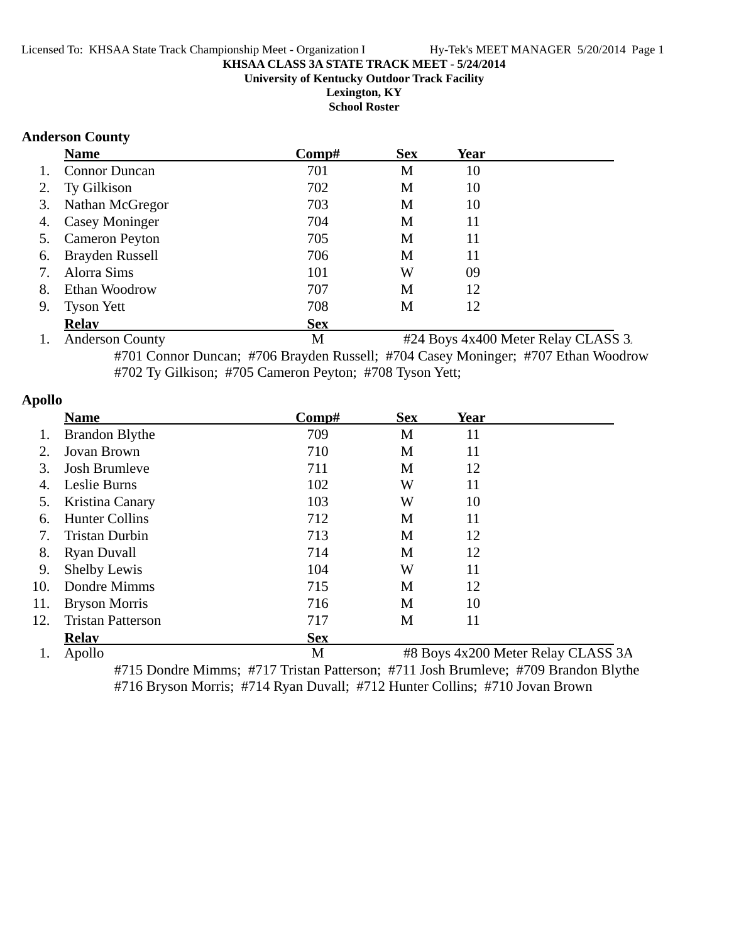#### **KHSAA CLASS 3A STATE TRACK MEET - 5/24/2014 University of Kentucky Outdoor Track Facility Lexington, KY**

**School Roster**

#### **Anderson County**

|                           | <b>Name</b>            | Comp#      | <b>Sex</b> | Year |  |
|---------------------------|------------------------|------------|------------|------|--|
| $\mathbf{1}_{\mathbf{1}}$ | <b>Connor Duncan</b>   | 701        | M          | 10   |  |
| 2.                        | Ty Gilkison            | 702        | M          | 10   |  |
|                           | 3. Nathan McGregor     | 703        | M          | 10   |  |
| 4.                        | <b>Casey Moninger</b>  | 704        | M          | 11   |  |
|                           | 5. Cameron Peyton      | 705        | M          | 11   |  |
| 6.                        | <b>Brayden Russell</b> | 706        | M          | 11   |  |
| 7.                        | Alorra Sims            | 101        | W          | 09   |  |
| 8.                        | Ethan Woodrow          | 707        | M          | 12   |  |
| 9.                        | <b>Tyson Yett</b>      | 708        | M          | 12   |  |
|                           | <b>Relav</b>           | <b>Sex</b> |            |      |  |

1. Anderson County M #24 Boys 4x400 Meter Relay CLASS 3. #701 Connor Duncan; #706 Brayden Russell; #704 Casey Moninger; #707 Ethan Woodrow #702 Ty Gilkison; #705 Cameron Peyton; #708 Tyson Yett;

| pono |                          |            |            |                                    |  |
|------|--------------------------|------------|------------|------------------------------------|--|
|      | <b>Name</b>              | Comp#      | <b>Sex</b> | <b>Year</b>                        |  |
|      | <b>Brandon Blythe</b>    | 709        | M          | 11                                 |  |
| 2.   | Jovan Brown              | 710        | M          | 11                                 |  |
| 3.   | <b>Josh Brumleve</b>     | 711        | M          | 12                                 |  |
| 4.   | Leslie Burns             | 102        | W          | 11                                 |  |
| 5.   | Kristina Canary          | 103        | W          | 10                                 |  |
| 6.   | <b>Hunter Collins</b>    | 712        | M          | 11                                 |  |
| 7.   | <b>Tristan Durbin</b>    | 713        | M          | 12                                 |  |
| 8.   | <b>Ryan Duvall</b>       | 714        | M          | 12                                 |  |
| 9.   | Shelby Lewis             | 104        | W          | 11                                 |  |
| 10.  | Dondre Mimms             | 715        | M          | 12                                 |  |
| 11.  | <b>Bryson Morris</b>     | 716        | M          | 10                                 |  |
| 12.  | <b>Tristan Patterson</b> | 717        | M          | 11                                 |  |
|      | <b>Relav</b>             | <b>Sex</b> |            |                                    |  |
|      | Apollo                   | M          |            | #8 Boys 4x200 Meter Relay CLASS 3A |  |

#715 Dondre Mimms; #717 Tristan Patterson; #711 Josh Brumleve; #709 Brandon Blythe #716 Bryson Morris; #714 Ryan Duvall; #712 Hunter Collins; #710 Jovan Brown

# **Apollo**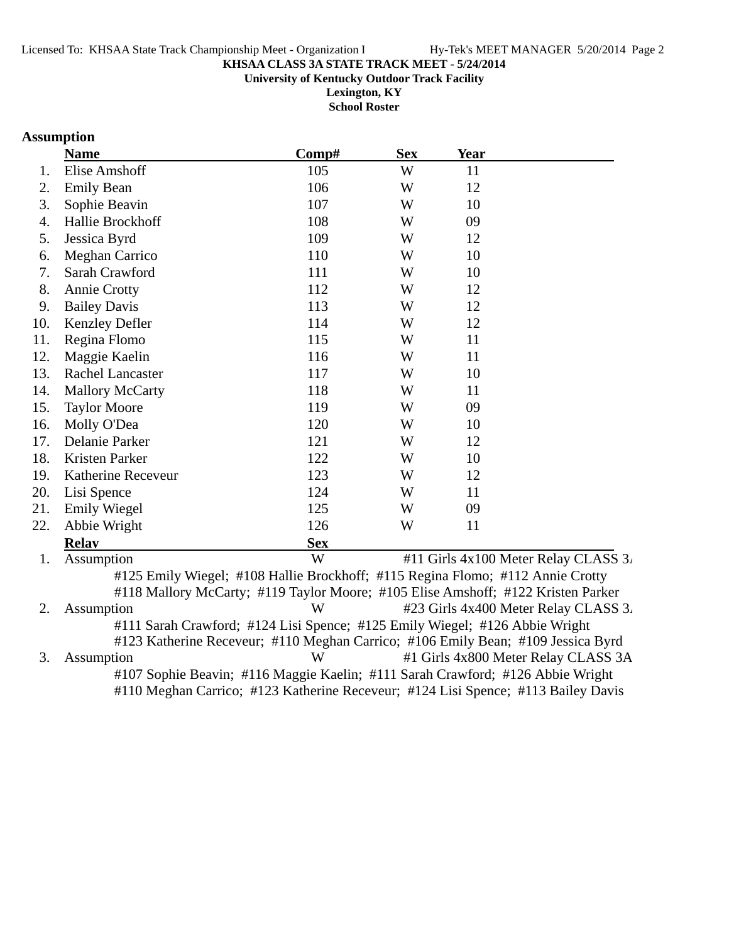#### **KHSAA CLASS 3A STATE TRACK MEET - 5/24/2014 University of Kentucky Outdoor Track Facility**

**Lexington, KY**

**School Roster**

# **Assumption**

|     | <b>Name</b>             | Comp#      | <b>Sex</b> | <b>Year</b> |  |
|-----|-------------------------|------------|------------|-------------|--|
| 1.  | <b>Elise Amshoff</b>    | 105        | W          | 11          |  |
| 2.  | <b>Emily Bean</b>       | 106        | W          | 12          |  |
| 3.  | Sophie Beavin           | 107        | W          | 10          |  |
| 4.  | Hallie Brockhoff        | 108        | W          | 09          |  |
| 5.  | Jessica Byrd            | 109        | W          | 12          |  |
| 6.  | <b>Meghan Carrico</b>   | 110        | W          | 10          |  |
| 7.  | Sarah Crawford          | 111        | W          | 10          |  |
| 8.  | <b>Annie Crotty</b>     | 112        | W          | 12          |  |
| 9.  | <b>Bailey Davis</b>     | 113        | W          | 12          |  |
| 10. | Kenzley Defler          | 114        | W          | 12          |  |
| 11. | Regina Flomo            | 115        | W          | 11          |  |
| 12. | Maggie Kaelin           | 116        | W          | 11          |  |
| 13. | <b>Rachel Lancaster</b> | 117        | W          | 10          |  |
| 14. | <b>Mallory McCarty</b>  | 118        | W          | 11          |  |
| 15. | <b>Taylor Moore</b>     | 119        | W          | 09          |  |
| 16. | Molly O'Dea             | 120        | W          | 10          |  |
| 17. | Delanie Parker          | 121        | W          | 12          |  |
| 18. | Kristen Parker          | 122        | W          | 10          |  |
| 19. | Katherine Receveur      | 123        | W          | 12          |  |
| 20. | Lisi Spence             | 124        | W          | 11          |  |
| 21. | <b>Emily Wiegel</b>     | 125        | W          | 09          |  |
| 22. | Abbie Wright            | 126        | W          | 11          |  |
|     | <b>Relay</b>            | <b>Sex</b> |            |             |  |

1. Assumption  $W$  #11 Girls 4x100 Meter Relay CLASS 3. #125 Emily Wiegel; #108 Hallie Brockhoff; #115 Regina Flomo; #112 Annie Crotty #118 Mallory McCarty; #119 Taylor Moore; #105 Elise Amshoff; #122 Kristen Parker 2. Assumption W #23 Girls 4x400 Meter Relay CLASS 3. #111 Sarah Crawford; #124 Lisi Spence; #125 Emily Wiegel; #126 Abbie Wright #123 Katherine Receveur; #110 Meghan Carrico; #106 Emily Bean; #109 Jessica Byrd 3. Assumption W #1 Girls 4x800 Meter Relay CLASS 3A #107 Sophie Beavin; #116 Maggie Kaelin; #111 Sarah Crawford; #126 Abbie Wright #110 Meghan Carrico; #123 Katherine Receveur; #124 Lisi Spence; #113 Bailey Davis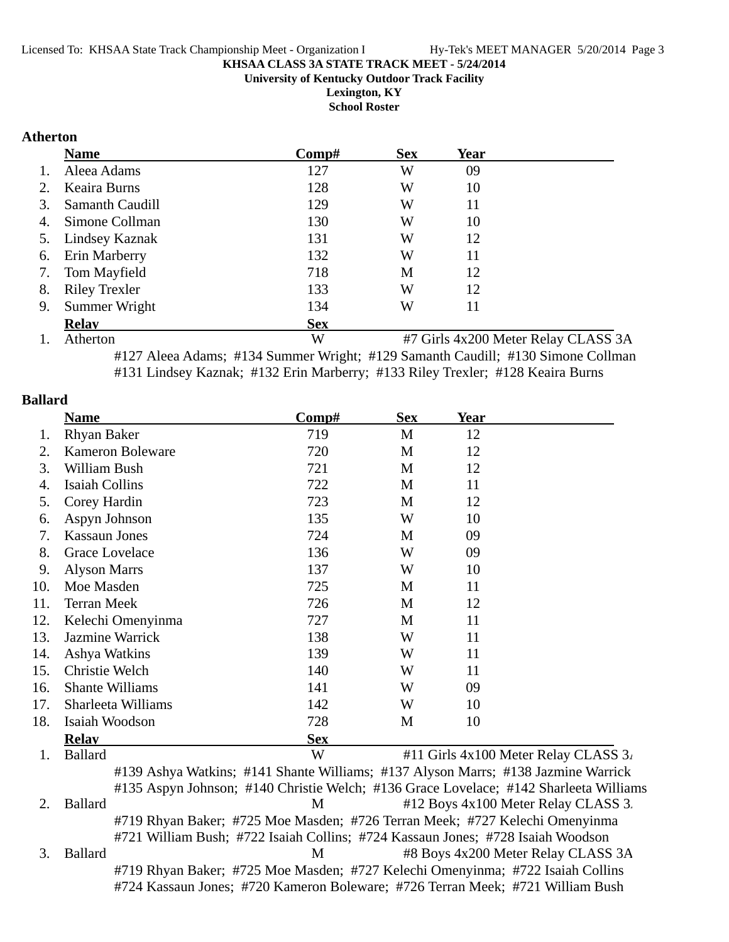**University of Kentucky Outdoor Track Facility**

**Lexington, KY School Roster**

#### **Atherton**

|    | <b>Name</b>          | Comp#      | <b>Sex</b> | Year |  |
|----|----------------------|------------|------------|------|--|
| 1. | Aleea Adams          | 127        | W          | 09   |  |
| 2. | Keaira Burns         | 128        | W          | 10   |  |
| 3. | Samanth Caudill      | 129        | W          | 11   |  |
| 4. | Simone Collman       | 130        | W          | 10   |  |
|    | 5. Lindsey Kaznak    | 131        | W          | 12   |  |
| 6. | <b>Erin Marberry</b> | 132        | W          | 11   |  |
| 7. | <b>Tom Mayfield</b>  | 718        | M          | 12   |  |
| 8. | <b>Riley Trexler</b> | 133        | W          | 12   |  |
| 9. | Summer Wright        | 134        | W          | 11   |  |
|    | <b>Relav</b>         | <b>Sex</b> |            |      |  |

1. Atherton W #7 Girls 4x200 Meter Relay CLASS 3A #127 Aleea Adams; #134 Summer Wright; #129 Samanth Caudill; #130 Simone Collman #131 Lindsey Kaznak; #132 Erin Marberry; #133 Riley Trexler; #128 Keaira Burns

#### **Ballard**

|     | <b>Name</b>                                                                       | Comp#      | <b>Sex</b> | <b>Year</b> |                                                                                       |
|-----|-----------------------------------------------------------------------------------|------------|------------|-------------|---------------------------------------------------------------------------------------|
| 1.  | <b>Rhyan Baker</b>                                                                | 719        | M          | 12          |                                                                                       |
| 2.  | <b>Kameron Boleware</b>                                                           | 720        | M          | 12          |                                                                                       |
| 3.  | William Bush                                                                      | 721        | M          | 12          |                                                                                       |
| 4.  | <b>Isaiah Collins</b>                                                             | 722        | M          | 11          |                                                                                       |
| 5.  | Corey Hardin                                                                      | 723        | M          | 12          |                                                                                       |
| 6.  | Aspyn Johnson                                                                     | 135        | W          | 10          |                                                                                       |
| 7.  | <b>Kassaun Jones</b>                                                              | 724        | M          | 09          |                                                                                       |
| 8.  | Grace Lovelace                                                                    | 136        | W          | 09          |                                                                                       |
| 9.  | <b>Alyson Marrs</b>                                                               | 137        | W          | 10          |                                                                                       |
| 10. | Moe Masden                                                                        | 725        | M          | 11          |                                                                                       |
| 11. | <b>Terran Meek</b>                                                                | 726        | M          | 12          |                                                                                       |
| 12. | Kelechi Omenyinma                                                                 | 727        | M          | 11          |                                                                                       |
| 13. | Jazmine Warrick                                                                   | 138        | W          | 11          |                                                                                       |
| 14. | Ashya Watkins                                                                     | 139        | W          | 11          |                                                                                       |
| 15. | Christie Welch                                                                    | 140        | W          | 11          |                                                                                       |
| 16. | <b>Shante Williams</b>                                                            | 141        | W          | 09          |                                                                                       |
| 17. | Sharleeta Williams                                                                | 142        | W          | 10          |                                                                                       |
| 18. | Isaiah Woodson                                                                    | 728        | M          | 10          |                                                                                       |
|     | <b>Relay</b>                                                                      | <b>Sex</b> |            |             |                                                                                       |
| 1.  | <b>Ballard</b>                                                                    | W          |            |             | #11 Girls 4x100 Meter Relay CLASS 3.                                                  |
|     | #139 Ashya Watkins; #141 Shante Williams; #137 Alyson Marrs; #138 Jazmine Warrick |            |            |             |                                                                                       |
|     |                                                                                   |            |            |             | #135 Aspyn Johnson; #140 Christie Welch; #136 Grace Lovelace; #142 Sharleeta Williams |
| 2.  | <b>Ballard</b>                                                                    | M          |            |             | #12 Boys 4x100 Meter Relay CLASS 3.                                                   |
|     | #719 Rhyan Baker; #725 Moe Masden; #726 Terran Meek; #727 Kelechi Omenyinma       |            |            |             |                                                                                       |

#721 William Bush; #722 Isaiah Collins; #724 Kassaun Jones; #728 Isaiah Woodson 3. Ballard M #8 Boys 4x200 Meter Relay CLASS 3A

#719 Rhyan Baker; #725 Moe Masden; #727 Kelechi Omenyinma; #722 Isaiah Collins #724 Kassaun Jones; #720 Kameron Boleware; #726 Terran Meek; #721 William Bush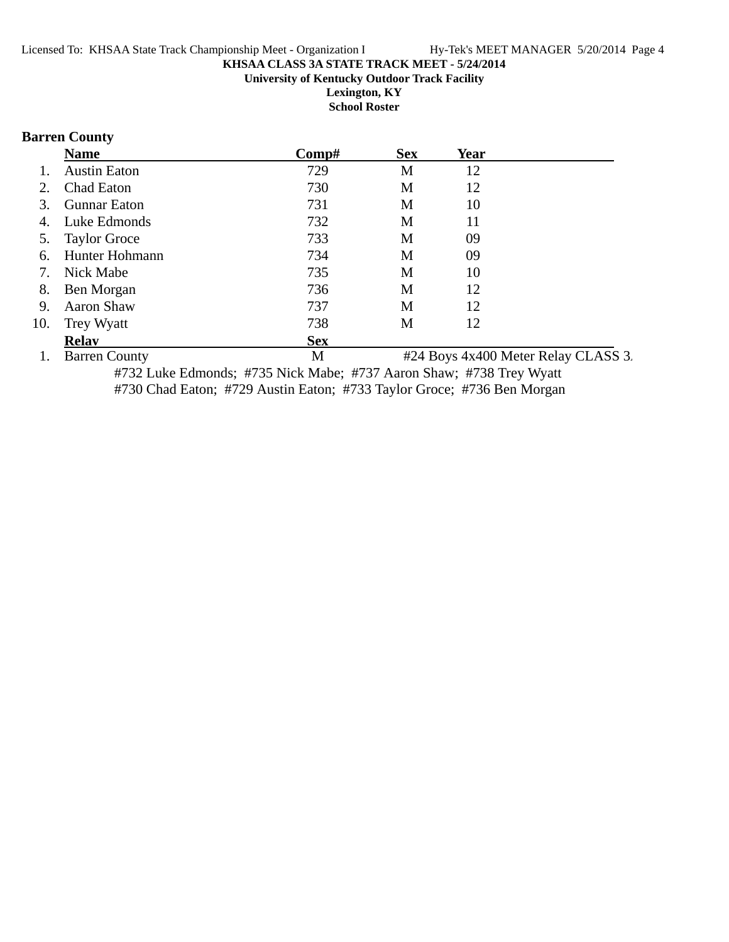#### **KHSAA CLASS 3A STATE TRACK MEET - 5/24/2014 University of Kentucky Outdoor Track Facility Lexington, KY**

**School Roster**

# **Barren County**

|     | <b>Name</b>          | Comp#      | <b>Sex</b> | Year |                                     |
|-----|----------------------|------------|------------|------|-------------------------------------|
|     | <b>Austin Eaton</b>  | 729        | M          | 12   |                                     |
|     | Chad Eaton           | 730        | М          | 12   |                                     |
|     | <b>Gunnar Eaton</b>  | 731        | М          | 10   |                                     |
| 4.  | Luke Edmonds         | 732        | M          | 11   |                                     |
| 5.  | <b>Taylor Groce</b>  | 733        | M          | 09   |                                     |
| 6.  | Hunter Hohmann       | 734        | М          | 09   |                                     |
| 7.  | Nick Mabe            | 735        | M          | 10   |                                     |
| 8.  | Ben Morgan           | 736        | M          | 12   |                                     |
| 9.  | Aaron Shaw           | 737        | M          | 12   |                                     |
| 10. | Trey Wyatt           | 738        | M          | 12   |                                     |
|     | <b>Relay</b>         | <b>Sex</b> |            |      |                                     |
|     | <b>Barren County</b> | M          |            |      | #24 Boys 4x400 Meter Relay CLASS 3. |

#732 Luke Edmonds; #735 Nick Mabe; #737 Aaron Shaw; #738 Trey Wyatt #730 Chad Eaton; #729 Austin Eaton; #733 Taylor Groce; #736 Ben Morgan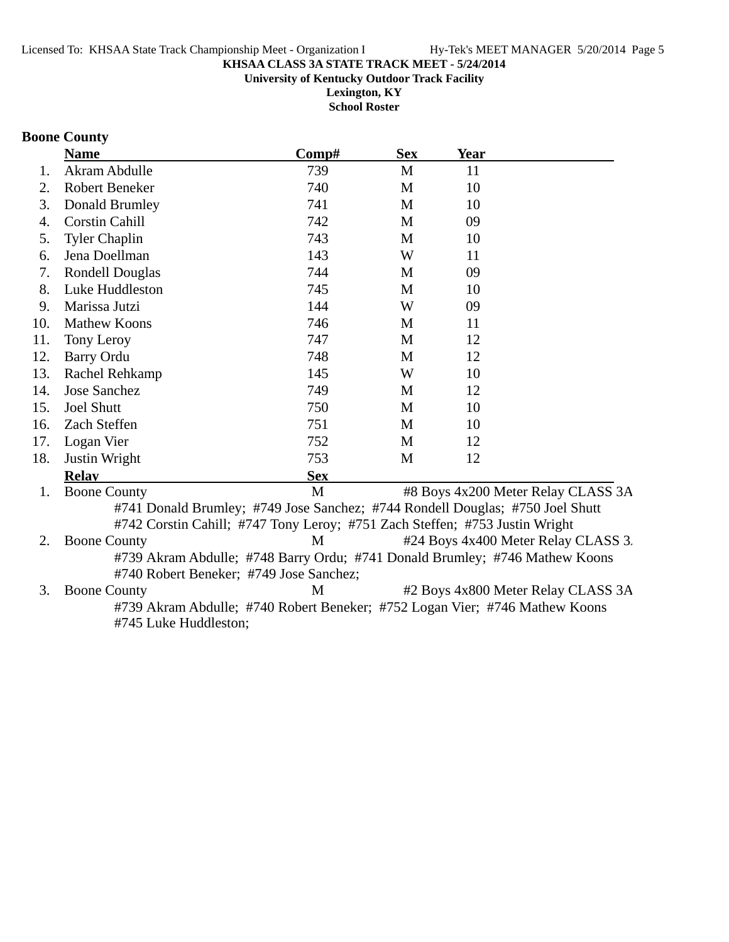#### **KHSAA CLASS 3A STATE TRACK MEET - 5/24/2014 University of Kentucky Outdoor Track Facility**

**Lexington, KY School Roster**

# **Boone County**

|     | <b>Name</b>                             | Comp#      | <b>Sex</b> | <b>Year</b>                                                                   |
|-----|-----------------------------------------|------------|------------|-------------------------------------------------------------------------------|
| 1.  | Akram Abdulle                           | 739        | M          | 11                                                                            |
| 2.  | <b>Robert Beneker</b>                   | 740        | M          | 10                                                                            |
| 3.  | Donald Brumley                          | 741        | M          | 10                                                                            |
| 4.  | <b>Corstin Cahill</b>                   | 742        | M          | 09                                                                            |
| 5.  | <b>Tyler Chaplin</b>                    | 743        | M          | 10                                                                            |
| 6.  | Jena Doellman                           | 143        | W          | 11                                                                            |
| 7.  | <b>Rondell Douglas</b>                  | 744        | M          | 09                                                                            |
| 8.  | Luke Huddleston                         | 745        | M          | 10                                                                            |
| 9.  | Marissa Jutzi                           | 144        | W          | 09                                                                            |
| 10. | <b>Mathew Koons</b>                     | 746        | M          | 11                                                                            |
| 11. | Tony Leroy                              | 747        | M          | 12                                                                            |
| 12. | <b>Barry Ordu</b>                       | 748        | M          | 12                                                                            |
| 13. | Rachel Rehkamp                          | 145        | W          | 10                                                                            |
| 14. | <b>Jose Sanchez</b>                     | 749        | M          | 12                                                                            |
| 15. | <b>Joel Shutt</b>                       | 750        | M          | 10                                                                            |
| 16. | Zach Steffen                            | 751        | M          | 10                                                                            |
| 17. | Logan Vier                              | 752        | M          | 12                                                                            |
| 18. | Justin Wright                           | 753        | M          | 12                                                                            |
|     | <b>Relay</b>                            | <b>Sex</b> |            |                                                                               |
| 1.  | <b>Boone County</b>                     | M          |            | #8 Boys 4x200 Meter Relay CLASS 3A                                            |
|     |                                         |            |            | #741 Donald Brumley; #749 Jose Sanchez; #744 Rondell Douglas; #750 Joel Shutt |
|     |                                         |            |            | #742 Corstin Cahill; #747 Tony Leroy; #751 Zach Steffen; #753 Justin Wright   |
| 2.  | <b>Boone County</b>                     | M          |            | #24 Boys 4x400 Meter Relay CLASS 3.                                           |
|     |                                         |            |            | #739 Akram Abdulle; #748 Barry Ordu; #741 Donald Brumley; #746 Mathew Koons   |
|     | #740 Robert Beneker; #749 Jose Sanchez; |            |            |                                                                               |
| 3.  | <b>Boone County</b>                     | M          |            | #2 Boys 4x800 Meter Relay CLASS 3A                                            |
|     |                                         |            |            | #739 Akram Abdulle; #740 Robert Beneker; #752 Logan Vier; #746 Mathew Koons   |
|     | #745 Luke Huddleston;                   |            |            |                                                                               |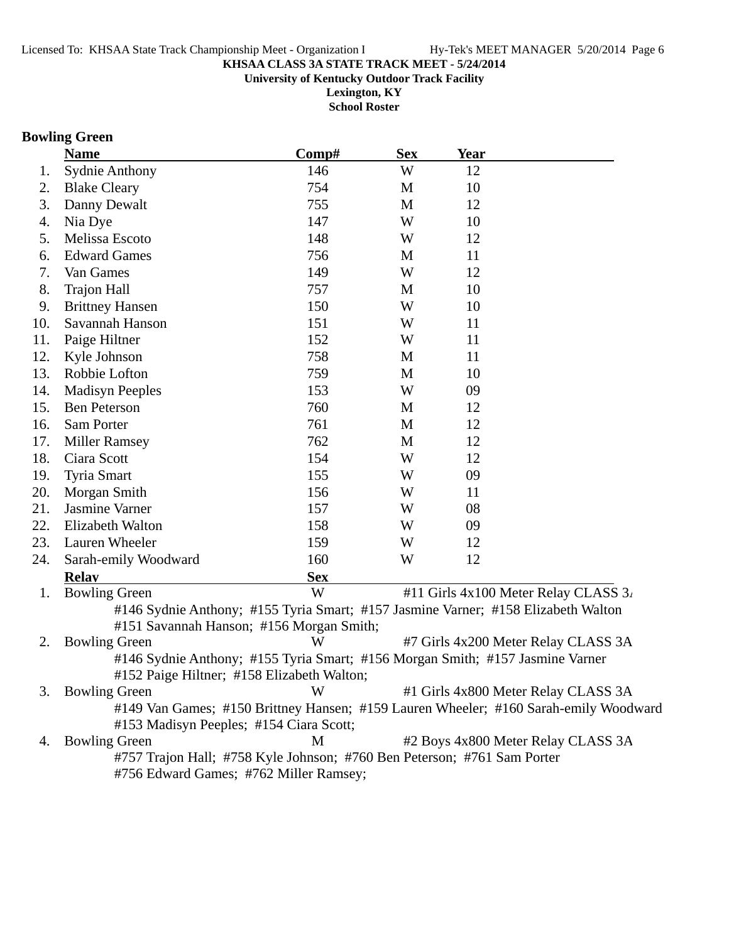#### **KHSAA CLASS 3A STATE TRACK MEET - 5/24/2014 University of Kentucky Outdoor Track Facility**

**Lexington, KY School Roster**

# **Bowling Green**

|     | <b>Name</b>                                                                       | Comp#      | <b>Sex</b> | <u>Year</u> |                                                                                      |
|-----|-----------------------------------------------------------------------------------|------------|------------|-------------|--------------------------------------------------------------------------------------|
| 1.  | <b>Sydnie Anthony</b>                                                             | 146        | W          | 12          |                                                                                      |
| 2.  | <b>Blake Cleary</b>                                                               | 754        | M          | 10          |                                                                                      |
| 3.  | Danny Dewalt                                                                      | 755        | M          | 12          |                                                                                      |
| 4.  | Nia Dye                                                                           | 147        | W          | 10          |                                                                                      |
| 5.  | Melissa Escoto                                                                    | 148        | W          | 12          |                                                                                      |
| 6.  | <b>Edward Games</b>                                                               | 756        | M          | 11          |                                                                                      |
| 7.  | Van Games                                                                         | 149        | W          | 12          |                                                                                      |
| 8.  | <b>Trajon Hall</b>                                                                | 757        | M          | 10          |                                                                                      |
| 9.  | <b>Brittney Hansen</b>                                                            | 150        | W          | 10          |                                                                                      |
| 10. | Savannah Hanson                                                                   | 151        | W          | 11          |                                                                                      |
| 11. | Paige Hiltner                                                                     | 152        | W          | 11          |                                                                                      |
| 12. | Kyle Johnson                                                                      | 758        | M          | 11          |                                                                                      |
| 13. | Robbie Lofton                                                                     | 759        | M          | 10          |                                                                                      |
| 14. | <b>Madisyn Peeples</b>                                                            | 153        | W          | 09          |                                                                                      |
| 15. | <b>Ben Peterson</b>                                                               | 760        | M          | 12          |                                                                                      |
| 16. | Sam Porter                                                                        | 761        | M          | 12          |                                                                                      |
| 17. | <b>Miller Ramsey</b>                                                              | 762        | M          | 12          |                                                                                      |
| 18. | Ciara Scott                                                                       | 154        | W          | 12          |                                                                                      |
| 19. | <b>Tyria Smart</b>                                                                | 155        | W          | 09          |                                                                                      |
| 20. | Morgan Smith                                                                      | 156        | W          | 11          |                                                                                      |
| 21. | Jasmine Varner                                                                    | 157        | W          | 08          |                                                                                      |
| 22. | Elizabeth Walton                                                                  | 158        | W          | 09          |                                                                                      |
| 23. | Lauren Wheeler                                                                    | 159        | W          | 12          |                                                                                      |
| 24. | Sarah-emily Woodward                                                              | 160        | W          | 12          |                                                                                      |
|     | <b>Relay</b>                                                                      | <b>Sex</b> |            |             |                                                                                      |
| 1.  | <b>Bowling Green</b>                                                              | W          |            |             | #11 Girls 4x100 Meter Relay CLASS 3.                                                 |
|     | #146 Sydnie Anthony; #155 Tyria Smart; #157 Jasmine Varner; #158 Elizabeth Walton |            |            |             |                                                                                      |
|     | #151 Savannah Hanson; #156 Morgan Smith;                                          |            |            |             |                                                                                      |
| 2.  | <b>Bowling Green</b>                                                              | W          |            |             | #7 Girls 4x200 Meter Relay CLASS 3A                                                  |
|     | #146 Sydnie Anthony; #155 Tyria Smart; #156 Morgan Smith; #157 Jasmine Varner     |            |            |             |                                                                                      |
|     | #152 Paige Hiltner; #158 Elizabeth Walton;                                        |            |            |             |                                                                                      |
| 3.  | <b>Bowling Green</b>                                                              | W          |            |             | #1 Girls 4x800 Meter Relay CLASS 3A                                                  |
|     |                                                                                   |            |            |             | #149 Van Games; #150 Brittney Hansen; #159 Lauren Wheeler; #160 Sarah-emily Woodward |
|     | #153 Madisyn Peeples; #154 Ciara Scott;                                           |            |            |             |                                                                                      |
| 4.  | <b>Bowling Green</b>                                                              | M          |            |             | #2 Boys 4x800 Meter Relay CLASS 3A                                                   |
|     | #757 Trajon Hall; #758 Kyle Johnson; #760 Ben Peterson; #761 Sam Porter           |            |            |             |                                                                                      |
|     | #756 Edward Games; #762 Miller Ramsey;                                            |            |            |             |                                                                                      |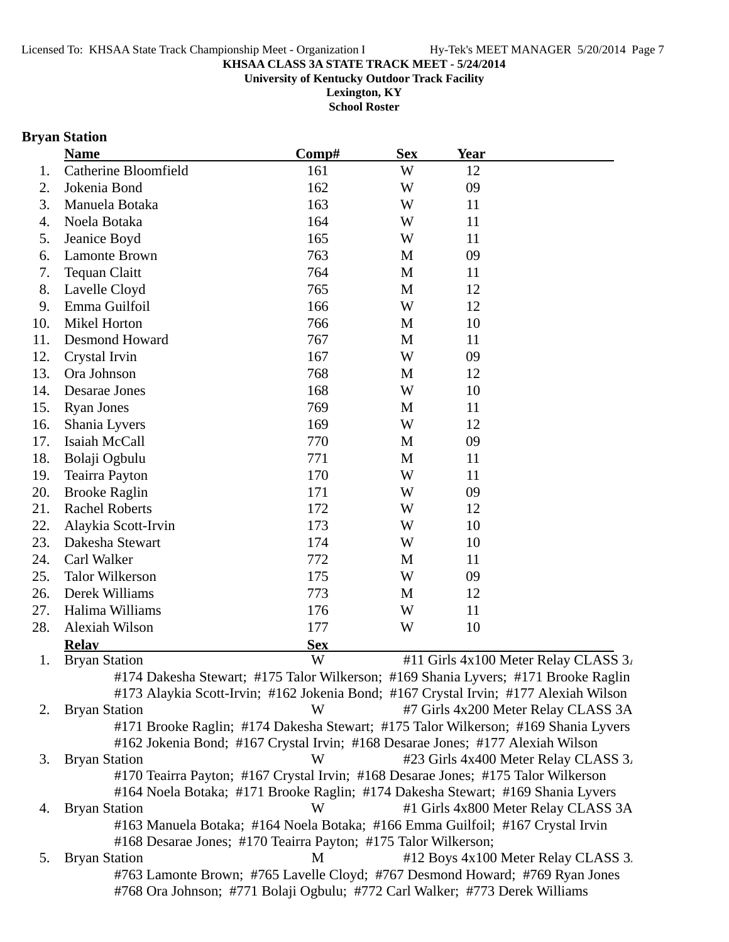**University of Kentucky Outdoor Track Facility**

**Lexington, KY School Roster**

# **Bryan Station**

|     | <b>Name</b>                                                                          | Comp#      | <b>Sex</b> | <b>Year</b> |                                      |
|-----|--------------------------------------------------------------------------------------|------------|------------|-------------|--------------------------------------|
| 1.  | <b>Catherine Bloomfield</b>                                                          | 161        | W          | 12          |                                      |
| 2.  | Jokenia Bond                                                                         | 162        | W          | 09          |                                      |
| 3.  | Manuela Botaka                                                                       | 163        | W          | 11          |                                      |
| 4.  | Noela Botaka                                                                         | 164        | W          | 11          |                                      |
| 5.  | Jeanice Boyd                                                                         | 165        | W          | 11          |                                      |
| 6.  | <b>Lamonte Brown</b>                                                                 | 763        | M          | 09          |                                      |
| 7.  | <b>Tequan Claitt</b>                                                                 | 764        | M          | 11          |                                      |
| 8.  | Lavelle Cloyd                                                                        | 765        | M          | 12          |                                      |
| 9.  | Emma Guilfoil                                                                        | 166        | W          | 12          |                                      |
| 10. | Mikel Horton                                                                         | 766        | M          | 10          |                                      |
| 11. | <b>Desmond Howard</b>                                                                | 767        | M          | 11          |                                      |
| 12. | Crystal Irvin                                                                        | 167        | W          | 09          |                                      |
| 13. | Ora Johnson                                                                          | 768        | M          | 12          |                                      |
| 14. | Desarae Jones                                                                        | 168        | W          | 10          |                                      |
| 15. | <b>Ryan Jones</b>                                                                    | 769        | M          | 11          |                                      |
| 16. | Shania Lyvers                                                                        | 169        | W          | 12          |                                      |
| 17. | Isaiah McCall                                                                        | 770        | M          | 09          |                                      |
| 18. | Bolaji Ogbulu                                                                        | 771        | M          | 11          |                                      |
| 19. | <b>Teairra Payton</b>                                                                | 170        | W          | 11          |                                      |
| 20. | <b>Brooke Raglin</b>                                                                 | 171        | W          | 09          |                                      |
| 21. | <b>Rachel Roberts</b>                                                                | 172        | W          | 12          |                                      |
| 22. | Alaykia Scott-Irvin                                                                  | 173        | W          | 10          |                                      |
| 23. | Dakesha Stewart                                                                      | 174        | W          | 10          |                                      |
| 24. | Carl Walker                                                                          | 772        | M          | 11          |                                      |
| 25. | <b>Talor Wilkerson</b>                                                               | 175        | W          | 09          |                                      |
| 26. | Derek Williams                                                                       | 773        | M          | 12          |                                      |
| 27. | Halima Williams                                                                      | 176        | W          | 11          |                                      |
| 28. | Alexiah Wilson                                                                       | 177        | W          | 10          |                                      |
|     | <b>Relay</b>                                                                         | <b>Sex</b> |            |             |                                      |
| 1.  | <b>Bryan Station</b>                                                                 | W          |            |             | #11 Girls 4x100 Meter Relay CLASS 3. |
|     | #174 Dakesha Stewart; #175 Talor Wilkerson; #169 Shania Lyvers; #171 Brooke Raglin   |            |            |             |                                      |
|     | #173 Alaykia Scott-Irvin; #162 Jokenia Bond; #167 Crystal Irvin; #177 Alexiah Wilson |            |            |             |                                      |
| 2.  | <b>Bryan Station</b>                                                                 | W          |            |             | #7 Girls 4x200 Meter Relay CLASS 3A  |
|     | #171 Brooke Raglin; #174 Dakesha Stewart; #175 Talor Wilkerson; #169 Shania Lyvers   |            |            |             |                                      |
|     | #162 Jokenia Bond; #167 Crystal Irvin; #168 Desarae Jones; #177 Alexiah Wilson       |            |            |             |                                      |
| 3.  | <b>Bryan Station</b>                                                                 | W          |            |             | #23 Girls 4x400 Meter Relay CLASS 3. |
|     | #170 Teairra Payton; #167 Crystal Irvin; #168 Desarae Jones; #175 Talor Wilkerson    |            |            |             |                                      |
|     | #164 Noela Botaka; #171 Brooke Raglin; #174 Dakesha Stewart; #169 Shania Lyvers      |            |            |             |                                      |
| 4.  | <b>Bryan Station</b>                                                                 | W          |            |             | #1 Girls 4x800 Meter Relay CLASS 3A  |
|     | #163 Manuela Botaka; #164 Noela Botaka; #166 Emma Guilfoil; #167 Crystal Irvin       |            |            |             |                                      |
|     | #168 Desarae Jones; #170 Teairra Payton; #175 Talor Wilkerson;                       |            |            |             |                                      |
| 5.  | <b>Bryan Station</b>                                                                 | M          |            |             | #12 Boys 4x100 Meter Relay CLASS 3.  |
|     | #763 Lamonte Brown; #765 Lavelle Cloyd; #767 Desmond Howard; #769 Ryan Jones         |            |            |             |                                      |
|     | #768 Ora Johnson; #771 Bolaji Ogbulu; #772 Carl Walker; #773 Derek Williams          |            |            |             |                                      |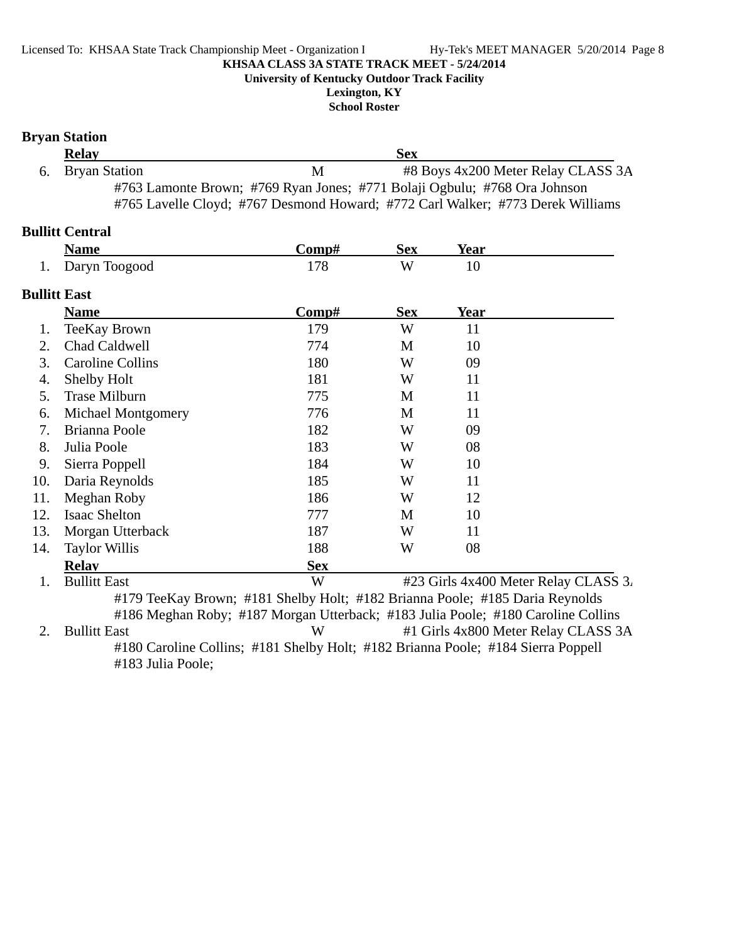**University of Kentucky Outdoor Track Facility**

**Lexington, KY School Roster**

|                     | <b>Bryan Station</b>                                                                                                                                        |            |            |      |                                      |
|---------------------|-------------------------------------------------------------------------------------------------------------------------------------------------------------|------------|------------|------|--------------------------------------|
|                     | <b>Relay</b>                                                                                                                                                |            | <b>Sex</b> |      |                                      |
| 6.                  | <b>Bryan Station</b>                                                                                                                                        | M          |            |      | #8 Boys 4x200 Meter Relay CLASS 3A   |
|                     | #763 Lamonte Brown; #769 Ryan Jones; #771 Bolaji Ogbulu; #768 Ora Johnson<br>#765 Lavelle Cloyd; #767 Desmond Howard; #772 Carl Walker; #773 Derek Williams |            |            |      |                                      |
|                     | <b>Bullitt Central</b>                                                                                                                                      |            |            |      |                                      |
|                     | <b>Name</b>                                                                                                                                                 | Comp#      | <b>Sex</b> | Year |                                      |
| 1.                  | Daryn Toogood                                                                                                                                               | 178        | W          | 10   |                                      |
| <b>Bullitt East</b> |                                                                                                                                                             |            |            |      |                                      |
|                     | <b>Name</b>                                                                                                                                                 | Comp#      | <b>Sex</b> | Year |                                      |
| 1.                  | <b>TeeKay Brown</b>                                                                                                                                         | 179        | W          | 11   |                                      |
| 2.                  | <b>Chad Caldwell</b>                                                                                                                                        | 774        | M          | 10   |                                      |
| 3.                  | <b>Caroline Collins</b>                                                                                                                                     | 180        | W          | 09   |                                      |
| 4.                  | Shelby Holt                                                                                                                                                 | 181        | W          | 11   |                                      |
| 5.                  | <b>Trase Milburn</b>                                                                                                                                        | 775        | M          | 11   |                                      |
| 6.                  | Michael Montgomery                                                                                                                                          | 776        | M          | 11   |                                      |
| 7.                  | Brianna Poole                                                                                                                                               | 182        | W          | 09   |                                      |
| 8.                  | Julia Poole                                                                                                                                                 | 183        | W          | 08   |                                      |
| 9.                  | Sierra Poppell                                                                                                                                              | 184        | W          | 10   |                                      |
| 10.                 | Daria Reynolds                                                                                                                                              | 185        | W          | 11   |                                      |
| 11.                 | Meghan Roby                                                                                                                                                 | 186        | W          | 12   |                                      |
| 12.                 | <b>Isaac Shelton</b>                                                                                                                                        | 777        | M          | 10   |                                      |
| 13.                 | Morgan Utterback                                                                                                                                            | 187        | W          | 11   |                                      |
| 14.                 | <b>Taylor Willis</b>                                                                                                                                        | 188        | W          | 08   |                                      |
|                     | <b>Relav</b>                                                                                                                                                | <b>Sex</b> |            |      |                                      |
| 1.                  | <b>Bullitt East</b>                                                                                                                                         | W          |            |      | #23 Girls 4x400 Meter Relay CLASS 3. |
|                     | #179 TeeKay Brown; #181 Shelby Holt; #182 Brianna Poole; #185 Daria Reynolds                                                                                |            |            |      |                                      |
| 2.                  | #186 Meghan Roby; #187 Morgan Utterback; #183 Julia Poole; #180 Caroline Collins<br><b>Bullitt East</b>                                                     | W          |            |      | #1 Girls 4x800 Meter Relay CLASS 3A  |

#180 Caroline Collins; #181 Shelby Holt; #182 Brianna Poole; #184 Sierra Poppell #183 Julia Poole;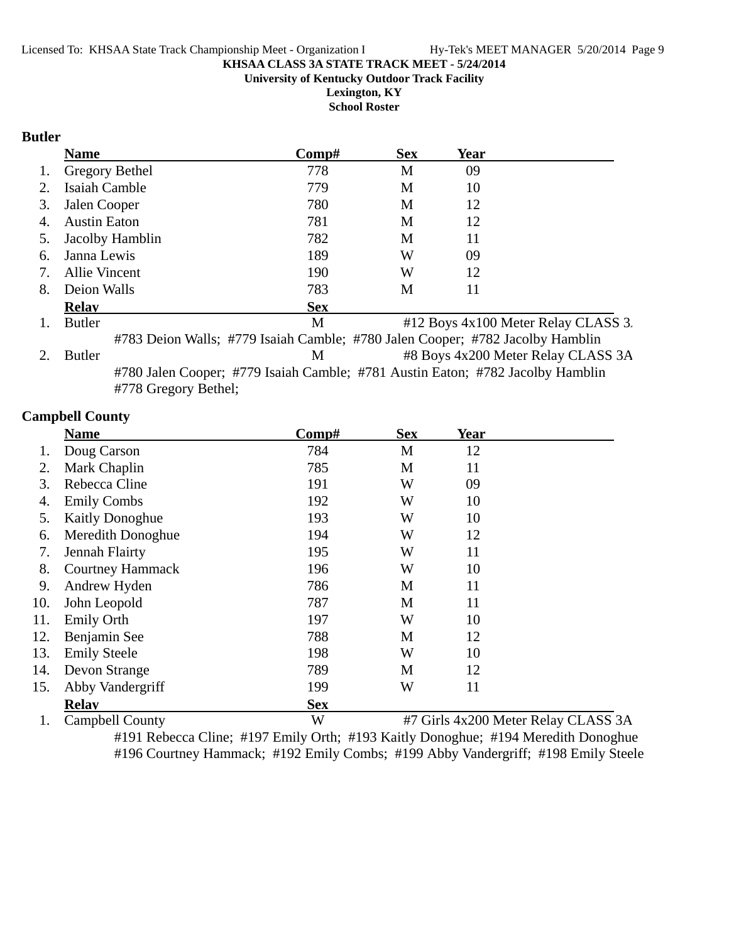**University of Kentucky Outdoor Track Facility**

**Lexington, KY School Roster**

#### **Butler**

|    | <b>Name</b>                                                                   | Comp#      | <b>Sex</b> | Year |                                     |
|----|-------------------------------------------------------------------------------|------------|------------|------|-------------------------------------|
| 1. | Gregory Bethel                                                                | 778        | M          | 09   |                                     |
| 2. | Isaiah Camble                                                                 | 779        | M          | 10   |                                     |
| 3. | Jalen Cooper                                                                  | 780        | М          | 12   |                                     |
| 4. | <b>Austin Eaton</b>                                                           | 781        | M          | 12   |                                     |
| 5. | Jacolby Hamblin                                                               | 782        | М          | 11   |                                     |
| 6. | Janna Lewis                                                                   | 189        | W          | 09   |                                     |
| 7. | <b>Allie Vincent</b>                                                          | 190        | W          | 12   |                                     |
| 8. | Deion Walls                                                                   | 783        | М          | 11   |                                     |
|    | <b>Relay</b>                                                                  | <b>Sex</b> |            |      |                                     |
| 1. | <b>Butler</b>                                                                 | M          |            |      | #12 Boys 4x100 Meter Relay CLASS 3. |
|    | #783 Deion Walls; #779 Isaiah Camble; #780 Jalen Cooper; #782 Jacolby Hamblin |            |            |      |                                     |

2. Butler M #8 Boys 4x200 Meter Relay CLASS 3A #780 Jalen Cooper; #779 Isaiah Camble; #781 Austin Eaton; #782 Jacolby Hamblin #778 Gregory Bethel;

#### **Campbell County**

|     | <b>Name</b>             | Comp#      | <b>Sex</b> | <b>Year</b> |  |
|-----|-------------------------|------------|------------|-------------|--|
|     | Doug Carson             | 784        | M          | 12          |  |
| 2.  | Mark Chaplin            | 785        | M          | 11          |  |
| 3.  | Rebecca Cline           | 191        | W          | 09          |  |
| 4.  | <b>Emily Combs</b>      | 192        | W          | 10          |  |
| 5.  | <b>Kaitly Donoghue</b>  | 193        | W          | 10          |  |
| 6.  | Meredith Donoghue       | 194        | W          | 12          |  |
| 7.  | Jennah Flairty          | 195        | W          | 11          |  |
| 8.  | <b>Courtney Hammack</b> | 196        | W          | 10          |  |
| 9.  | Andrew Hyden            | 786        | M          | 11          |  |
| 10. | John Leopold            | 787        | M          | 11          |  |
| 11. | <b>Emily Orth</b>       | 197        | W          | 10          |  |
| 12. | Benjamin See            | 788        | M          | 12          |  |
| 13. | <b>Emily Steele</b>     | 198        | W          | 10          |  |
| 14. | Devon Strange           | 789        | M          | 12          |  |
| 15. | Abby Vandergriff        | 199        | W          | 11          |  |
|     | <b>Relay</b>            | <b>Sex</b> |            |             |  |

1. Campbell County W #7 Girls 4x200 Meter Relay CLASS 3A

#191 Rebecca Cline; #197 Emily Orth; #193 Kaitly Donoghue; #194 Meredith Donoghue #196 Courtney Hammack; #192 Emily Combs; #199 Abby Vandergriff; #198 Emily Steele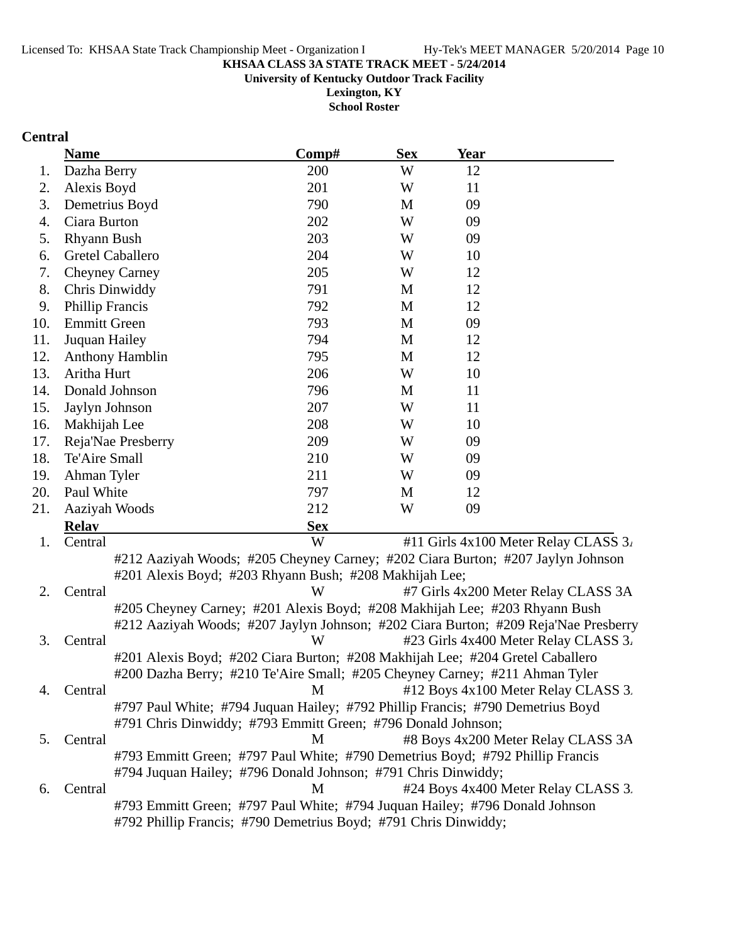**University of Kentucky Outdoor Track Facility**

**Lexington, KY School Roster**

# **Central**

|     | <b>Name</b>                                                                            | Comp#      | <b>Sex</b> | Year |                                      |
|-----|----------------------------------------------------------------------------------------|------------|------------|------|--------------------------------------|
| 1.  | Dazha Berry                                                                            | 200        | W          | 12   |                                      |
| 2.  | Alexis Boyd                                                                            | 201        | W          | 11   |                                      |
| 3.  | Demetrius Boyd                                                                         | 790        | M          | 09   |                                      |
| 4.  | Ciara Burton                                                                           | 202        | W          | 09   |                                      |
| 5.  | Rhyann Bush                                                                            | 203        | W          | 09   |                                      |
| 6.  | <b>Gretel Caballero</b>                                                                | 204        | W          | 10   |                                      |
| 7.  | <b>Cheyney Carney</b>                                                                  | 205        | W          | 12   |                                      |
| 8.  | Chris Dinwiddy                                                                         | 791        | M          | 12   |                                      |
| 9.  | <b>Phillip Francis</b>                                                                 | 792        | M          | 12   |                                      |
| 10. | <b>Emmitt Green</b>                                                                    | 793        | M          | 09   |                                      |
| 11. | Juquan Hailey                                                                          | 794        | M          | 12   |                                      |
| 12. | <b>Anthony Hamblin</b>                                                                 | 795        | M          | 12   |                                      |
| 13. | Aritha Hurt                                                                            | 206        | W          | 10   |                                      |
| 14. | Donald Johnson                                                                         | 796        | M          | 11   |                                      |
| 15. | Jaylyn Johnson                                                                         | 207        | W          | 11   |                                      |
| 16. | Makhijah Lee                                                                           | 208        | W          | 10   |                                      |
| 17. | Reja'Nae Presberry                                                                     | 209        | W          | 09   |                                      |
| 18. | Te'Aire Small                                                                          | 210        | W          | 09   |                                      |
| 19. | Ahman Tyler                                                                            | 211        | W          | 09   |                                      |
| 20. | Paul White                                                                             | 797        | M          | 12   |                                      |
| 21. | Aaziyah Woods                                                                          | 212        | W          | 09   |                                      |
|     | <b>Relay</b>                                                                           | <b>Sex</b> |            |      |                                      |
| 1.  | Central                                                                                | W          |            |      | #11 Girls 4x100 Meter Relay CLASS 3. |
|     | #212 Aaziyah Woods; #205 Cheyney Carney; #202 Ciara Burton; #207 Jaylyn Johnson        |            |            |      |                                      |
|     | #201 Alexis Boyd; #203 Rhyann Bush; #208 Makhijah Lee;                                 |            |            |      |                                      |
| 2.  | Central                                                                                | W          |            |      | #7 Girls 4x200 Meter Relay CLASS 3A  |
|     | #205 Cheyney Carney; #201 Alexis Boyd; #208 Makhijah Lee; #203 Rhyann Bush             |            |            |      |                                      |
|     | #212 Aaziyah Woods; #207 Jaylyn Johnson; #202 Ciara Burton; #209 Reja'Nae Presberry    |            |            |      |                                      |
| 3.  | Central                                                                                | W          |            |      | #23 Girls 4x400 Meter Relay CLASS 3. |
|     | #201 Alexis Boyd; #202 Ciara Burton; #208 Makhijah Lee; #204 Gretel Caballero          |            |            |      |                                      |
|     | #200 Dazha Berry; #210 Te'Aire Small; #205 Cheyney Carney; #211 Ahman Tyler            |            |            |      |                                      |
| 4.  | Central                                                                                | M          |            |      | #12 Boys 4x100 Meter Relay CLASS 3.  |
|     | #797 Paul White; #794 Juquan Hailey; #792 Phillip Francis; #790 Demetrius Boyd         |            |            |      |                                      |
|     | #791 Chris Dinwiddy; #793 Emmitt Green; #796 Donald Johnson;                           |            |            |      |                                      |
| 5.  | Central                                                                                | M          |            |      | #8 Boys 4x200 Meter Relay CLASS 3A   |
|     | #793 Emmitt Green; #797 Paul White; #790 Demetrius Boyd; #792 Phillip Francis          |            |            |      |                                      |
|     | #794 Juquan Hailey; #796 Donald Johnson; #791 Chris Dinwiddy;                          | M          |            |      | #24 Boys 4x400 Meter Relay CLASS 3.  |
| 6.  | Central<br>#793 Emmitt Green; #797 Paul White; #794 Juquan Hailey; #796 Donald Johnson |            |            |      |                                      |
|     | #792 Phillip Francis; #790 Demetrius Boyd; #791 Chris Dinwiddy;                        |            |            |      |                                      |
|     |                                                                                        |            |            |      |                                      |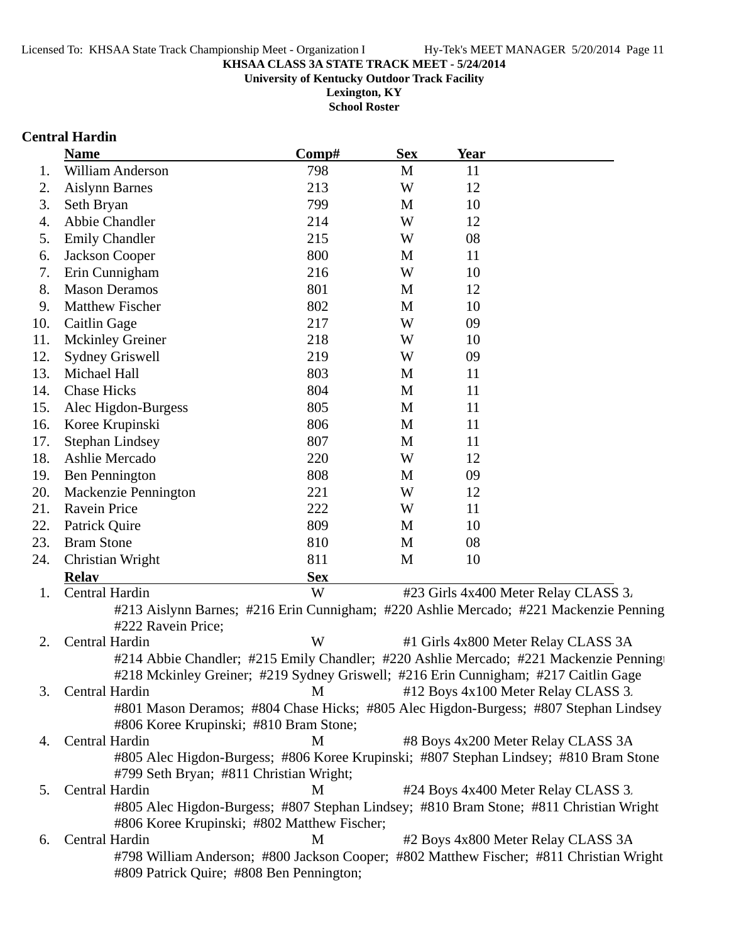**University of Kentucky Outdoor Track Facility**

**Lexington, KY School Roster**

#### **Central Hardin**

|     | <b>Name</b>                                                                            | Comp#      | <b>Sex</b> | Year |                                                                                         |
|-----|----------------------------------------------------------------------------------------|------------|------------|------|-----------------------------------------------------------------------------------------|
| 1.  | <b>William Anderson</b>                                                                | 798        | M          | 11   |                                                                                         |
| 2.  | <b>Aislynn Barnes</b>                                                                  | 213        | W          | 12   |                                                                                         |
| 3.  | Seth Bryan                                                                             | 799        | M          | 10   |                                                                                         |
| 4.  | Abbie Chandler                                                                         | 214        | W          | 12   |                                                                                         |
| 5.  | <b>Emily Chandler</b>                                                                  | 215        | W          | 08   |                                                                                         |
| 6.  | Jackson Cooper                                                                         | 800        | М          | 11   |                                                                                         |
| 7.  | Erin Cunnigham                                                                         | 216        | W          | 10   |                                                                                         |
| 8.  | <b>Mason Deramos</b>                                                                   | 801        | М          | 12   |                                                                                         |
| 9.  | Matthew Fischer                                                                        | 802        | M          | 10   |                                                                                         |
| 10. | Caitlin Gage                                                                           | 217        | W          | 09   |                                                                                         |
| 11. | <b>Mckinley Greiner</b>                                                                | 218        | W          | 10   |                                                                                         |
| 12. | <b>Sydney Griswell</b>                                                                 | 219        | W          | 09   |                                                                                         |
| 13. | Michael Hall                                                                           | 803        | M          | 11   |                                                                                         |
| 14. | <b>Chase Hicks</b>                                                                     | 804        | M          | 11   |                                                                                         |
| 15. | Alec Higdon-Burgess                                                                    | 805        | M          | 11   |                                                                                         |
| 16. | Koree Krupinski                                                                        | 806        | M          | 11   |                                                                                         |
| 17. | <b>Stephan Lindsey</b>                                                                 | 807        | M          | 11   |                                                                                         |
| 18. | Ashlie Mercado                                                                         | 220        | W          | 12   |                                                                                         |
| 19. | <b>Ben Pennington</b>                                                                  | 808        | M          | 09   |                                                                                         |
| 20. | Mackenzie Pennington                                                                   | 221        | W          | 12   |                                                                                         |
| 21. | Ravein Price                                                                           | 222        | W          | 11   |                                                                                         |
| 22. | Patrick Quire                                                                          | 809        | M          | 10   |                                                                                         |
| 23. | <b>Bram Stone</b>                                                                      | 810        | M          | 08   |                                                                                         |
| 24. | Christian Wright                                                                       | 811        | M          | 10   |                                                                                         |
|     | <b>Relay</b>                                                                           | <b>Sex</b> |            |      |                                                                                         |
| 1.  | Central Hardin                                                                         | W          |            |      | #23 Girls 4x400 Meter Relay CLASS 3.                                                    |
|     |                                                                                        |            |            |      | #213 Aislynn Barnes; #216 Erin Cunnigham; #220 Ashlie Mercado; #221 Mackenzie Penning   |
|     | #222 Ravein Price;                                                                     |            |            |      |                                                                                         |
| 2.  | Central Hardin                                                                         | W          |            |      | #1 Girls 4x800 Meter Relay CLASS 3A                                                     |
|     |                                                                                        |            |            |      | #214 Abbie Chandler; #215 Emily Chandler; #220 Ashlie Mercado; #221 Mackenzie Penning   |
|     | #218 Mckinley Greiner; #219 Sydney Griswell; #216 Erin Cunnigham; #217 Caitlin Gage    |            |            |      |                                                                                         |
| 3.  | Central Hardin                                                                         | M          |            |      | #12 Boys 4x100 Meter Relay CLASS 3.                                                     |
|     | #801 Mason Deramos; #804 Chase Hicks; #805 Alec Higdon-Burgess; #807 Stephan Lindsey   |            |            |      |                                                                                         |
|     | #806 Koree Krupinski; #810 Bram Stone;                                                 |            |            |      |                                                                                         |
| 4.  | Central Hardin                                                                         | M          |            |      | #8 Boys 4x200 Meter Relay CLASS 3A                                                      |
|     | #805 Alec Higdon-Burgess; #806 Koree Krupinski; #807 Stephan Lindsey; #810 Bram Stone  |            |            |      |                                                                                         |
|     | #799 Seth Bryan; #811 Christian Wright;                                                |            |            |      |                                                                                         |
| 5.  | Central Hardin                                                                         | M          |            |      | #24 Boys 4x400 Meter Relay CLASS 3.                                                     |
|     | #805 Alec Higdon-Burgess; #807 Stephan Lindsey; #810 Bram Stone; #811 Christian Wright |            |            |      |                                                                                         |
|     | #806 Koree Krupinski; #802 Matthew Fischer;                                            |            |            |      |                                                                                         |
| 6.  | Central Hardin                                                                         | M          |            |      | #2 Boys 4x800 Meter Relay CLASS 3A                                                      |
|     |                                                                                        |            |            |      | #798 William Anderson; #800 Jackson Cooper; #802 Matthew Fischer; #811 Christian Wright |
|     | #809 Patrick Quire; #808 Ben Pennington;                                               |            |            |      |                                                                                         |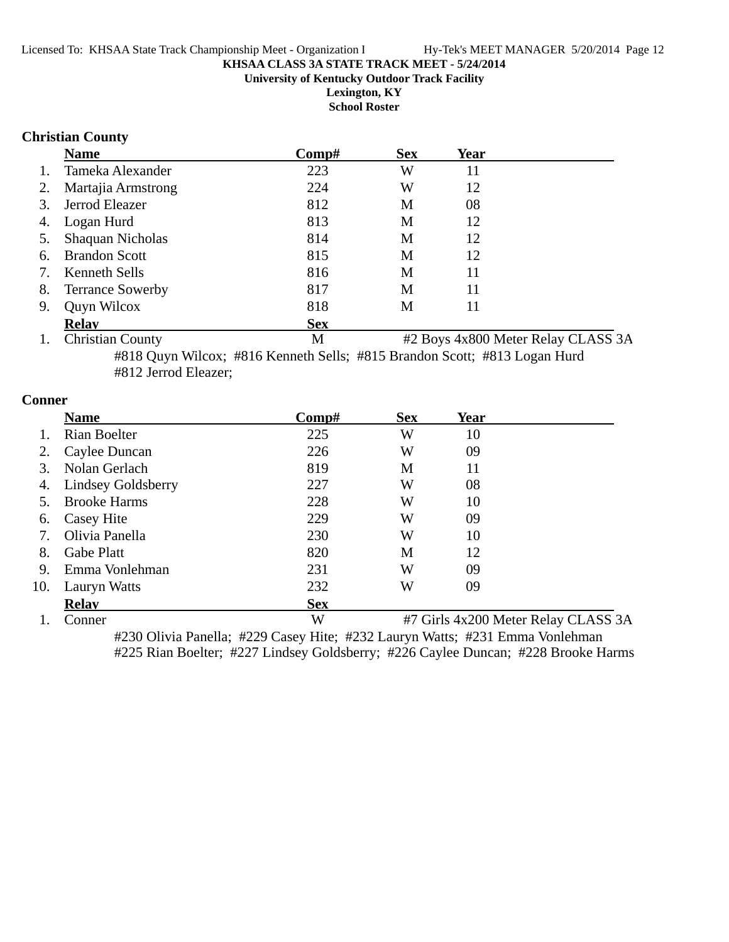#### **KHSAA CLASS 3A STATE TRACK MEET - 5/24/2014 University of Kentucky Outdoor Track Facility Lexington, KY**

**School Roster**

# **Christian County**

|    | <b>Name</b>             | Comp#      | <b>Sex</b> | <b>Year</b> |  |
|----|-------------------------|------------|------------|-------------|--|
| 1. | Tameka Alexander        | 223        | W          | 11          |  |
| 2. | Martajia Armstrong      | 224        | W          | 12          |  |
| 3. | Jerrod Eleazer          | 812        | M          | 08          |  |
|    | 4. Logan Hurd           | 813        | M          | 12          |  |
| 5. | <b>Shaquan Nicholas</b> | 814        | M          | 12          |  |
| 6. | <b>Brandon Scott</b>    | 815        | M          | 12          |  |
| 7. | Kenneth Sells           | 816        | M          | 11          |  |
| 8. | <b>Terrance Sowerby</b> | 817        | M          | 11          |  |
| 9. | Quyn Wilcox             | 818        | M          | 11          |  |
|    | <b>Relav</b>            | <b>Sex</b> |            |             |  |

1. Christian County M #2 Boys 4x800 Meter Relay CLASS 3A #818 Quyn Wilcox; #816 Kenneth Sells; #815 Brandon Scott; #813 Logan Hurd #812 Jerrod Eleazer;

#### **Conner**

|     | <b>Name</b>         | $\bf Comp\#$ | <b>Sex</b> | Year |                                     |
|-----|---------------------|--------------|------------|------|-------------------------------------|
|     | Rian Boelter        | 225          | W          | 10   |                                     |
|     | Caylee Duncan       | 226          | W          | 09   |                                     |
| 3.  | Nolan Gerlach       | 819          | M          | 11   |                                     |
| 4.  | Lindsey Goldsberry  | 227          | W          | 08   |                                     |
|     | <b>Brooke Harms</b> | 228          | W          | 10   |                                     |
| 6.  | Casey Hite          | 229          | W          | 09   |                                     |
| 7.  | Olivia Panella      | 230          | W          | 10   |                                     |
| 8.  | <b>Gabe Platt</b>   | 820          | M          | 12   |                                     |
| 9.  | Emma Vonlehman      | 231          | W          | 09   |                                     |
| 10. | Lauryn Watts        | 232          | W          | 09   |                                     |
|     | <b>Relay</b>        | <b>Sex</b>   |            |      |                                     |
|     | Conner              | W            |            |      | #7 Girls 4x200 Meter Relay CLASS 3A |

#230 Olivia Panella; #229 Casey Hite; #232 Lauryn Watts; #231 Emma Vonlehman #225 Rian Boelter; #227 Lindsey Goldsberry; #226 Caylee Duncan; #228 Brooke Harms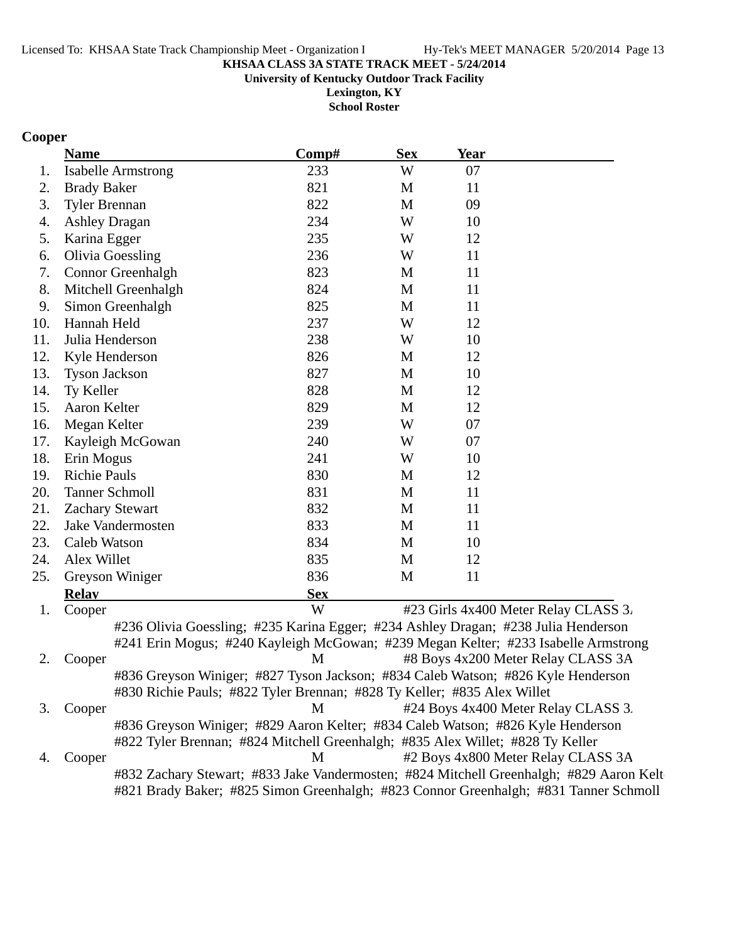#### **KHSAA CLASS 3A STATE TRACK MEET - 5/24/2014 University of Kentucky Outdoor Track Facility**

**Lexington, KY**

**School Roster**

# **Cooper**

|     | <b>Name</b>                                                                        | Comp#      | <b>Sex</b> | <b>Year</b> |                                      |
|-----|------------------------------------------------------------------------------------|------------|------------|-------------|--------------------------------------|
| 1.  | <b>Isabelle Armstrong</b>                                                          | 233        | W          | 07          |                                      |
| 2.  | <b>Brady Baker</b>                                                                 | 821        | M          | 11          |                                      |
| 3.  | <b>Tyler Brennan</b>                                                               | 822        | M          | 09          |                                      |
| 4.  | <b>Ashley Dragan</b>                                                               | 234        | W          | 10          |                                      |
| 5.  | Karina Egger                                                                       | 235        | W          | 12          |                                      |
| 6.  | <b>Olivia Goessling</b>                                                            | 236        | W          | 11          |                                      |
| 7.  | Connor Greenhalgh                                                                  | 823        | M          | 11          |                                      |
| 8.  | Mitchell Greenhalgh                                                                | 824        | M          | 11          |                                      |
| 9.  | Simon Greenhalgh                                                                   | 825        | M          | 11          |                                      |
| 10. | Hannah Held                                                                        | 237        | W          | 12          |                                      |
| 11. | Julia Henderson                                                                    | 238        | W          | 10          |                                      |
| 12. | Kyle Henderson                                                                     | 826        | M          | 12          |                                      |
| 13. | <b>Tyson Jackson</b>                                                               | 827        | M          | 10          |                                      |
| 14. | Ty Keller                                                                          | 828        | M          | 12          |                                      |
| 15. | Aaron Kelter                                                                       | 829        | M          | 12          |                                      |
| 16. | Megan Kelter                                                                       | 239        | W          | 07          |                                      |
| 17. | Kayleigh McGowan                                                                   | 240        | W          | 07          |                                      |
| 18. | Erin Mogus                                                                         | 241        | W          | 10          |                                      |
| 19. | <b>Richie Pauls</b>                                                                | 830        | M          | 12          |                                      |
| 20. | <b>Tanner Schmoll</b>                                                              | 831        | M          | 11          |                                      |
| 21. | <b>Zachary Stewart</b>                                                             | 832        | M          | 11          |                                      |
| 22. | Jake Vandermosten                                                                  | 833        | M          | 11          |                                      |
| 23. | Caleb Watson                                                                       | 834        | M          | 10          |                                      |
| 24. | Alex Willet                                                                        | 835        | M          | 12          |                                      |
| 25. | Greyson Winiger                                                                    | 836        | M          | 11          |                                      |
|     | <b>Relay</b>                                                                       | <b>Sex</b> |            |             |                                      |
| 1.  | Cooper                                                                             | W          |            |             | #23 Girls 4x400 Meter Relay CLASS 3. |
|     | #236 Olivia Goessling; #235 Karina Egger; #234 Ashley Dragan; #238 Julia Henderson |            |            |             |                                      |
|     | #241 Erin Mogus; #240 Kayleigh McGowan; #239 Megan Kelter; #233 Isabelle Armstrong |            |            |             |                                      |
| 2.  | Cooper                                                                             | M          |            |             | #8 Boys 4x200 Meter Relay CLASS 3A   |
|     | #836 Greyson Winiger; #827 Tyson Jackson; #834 Caleb Watson; #826 Kyle Henderson   |            |            |             |                                      |
|     | #830 Richie Pauls; #822 Tyler Brennan; #828 Ty Keller; #835 Alex Willet            |            |            |             |                                      |
| 3.  | Cooper                                                                             | M          |            |             | #24 Boys 4x400 Meter Relay CLASS 3.  |
|     | #836 Greyson Winiger; #829 Aaron Kelter; #834 Caleb Watson; #826 Kyle Henderson    |            |            |             |                                      |
|     | #822 Tyler Brennan; #824 Mitchell Greenhalgh; #835 Alex Willet; #828 Ty Keller     |            |            |             |                                      |
| 4.  | Cooper                                                                             | M          |            |             | #2 Boys 4x800 Meter Relay CLASS 3A   |

#832 Zachary Stewart; #833 Jake Vandermosten; #824 Mitchell Greenhalgh; #829 Aaron Kelt #821 Brady Baker; #825 Simon Greenhalgh; #823 Connor Greenhalgh; #831 Tanner Schmoll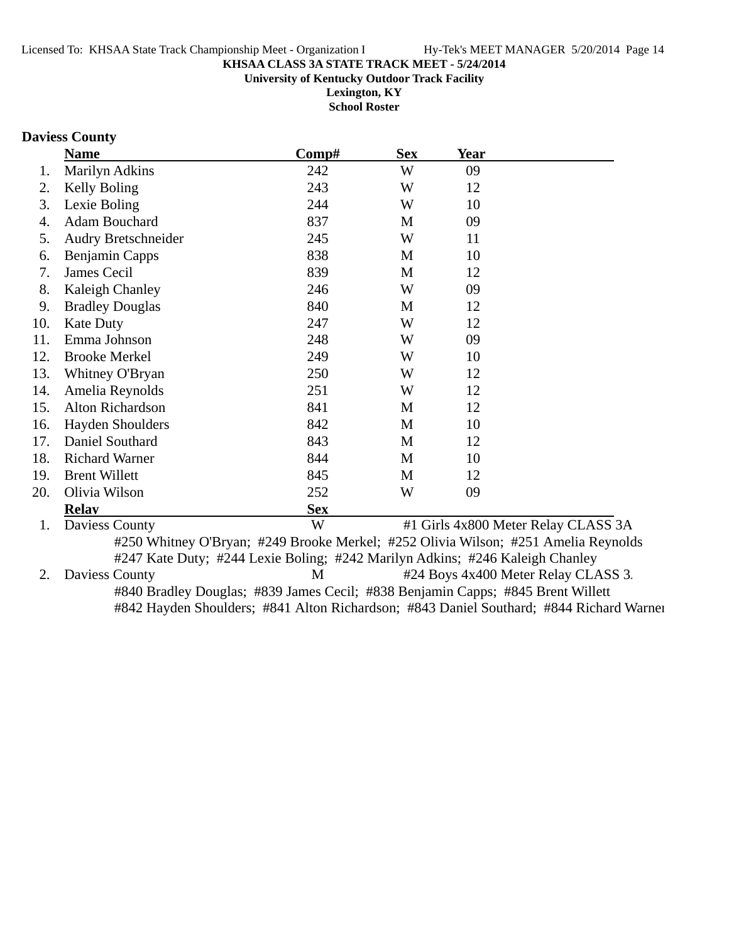**University of Kentucky Outdoor Track Facility**

**Lexington, KY School Roster**

# **Daviess County**

|     | <b>Name</b>             | Comp#                                                                              | <b>Sex</b> | <b>Year</b> |                                     |
|-----|-------------------------|------------------------------------------------------------------------------------|------------|-------------|-------------------------------------|
| 1.  | <b>Marilyn Adkins</b>   | 242                                                                                | W          | 09          |                                     |
| 2.  | Kelly Boling            | 243                                                                                | W          | 12          |                                     |
| 3.  | Lexie Boling            | 244                                                                                | W          | 10          |                                     |
| 4.  | <b>Adam Bouchard</b>    | 837                                                                                | M          | 09          |                                     |
| 5.  | Audry Bretschneider     | 245                                                                                | W          | 11          |                                     |
| 6.  | <b>Benjamin Capps</b>   | 838                                                                                | M          | 10          |                                     |
| 7.  | James Cecil             | 839                                                                                | M          | 12          |                                     |
| 8.  | Kaleigh Chanley         | 246                                                                                | W          | 09          |                                     |
| 9.  | <b>Bradley Douglas</b>  | 840                                                                                | M          | 12          |                                     |
| 10. | <b>Kate Duty</b>        | 247                                                                                | W          | 12          |                                     |
| 11. | Emma Johnson            | 248                                                                                | W          | 09          |                                     |
| 12. | <b>Brooke Merkel</b>    | 249                                                                                | W          | 10          |                                     |
| 13. | Whitney O'Bryan         | 250                                                                                | W          | 12          |                                     |
| 14. | Amelia Reynolds         | 251                                                                                | W          | 12          |                                     |
| 15. | Alton Richardson        | 841                                                                                | M          | 12          |                                     |
| 16. | <b>Hayden Shoulders</b> | 842                                                                                | M          | 10          |                                     |
| 17. | Daniel Southard         | 843                                                                                | M          | 12          |                                     |
| 18. | <b>Richard Warner</b>   | 844                                                                                | M          | 10          |                                     |
| 19. | <b>Brent Willett</b>    | 845                                                                                | M          | 12          |                                     |
| 20. | Olivia Wilson           | 252                                                                                | W          | 09          |                                     |
|     | <b>Relay</b>            | <b>Sex</b>                                                                         |            |             |                                     |
| 1.  | Daviess County          | W                                                                                  |            |             | #1 Girls 4x800 Meter Relay CLASS 3A |
|     |                         | #250 Whitney O'Bryan; #249 Brooke Merkel; #252 Olivia Wilson; #251 Amelia Reynolds |            |             |                                     |
|     |                         | #247 Kate Duty; #244 Lexie Boling; #242 Marilyn Adkins; #246 Kaleigh Chanley       |            |             |                                     |
| 2.  | Daviess County          | M                                                                                  |            |             | #24 Boys 4x400 Meter Relay CLASS 3. |
|     |                         | #840 Bradley Douglas; #839 James Cecil; #838 Benjamin Capps; #845 Brent Willett    |            |             |                                     |

#842 Hayden Shoulders; #841 Alton Richardson; #843 Daniel Southard; #844 Richard Warner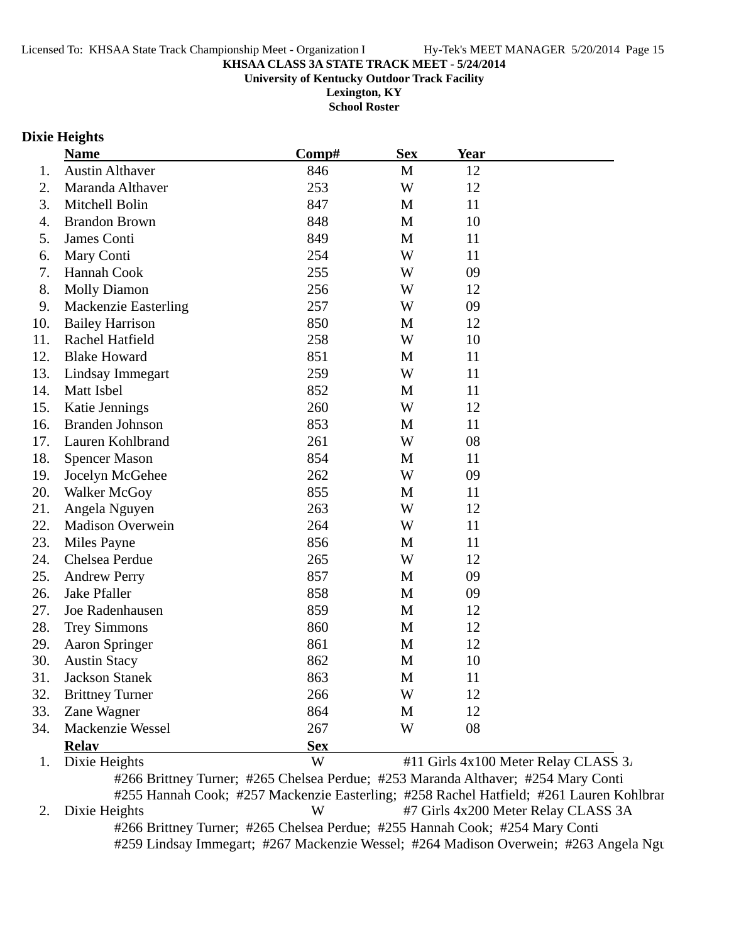**University of Kentucky Outdoor Track Facility**

**Lexington, KY School Roster**

#### **Dixie Heights**

|     | <b>Name</b>                 | Comp#      | <b>Sex</b> | <b>Year</b>                          |  |
|-----|-----------------------------|------------|------------|--------------------------------------|--|
| 1.  | <b>Austin Althaver</b>      | 846        | M          | 12                                   |  |
| 2.  | Maranda Althaver            | 253        | W          | 12                                   |  |
| 3.  | Mitchell Bolin              | 847        | M          | 11                                   |  |
| 4.  | <b>Brandon Brown</b>        | 848        | M          | 10                                   |  |
| 5.  | James Conti                 | 849        | M          | 11                                   |  |
| 6.  | Mary Conti                  | 254        | W          | 11                                   |  |
| 7.  | Hannah Cook                 | 255        | W          | 09                                   |  |
| 8.  | <b>Molly Diamon</b>         | 256        | W          | 12                                   |  |
| 9.  | <b>Mackenzie Easterling</b> | 257        | W          | 09                                   |  |
| 10. | <b>Bailey Harrison</b>      | 850        | M          | 12                                   |  |
| 11. | Rachel Hatfield             | 258        | W          | 10                                   |  |
| 12. | <b>Blake Howard</b>         | 851        | M          | 11                                   |  |
| 13. | Lindsay Immegart            | 259        | W          | 11                                   |  |
| 14. | Matt Isbel                  | 852        | M          | 11                                   |  |
| 15. | Katie Jennings              | 260        | W          | 12                                   |  |
| 16. | <b>Branden Johnson</b>      | 853        | M          | 11                                   |  |
| 17. | Lauren Kohlbrand            | 261        | W          | 08                                   |  |
| 18. | <b>Spencer Mason</b>        | 854        | M          | 11                                   |  |
| 19. | Jocelyn McGehee             | 262        | W          | 09                                   |  |
| 20. | Walker McGoy                | 855        | M          | 11                                   |  |
| 21. | Angela Nguyen               | 263        | W          | 12                                   |  |
| 22. | <b>Madison Overwein</b>     | 264        | W          | 11                                   |  |
| 23. | Miles Payne                 | 856        | M          | 11                                   |  |
| 24. | Chelsea Perdue              | 265        | W          | 12                                   |  |
| 25. | <b>Andrew Perry</b>         | 857        | M          | 09                                   |  |
| 26. | <b>Jake Pfaller</b>         | 858        | M          | 09                                   |  |
| 27. | Joe Radenhausen             | 859        | M          | 12                                   |  |
| 28. | <b>Trey Simmons</b>         | 860        | M          | 12                                   |  |
| 29. | <b>Aaron Springer</b>       | 861        | M          | 12                                   |  |
| 30. | <b>Austin Stacy</b>         | 862        | M          | 10                                   |  |
| 31. | <b>Jackson Stanek</b>       | 863        | M          | 11                                   |  |
| 32. | <b>Brittney Turner</b>      | 266        | W          | 12                                   |  |
| 33. | Zane Wagner                 | 864        | M          | 12                                   |  |
| 34. | Mackenzie Wessel            | 267        | W          | 08                                   |  |
|     | <b>Relay</b>                | <b>Sex</b> |            |                                      |  |
| 1.  | Dixie Heights               | W          |            | #11 Girls 4x100 Meter Relay CLASS 3. |  |

#266 Brittney Turner; #265 Chelsea Perdue; #253 Maranda Althaver; #254 Mary Conti #255 Hannah Cook; #257 Mackenzie Easterling; #258 Rachel Hatfield; #261 Lauren Kohlbran 2. Dixie Heights W #7 Girls 4x200 Meter Relay CLASS 3A #266 Brittney Turner; #265 Chelsea Perdue; #255 Hannah Cook; #254 Mary Conti #259 Lindsay Immegart; #267 Mackenzie Wessel; #264 Madison Overwein; #263 Angela Ngu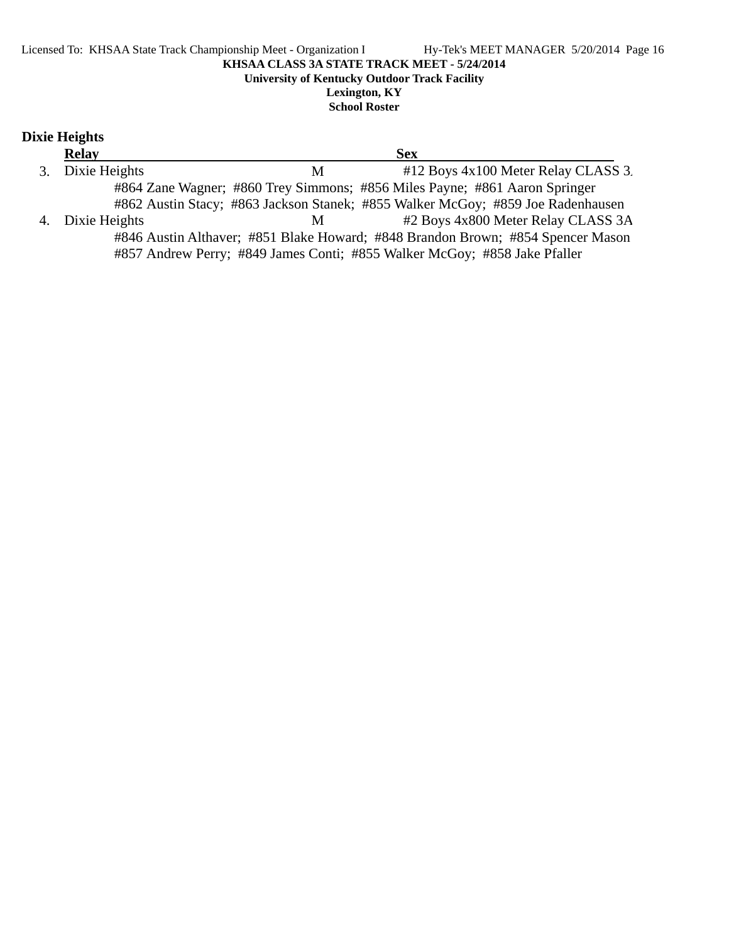# **Dixie Heights**

| <b>Relay</b>     | <b>Sex</b>                                                                      |
|------------------|---------------------------------------------------------------------------------|
| 3. Dixie Heights | #12 Boys 4x100 Meter Relay CLASS 3.<br>M                                        |
|                  | #864 Zane Wagner; #860 Trey Simmons; #856 Miles Payne; #861 Aaron Springer      |
|                  | #862 Austin Stacy; #863 Jackson Stanek; #855 Walker McGoy; #859 Joe Radenhausen |
| 4. Dixie Heights | #2 Boys 4x800 Meter Relay CLASS 3A<br>M                                         |
|                  | #846 Austin Althaver; #851 Blake Howard; #848 Brandon Brown; #854 Spencer Mason |
|                  | #857 Andrew Perry; #849 James Conti; #855 Walker McGoy; #858 Jake Pfaller       |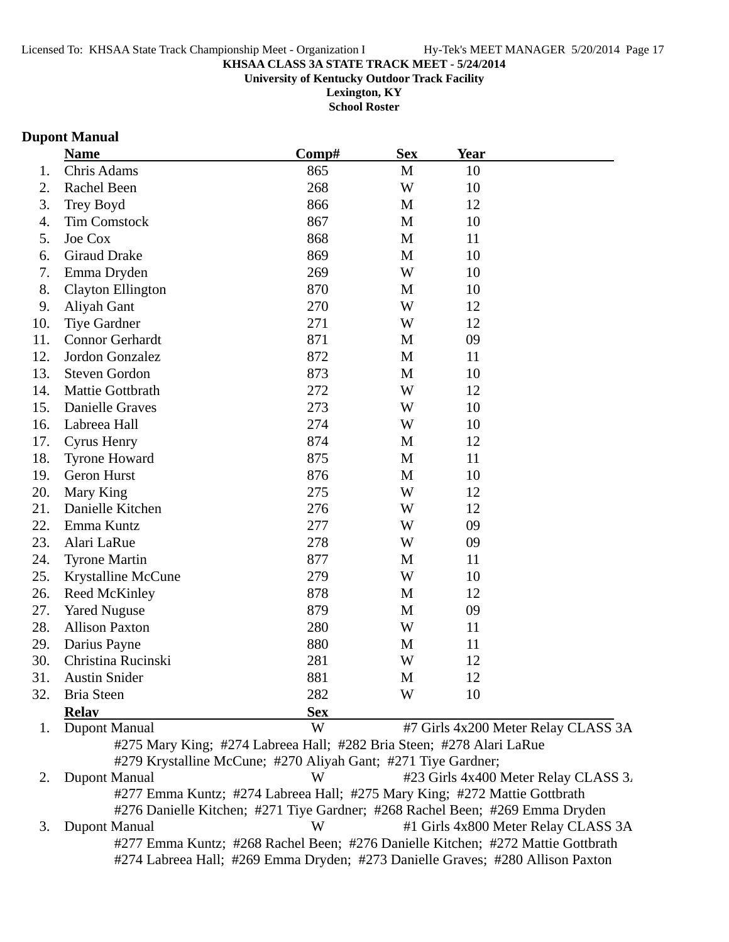**University of Kentucky Outdoor Track Facility**

**Lexington, KY School Roster**

#### **Dupont Manual**

|                  | <b>Name</b>              | Comp#                                                                | <b>Sex</b>  | <b>Year</b> |                                     |
|------------------|--------------------------|----------------------------------------------------------------------|-------------|-------------|-------------------------------------|
| 1.               | Chris Adams              | 865                                                                  | M           | 10          |                                     |
| 2.               | Rachel Been              | 268                                                                  | W           | 10          |                                     |
| 3.               | Trey Boyd                | 866                                                                  | M           | 12          |                                     |
| $\overline{4}$ . | <b>Tim Comstock</b>      | 867                                                                  | M           | 10          |                                     |
| 5.               | Joe Cox                  | 868                                                                  | M           | 11          |                                     |
| 6.               | <b>Giraud Drake</b>      | 869                                                                  | M           | 10          |                                     |
| 7.               | Emma Dryden              | 269                                                                  | W           | 10          |                                     |
| 8.               | <b>Clayton Ellington</b> | 870                                                                  | M           | 10          |                                     |
| 9.               | Aliyah Gant              | 270                                                                  | W           | 12          |                                     |
| 10.              | <b>Tiye Gardner</b>      | 271                                                                  | W           | 12          |                                     |
| 11.              | <b>Connor Gerhardt</b>   | 871                                                                  | M           | 09          |                                     |
| 12.              | Jordon Gonzalez          | 872                                                                  | M           | 11          |                                     |
| 13.              | <b>Steven Gordon</b>     | 873                                                                  | M           | 10          |                                     |
| 14.              | Mattie Gottbrath         | 272                                                                  | W           | 12          |                                     |
| 15.              | Danielle Graves          | 273                                                                  | W           | 10          |                                     |
| 16.              | Labreea Hall             | 274                                                                  | W           | 10          |                                     |
| 17.              | <b>Cyrus Henry</b>       | 874                                                                  | M           | 12          |                                     |
| 18.              | <b>Tyrone Howard</b>     | 875                                                                  | M           | 11          |                                     |
| 19.              | Geron Hurst              | 876                                                                  | M           | 10          |                                     |
| 20.              | Mary King                | 275                                                                  | W           | 12          |                                     |
| 21.              | Danielle Kitchen         | 276                                                                  | W           | 12          |                                     |
| 22.              | Emma Kuntz               | 277                                                                  | W           | 09          |                                     |
| 23.              | Alari LaRue              | 278                                                                  | W           | 09          |                                     |
| 24.              | <b>Tyrone Martin</b>     | 877                                                                  | M           | 11          |                                     |
| 25.              | Krystalline McCune       | 279                                                                  | W           | 10          |                                     |
| 26.              | Reed McKinley            | 878                                                                  | M           | 12          |                                     |
| 27.              | <b>Yared Nuguse</b>      | 879                                                                  | M           | 09          |                                     |
| 28.              | <b>Allison Paxton</b>    | 280                                                                  | W           | 11          |                                     |
| 29.              | Darius Payne             | 880                                                                  | $\mathbf M$ | 11          |                                     |
| 30.              | Christina Rucinski       | 281                                                                  | W           | 12          |                                     |
| 31.              | <b>Austin Snider</b>     | 881                                                                  | M           | 12          |                                     |
| 32.              | <b>Bria Steen</b>        | 282                                                                  | W           | 10          |                                     |
|                  | <b>Relay</b>             | <b>Sex</b>                                                           |             |             |                                     |
| 1.               | <b>Dupont Manual</b>     | W                                                                    |             |             | #7 Girls 4x200 Meter Relay CLASS 3A |
|                  |                          | #275 Mary King; #274 Labreea Hall; #282 Bria Steen; #278 Alari LaRue |             |             |                                     |
|                  |                          | #279 Krystalline McCune; #270 Aliyah Gant; #271 Tiye Gardner;        |             |             |                                     |

2. Dupont Manual W #23 Girls 4x400 Meter Relay CLASS 3. #277 Emma Kuntz; #274 Labreea Hall; #275 Mary King; #272 Mattie Gottbrath #276 Danielle Kitchen; #271 Tiye Gardner; #268 Rachel Been; #269 Emma Dryden 3. Dupont Manual W #1 Girls 4x800 Meter Relay CLASS 3A #277 Emma Kuntz; #268 Rachel Been; #276 Danielle Kitchen; #272 Mattie Gottbrath #274 Labreea Hall; #269 Emma Dryden; #273 Danielle Graves; #280 Allison Paxton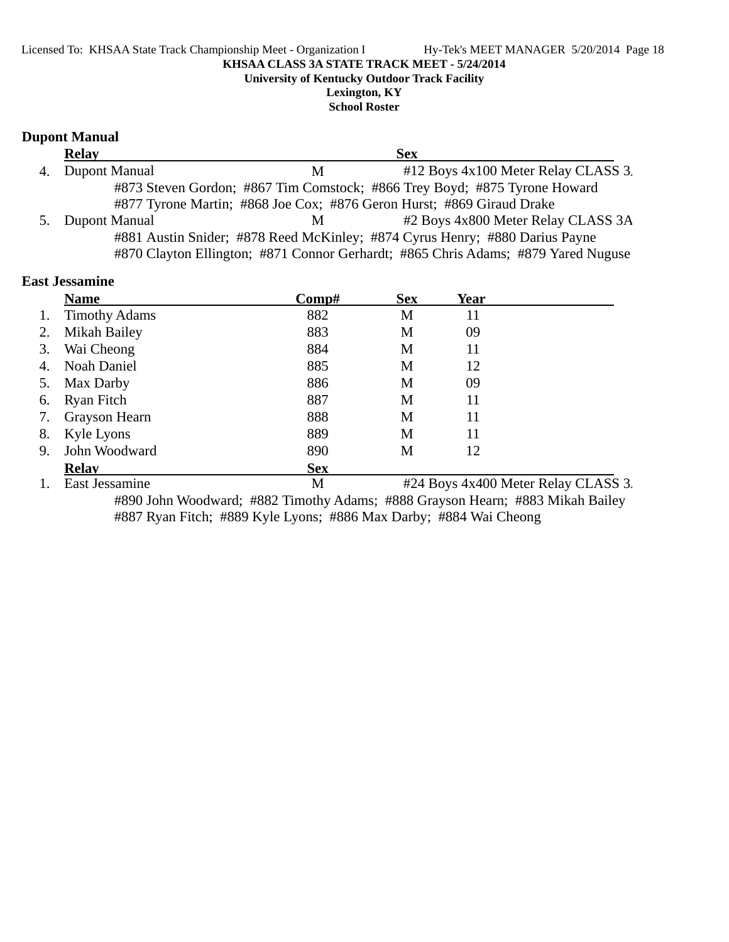# **University of Kentucky Outdoor Track Facility**

**Lexington, KY School Roster**

# **Dupont Manual**

|    | <b>Relay</b>  | <b>Sex</b>                                                                        |  |
|----|---------------|-----------------------------------------------------------------------------------|--|
| 4. | Dupont Manual | #12 Boys 4x100 Meter Relay CLASS 3.<br>M                                          |  |
|    |               | #873 Steven Gordon; #867 Tim Comstock; #866 Trey Boyd; #875 Tyrone Howard         |  |
|    |               | #877 Tyrone Martin; #868 Joe Cox; #876 Geron Hurst; #869 Giraud Drake             |  |
| 5. | Dupont Manual | #2 Boys 4x800 Meter Relay CLASS 3A<br>M                                           |  |
|    |               | #881 Austin Snider; #878 Reed McKinley; #874 Cyrus Henry; #880 Darius Payne       |  |
|    |               | #870 Clayton Ellington; #871 Connor Gerhardt; #865 Chris Adams; #879 Yared Nuguse |  |

| <b>East Jessamine</b> |  |
|-----------------------|--|
|                       |  |

|    | <b>Name</b>          | $\bf Comp\#$ | <b>Sex</b> | Year                                |
|----|----------------------|--------------|------------|-------------------------------------|
| 1. | <b>Timothy Adams</b> | 882          | M          | 11                                  |
|    | Mikah Bailey         | 883          | M          | 09                                  |
| 3. | Wai Cheong           | 884          | M          | 11                                  |
| 4. | Noah Daniel          | 885          | M          | 12                                  |
| 5. | Max Darby            | 886          | M          | 09                                  |
| 6. | <b>Ryan Fitch</b>    | 887          | M          | 11                                  |
| 7. | Grayson Hearn        | 888          | M          | 11                                  |
| 8. | Kyle Lyons           | 889          | M          | 11                                  |
| 9. | John Woodward        | 890          | М          | 12                                  |
|    | <b>Relay</b>         | <b>Sex</b>   |            |                                     |
|    | East Jessamine       | M            |            | #24 Boys 4x400 Meter Relay CLASS 3. |

#890 John Woodward; #882 Timothy Adams; #888 Grayson Hearn; #883 Mikah Bailey #887 Ryan Fitch; #889 Kyle Lyons; #886 Max Darby; #884 Wai Cheong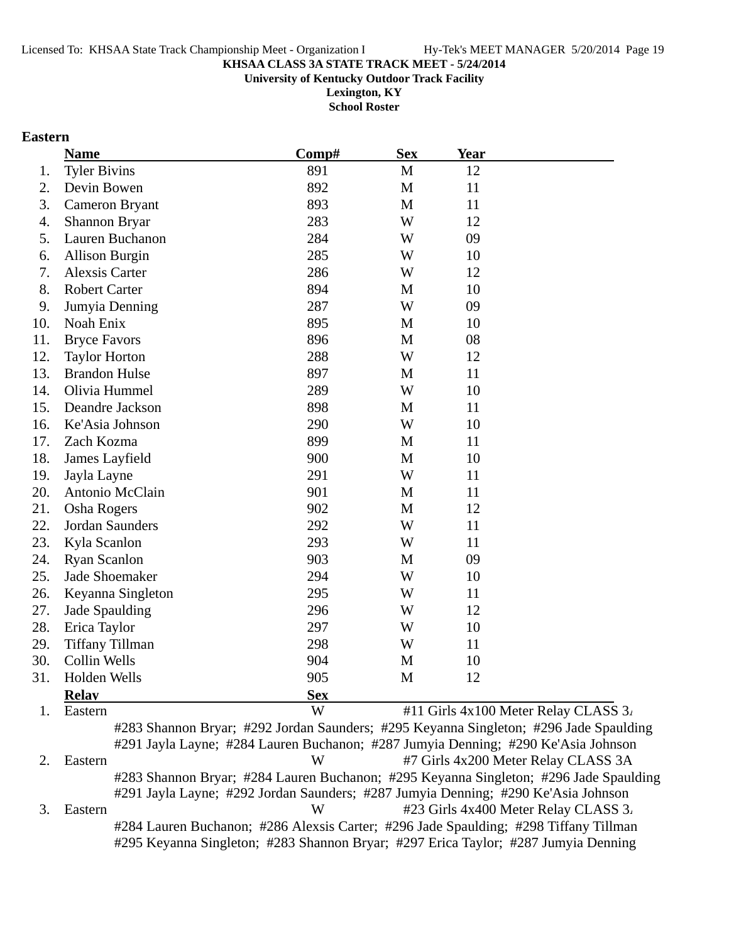**University of Kentucky Outdoor Track Facility**

**Lexington, KY School Roster**

#### **Eastern**

|     | <b>Name</b>            | Comp#      | <b>Sex</b>                                          | Year                     |                           |                   |
|-----|------------------------|------------|-----------------------------------------------------|--------------------------|---------------------------|-------------------|
| 1.  | <b>Tyler Bivins</b>    | 891        | $\mathbf M$                                         | 12                       |                           |                   |
| 2.  | Devin Bowen            | 892        | M                                                   | 11                       |                           |                   |
| 3.  | <b>Cameron Bryant</b>  | 893        | M                                                   | 11                       |                           |                   |
| 4.  | <b>Shannon Bryar</b>   | 283        | W                                                   | 12                       |                           |                   |
| 5.  | Lauren Buchanon        | 284        | W                                                   | 09                       |                           |                   |
| 6.  | <b>Allison Burgin</b>  | 285        | W                                                   | 10                       |                           |                   |
| 7.  | <b>Alexsis Carter</b>  | 286        | W                                                   | 12                       |                           |                   |
| 8.  | <b>Robert Carter</b>   | 894        | M                                                   | 10                       |                           |                   |
| 9.  | Jumyia Denning         | 287        | W                                                   | 09                       |                           |                   |
| 10. | Noah Enix              | 895        | M                                                   | 10                       |                           |                   |
| 11. | <b>Bryce Favors</b>    | 896        | M                                                   | 08                       |                           |                   |
| 12. | <b>Taylor Horton</b>   | 288        | W                                                   | 12                       |                           |                   |
| 13. | <b>Brandon Hulse</b>   | 897        | M                                                   | 11                       |                           |                   |
| 14. | Olivia Hummel          | 289        | W                                                   | 10                       |                           |                   |
| 15. | Deandre Jackson        | 898        | M                                                   | 11                       |                           |                   |
| 16. | Ke'Asia Johnson        | 290        | W                                                   | 10                       |                           |                   |
| 17. | Zach Kozma             | 899        | M                                                   | 11                       |                           |                   |
| 18. | James Layfield         | 900        | M                                                   | 10                       |                           |                   |
| 19. | Jayla Layne            | 291        | W                                                   | 11                       |                           |                   |
| 20. | Antonio McClain        | 901        | M                                                   | 11                       |                           |                   |
| 21. | <b>Osha Rogers</b>     | 902        | M                                                   | 12                       |                           |                   |
| 22. | Jordan Saunders        | 292        | W                                                   | 11                       |                           |                   |
| 23. | Kyla Scanlon           | 293        | W                                                   | 11                       |                           |                   |
| 24. | <b>Ryan Scanlon</b>    | 903        | M                                                   | 09                       |                           |                   |
| 25. | <b>Jade Shoemaker</b>  | 294        | W                                                   | 10                       |                           |                   |
| 26. | Keyanna Singleton      | 295        | W                                                   | 11                       |                           |                   |
| 27. | Jade Spaulding         | 296        | W                                                   | 12                       |                           |                   |
| 28. | Erica Taylor           | 297        | W                                                   | 10                       |                           |                   |
| 29. | <b>Tiffany Tillman</b> | 298        | W                                                   | 11                       |                           |                   |
| 30. | Collin Wells           | 904        | M                                                   | 10                       |                           |                   |
| 31. | Holden Wells           | 905        | M                                                   | 12                       |                           |                   |
|     | <b>Relay</b>           | <b>Sex</b> |                                                     |                          |                           |                   |
|     |                        | $T$ $T$    | $\mathbf{u}$ $\mathbf{u}$ $\mathbf{v}$ $\mathbf{v}$ | 100.35<br>$\overline{ }$ | $\mathbf{r}$ $\mathbf{r}$ | $\alpha$ $\alpha$ |

1. Eastern **1. Eastern 1. Eastern 1. Eastern 1. Eastern 1. Eastern 1. Eastern 1. Eastern 1. Eastern 1. Eastern 1. Eastern 1. Eastern 4. Eastern 1. Eastern 1. Eastern 1. Eastern 1. Eastern 1. Eastern 1. Eastern 1. Eastern** #283 Shannon Bryar; #292 Jordan Saunders; #295 Keyanna Singleton; #296 Jade Spaulding #291 Jayla Layne; #284 Lauren Buchanon; #287 Jumyia Denning; #290 Ke'Asia Johnson 2. Eastern W #7 Girls 4x200 Meter Relay CLASS 3A #283 Shannon Bryar; #284 Lauren Buchanon; #295 Keyanna Singleton; #296 Jade Spaulding #291 Jayla Layne; #292 Jordan Saunders; #287 Jumyia Denning; #290 Ke'Asia Johnson 3. Eastern W #23 Girls 4x400 Meter Relay CLASS 3. #284 Lauren Buchanon; #286 Alexsis Carter; #296 Jade Spaulding; #298 Tiffany Tillman #295 Keyanna Singleton; #283 Shannon Bryar; #297 Erica Taylor; #287 Jumyia Denning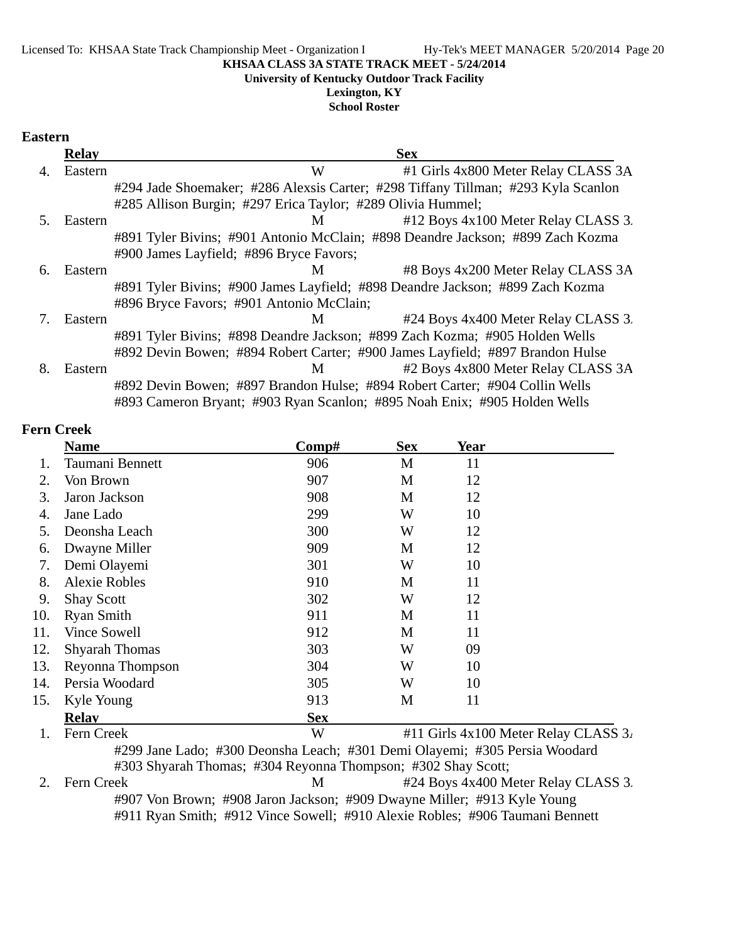#### **University of Kentucky Outdoor Track Facility**

#### **Lexington, KY**

#### **School Roster**

#### **Eastern**

|    | <b>Relay</b> | <b>Sex</b>                                                                        |
|----|--------------|-----------------------------------------------------------------------------------|
| 4. | Eastern      | W<br>#1 Girls 4x800 Meter Relay CLASS 3A                                          |
|    |              | #294 Jade Shoemaker; #286 Alexsis Carter; #298 Tiffany Tillman; #293 Kyla Scanlon |
|    |              | #285 Allison Burgin; #297 Erica Taylor; #289 Olivia Hummel;                       |
| .5 | Eastern      | #12 Boys 4x100 Meter Relay CLASS 3.<br>M                                          |
|    |              | #891 Tyler Bivins; #901 Antonio McClain; #898 Deandre Jackson; #899 Zach Kozma    |
|    |              | #900 James Layfield; #896 Bryce Favors;                                           |
| 6. | Eastern      | #8 Boys 4x200 Meter Relay CLASS 3A<br>M                                           |
|    |              | #891 Tyler Bivins; #900 James Layfield; #898 Deandre Jackson; #899 Zach Kozma     |
|    |              | #896 Bryce Favors; #901 Antonio McClain;                                          |
|    | Eastern      | #24 Boys 4x400 Meter Relay CLASS 3.<br>M                                          |
|    |              | #891 Tyler Bivins; #898 Deandre Jackson; #899 Zach Kozma; #905 Holden Wells       |
|    |              | #892 Devin Bowen; #894 Robert Carter; #900 James Layfield; #897 Brandon Hulse     |
| 8. | Eastern      | #2 Boys 4x800 Meter Relay CLASS 3A<br>M                                           |
|    |              | #892 Devin Bowen; #897 Brandon Hulse; #894 Robert Carter; #904 Collin Wells       |
|    |              | #893 Cameron Bryant; #903 Ryan Scanlon; #895 Noah Enix; #905 Holden Wells         |

#### **Fern Creek**

|     | <b>Name</b>           | Comp#      | <b>Sex</b> | <b>Year</b>                          |
|-----|-----------------------|------------|------------|--------------------------------------|
| 1.  | Taumani Bennett       | 906        | M          | 11                                   |
| 2.  | Von Brown             | 907        | M          | 12                                   |
| 3.  | Jaron Jackson         | 908        | M          | 12                                   |
| 4.  | Jane Lado             | 299        | W          | 10                                   |
| 5.  | Deonsha Leach         | 300        | W          | 12                                   |
| 6.  | Dwayne Miller         | 909        | M          | 12                                   |
| 7.  | Demi Olayemi          | 301        | W          | 10                                   |
| 8.  | <b>Alexie Robles</b>  | 910        | M          | 11                                   |
| 9.  | <b>Shay Scott</b>     | 302        | W          | 12                                   |
| 10. | <b>Ryan Smith</b>     | 911        | M          | 11                                   |
| 11. | <b>Vince Sowell</b>   | 912        | M          | 11                                   |
| 12. | <b>Shyarah Thomas</b> | 303        | W          | 09                                   |
| 13. | Reyonna Thompson      | 304        | W          | 10                                   |
| 14. | Persia Woodard        | 305        | W          | 10                                   |
| 15. | Kyle Young            | 913        | M          | 11                                   |
|     | <b>Relav</b>          | <b>Sex</b> |            |                                      |
| 1.  | Fern Creek            | W          |            | #11 Girls 4x100 Meter Relay CLASS 3. |

#299 Jane Lado; #300 Deonsha Leach; #301 Demi Olayemi; #305 Persia Woodard #303 Shyarah Thomas; #304 Reyonna Thompson; #302 Shay Scott; 2. Fern Creek M #24 Boys 4x400 Meter Relay CLASS 3. #907 Von Brown; #908 Jaron Jackson; #909 Dwayne Miller; #913 Kyle Young #911 Ryan Smith; #912 Vince Sowell; #910 Alexie Robles; #906 Taumani Bennett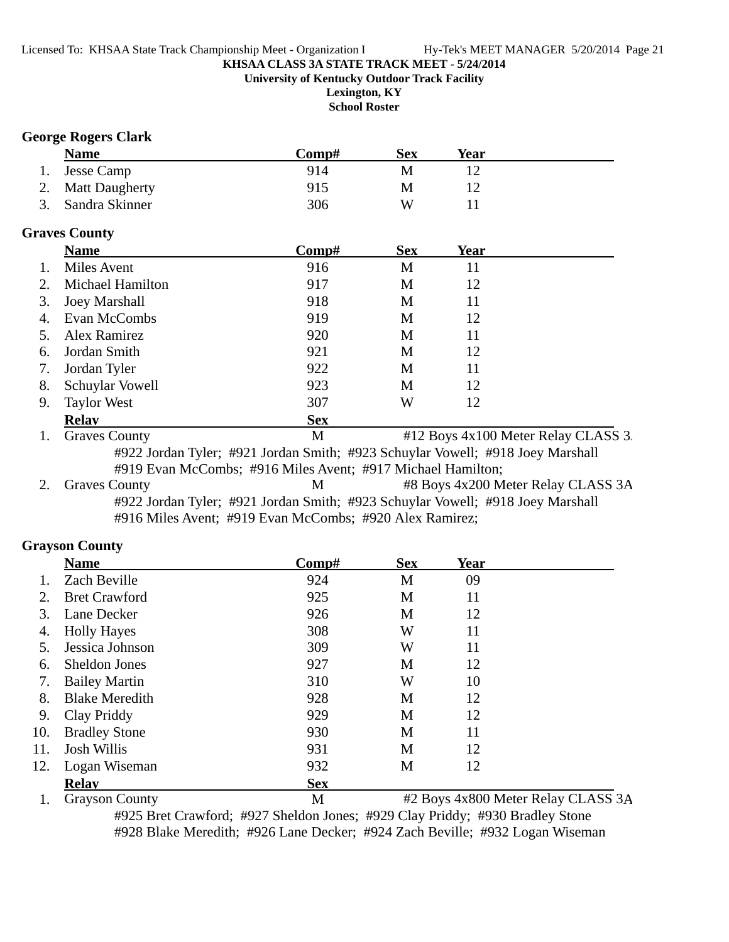#### **KHSAA CLASS 3A STATE TRACK MEET - 5/24/2014 University of Kentucky Outdoor Track Facility Lexington, KY**

**School Roster**

# **George Rogers Clark**

|    | <b>Name</b>                                                                    | Comp#               | <b>Sex</b> | <b>Year</b>    |                                     |
|----|--------------------------------------------------------------------------------|---------------------|------------|----------------|-------------------------------------|
| 1. | Jesse Camp                                                                     | 914                 | M          | 12             |                                     |
| 2. | <b>Matt Daugherty</b>                                                          | 915                 | M          | 12             |                                     |
| 3. | Sandra Skinner                                                                 | 306                 | W          | 11             |                                     |
|    | <b>Graves County</b>                                                           |                     |            |                |                                     |
|    | <b>Name</b>                                                                    | Comp#               | <b>Sex</b> | Year           |                                     |
| 1. | Miles Avent                                                                    | 916                 | M          | 11             |                                     |
| 2. | Michael Hamilton                                                               | 917                 | M          | 12             |                                     |
| 3. | <b>Joey Marshall</b>                                                           | 918                 | M          | 11             |                                     |
| 4. | Evan McCombs                                                                   | 919                 | M          | 12             |                                     |
| 5. | Alex Ramirez                                                                   | 920                 | M          | 11             |                                     |
| 6. | Jordan Smith                                                                   | 921                 | M          | 12             |                                     |
| 7. | Jordan Tyler                                                                   | 922                 | M          | 11             |                                     |
| 8. | Schuylar Vowell                                                                | 923                 | M          | 12             |                                     |
| 9. | <b>Taylor West</b>                                                             | 307                 | W          | 12             |                                     |
|    | <b>Relav</b>                                                                   | <b>Sex</b>          |            |                |                                     |
| 1. | <b>Graves County</b>                                                           | M                   |            |                | #12 Boys 4x100 Meter Relay CLASS 3. |
|    | #922 Jordan Tyler; #921 Jordan Smith; #923 Schuylar Vowell; #918 Joey Marshall |                     |            |                |                                     |
|    | #919 Evan McCombs; #916 Miles Avent; #917 Michael Hamilton;                    |                     |            |                |                                     |
| 2. | <b>Graves County</b>                                                           | M                   |            |                | #8 Boys 4x200 Meter Relay CLASS 3A  |
|    | #922 Jordan Tyler; #921 Jordan Smith; #923 Schuylar Vowell; #918 Joey Marshall |                     |            |                |                                     |
|    | #916 Miles Avent; #919 Evan McCombs; #920 Alex Ramirez;                        |                     |            |                |                                     |
|    | <b>Grayson County</b>                                                          |                     |            |                |                                     |
|    | $\mathbf{N}$                                                                   | $\mathcal{C}$ $\mu$ | $\Omega$   | $\mathbf{V}$ . |                                     |

|             | <b>Name</b>           | Comp#      | <b>Sex</b> | <b>Year</b> |                                    |
|-------------|-----------------------|------------|------------|-------------|------------------------------------|
|             | Zach Beville          | 924        | M          | 09          |                                    |
| $2_{\cdot}$ | <b>Bret Crawford</b>  | 925        | M          | 11          |                                    |
| 3.          | Lane Decker           | 926        | M          | 12          |                                    |
| 4.          | <b>Holly Hayes</b>    | 308        | W          | 11          |                                    |
| 5.          | Jessica Johnson       | 309        | W          | 11          |                                    |
| 6.          | Sheldon Jones         | 927        | M          | 12          |                                    |
| 7.          | <b>Bailey Martin</b>  | 310        | W          | 10          |                                    |
| 8.          | <b>Blake Meredith</b> | 928        | M          | 12          |                                    |
| 9.          | Clay Priddy           | 929        | M          | 12          |                                    |
| 10.         | <b>Bradley Stone</b>  | 930        | M          | 11          |                                    |
| 11.         | <b>Josh Willis</b>    | 931        | M          | 12          |                                    |
| 12.         | Logan Wiseman         | 932        | M          | 12          |                                    |
|             | <b>Relay</b>          | <b>Sex</b> |            |             |                                    |
|             | <b>Grayson County</b> | M          |            |             | #2 Boys 4x800 Meter Relay CLASS 3A |

#925 Bret Crawford; #927 Sheldon Jones; #929 Clay Priddy; #930 Bradley Stone #928 Blake Meredith; #926 Lane Decker; #924 Zach Beville; #932 Logan Wiseman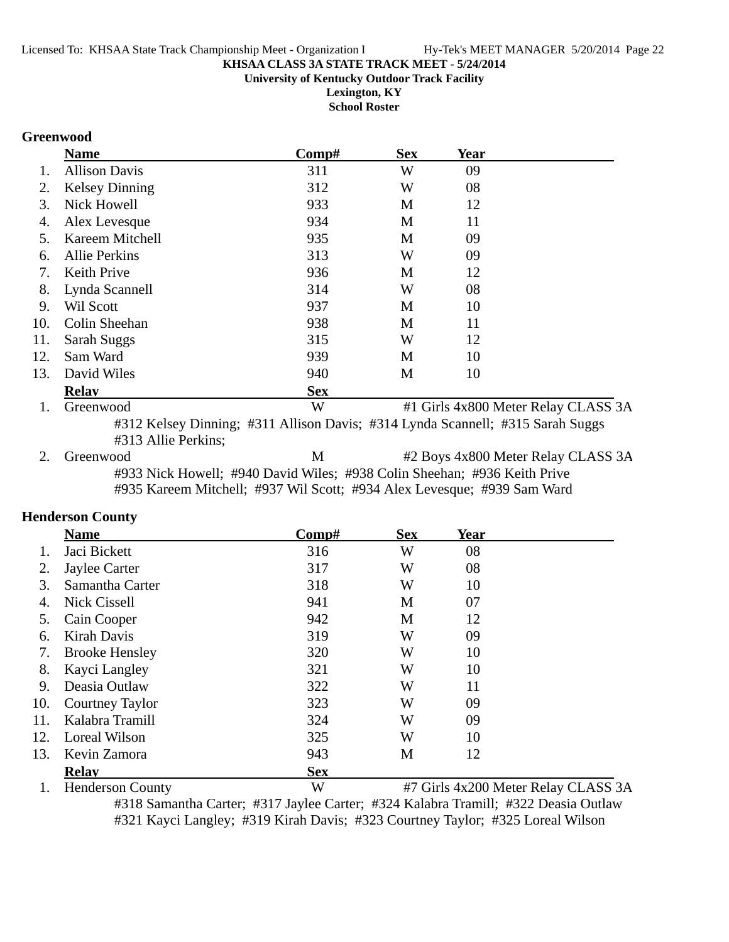**University of Kentucky Outdoor Track Facility**

**Lexington, KY School Roster**

#### **Greenwood**

|     | <b>Name</b>           | Comp#      | <b>Sex</b> | Year |                                     |
|-----|-----------------------|------------|------------|------|-------------------------------------|
|     | <b>Allison Davis</b>  | 311        | W          | 09   |                                     |
| 2.  | <b>Kelsey Dinning</b> | 312        | W          | 08   |                                     |
| 3.  | Nick Howell           | 933        | M          | 12   |                                     |
| 4.  | Alex Levesque         | 934        | M          | 11   |                                     |
| 5.  | Kareem Mitchell       | 935        | M          | 09   |                                     |
| 6.  | <b>Allie Perkins</b>  | 313        | W          | 09   |                                     |
| 7.  | Keith Prive           | 936        | M          | 12   |                                     |
| 8.  | Lynda Scannell        | 314        | W          | 08   |                                     |
| 9.  | Wil Scott             | 937        | M          | 10   |                                     |
| 10. | Colin Sheehan         | 938        | M          | 11   |                                     |
| 11. | Sarah Suggs           | 315        | W          | 12   |                                     |
| 12. | Sam Ward              | 939        | M          | 10   |                                     |
| 13. | David Wiles           | 940        | M          | 10   |                                     |
|     | <b>Relav</b>          | <b>Sex</b> |            |      |                                     |
| 1.  | Greenwood             | W          |            |      | #1 Girls 4x800 Meter Relay CLASS 3A |

#312 Kelsey Dinning; #311 Allison Davis; #314 Lynda Scannell; #315 Sarah Suggs #313 Allie Perkins;

2. Greenwood M #2 Boys 4x800 Meter Relay CLASS 3A #933 Nick Howell; #940 David Wiles; #938 Colin Sheehan; #936 Keith Prive #935 Kareem Mitchell; #937 Wil Scott; #934 Alex Levesque; #939 Sam Ward

#### **Henderson County**

|     | <b>Name</b>           | Comp#      | <b>Sex</b> | Year |  |
|-----|-----------------------|------------|------------|------|--|
|     | Jaci Bickett          | 316        | W          | 08   |  |
| 2.  | Jaylee Carter         | 317        | W          | 08   |  |
| 3.  | Samantha Carter       | 318        | W          | 10   |  |
| 4.  | <b>Nick Cissell</b>   | 941        | M          | 07   |  |
| 5.  | Cain Cooper           | 942        | M          | 12   |  |
| 6.  | Kirah Davis           | 319        | W          | 09   |  |
| 7.  | <b>Brooke Hensley</b> | 320        | W          | 10   |  |
| 8.  | Kayci Langley         | 321        | W          | 10   |  |
| 9.  | Deasia Outlaw         | 322        | W          | 11   |  |
| 10. | Courtney Taylor       | 323        | W          | 09   |  |
| 11. | Kalabra Tramill       | 324        | W          | 09   |  |
| 12. | Loreal Wilson         | 325        | W          | 10   |  |
| 13. | Kevin Zamora          | 943        | M          | 12   |  |
|     | <b>Relav</b>          | <b>Sex</b> |            |      |  |
|     |                       |            |            |      |  |

1. Henderson County W #7 Girls 4x200 Meter Relay CLASS 3A

#318 Samantha Carter; #317 Jaylee Carter; #324 Kalabra Tramill; #322 Deasia Outlaw #321 Kayci Langley; #319 Kirah Davis; #323 Courtney Taylor; #325 Loreal Wilson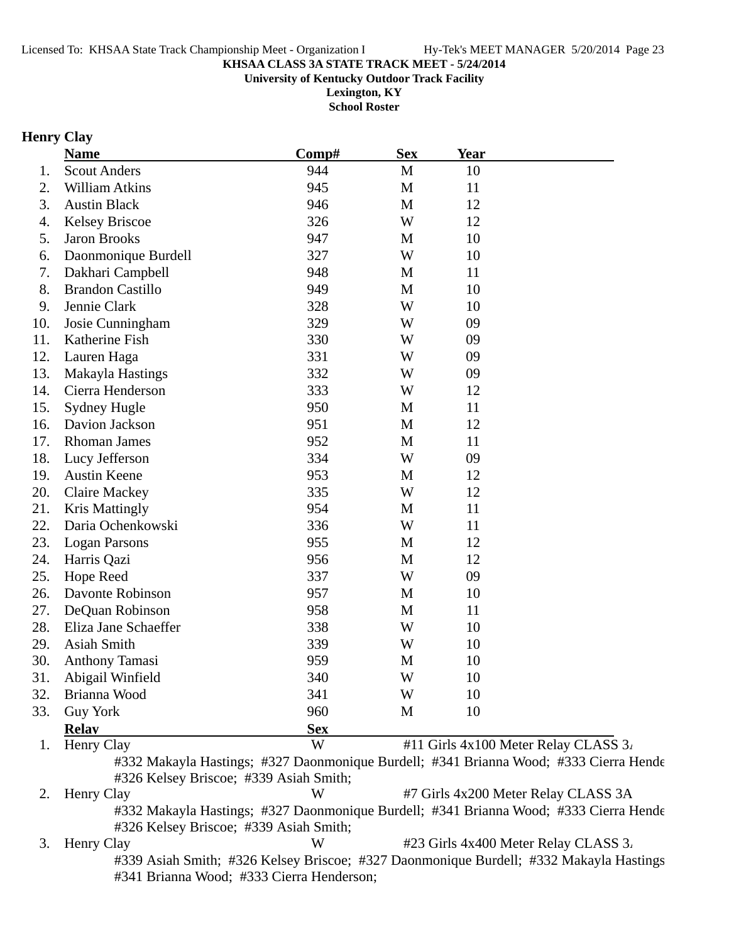**University of Kentucky Outdoor Track Facility**

**Lexington, KY School Roster**

# **Henry Clay**

|     | <b>Name</b>             | Comp#      | <b>Sex</b> | Year                                 |  |
|-----|-------------------------|------------|------------|--------------------------------------|--|
|     | <b>Scout Anders</b>     | 944        | M          | 10                                   |  |
|     | William Atkins          | 945        | M          | 11                                   |  |
|     | <b>Austin Black</b>     | 946        | M          | 12                                   |  |
|     | <b>Kelsey Briscoe</b>   | 326        | W          | 12                                   |  |
|     | <b>Jaron Brooks</b>     | 947        | M          | 10                                   |  |
|     | Daonmonique Burdell     | 327        | W          | 10                                   |  |
|     | Dakhari Campbell        | 948        | M          | 11                                   |  |
|     | <b>Brandon Castillo</b> | 949        | M          | 10                                   |  |
|     | Jennie Clark            | 328        | W          | 10                                   |  |
|     | Josie Cunningham        | 329        | W          | 09                                   |  |
|     | Katherine Fish          | 330        | W          | 09                                   |  |
|     | Lauren Haga             | 331        | W          | 09                                   |  |
|     | Makayla Hastings        | 332        | W          | 09                                   |  |
|     | Cierra Henderson        | 333        | W          | 12                                   |  |
|     | <b>Sydney Hugle</b>     | 950        | M          | 11                                   |  |
|     | Davion Jackson          | 951        | M          | 12                                   |  |
|     | <b>Rhoman James</b>     | 952        | M          | 11                                   |  |
| 18. | Lucy Jefferson          | 334        | W          | 09                                   |  |
|     | <b>Austin Keene</b>     | 953        | M          | 12                                   |  |
|     | <b>Claire Mackey</b>    | 335        | W          | 12                                   |  |
|     | <b>Kris Mattingly</b>   | 954        | M          | 11                                   |  |
|     | Daria Ochenkowski       | 336        | W          | 11                                   |  |
|     | <b>Logan Parsons</b>    | 955        | M          | 12                                   |  |
|     | Harris Qazi             | 956        | M          | 12                                   |  |
|     | Hope Reed               | 337        | W          | 09                                   |  |
|     | Davonte Robinson        | 957        | M          | 10                                   |  |
|     | DeQuan Robinson         | 958        | M          | 11                                   |  |
|     | Eliza Jane Schaeffer    | 338        | W          | 10                                   |  |
|     | Asiah Smith             | 339        | W          | 10                                   |  |
|     | <b>Anthony Tamasi</b>   | 959        | M          | 10                                   |  |
|     | 31. Abigail Winfield    | 340        | W          | 10                                   |  |
|     | Brianna Wood            | 341        | W          | 10                                   |  |
|     | <b>Guy York</b>         | 960        | M          | 10                                   |  |
|     | <b>Relay</b>            | <b>Sex</b> |            |                                      |  |
|     | Henry Clay              | W          |            | #11 Girls 4x100 Meter Relay CLASS 3. |  |

2. Henry Clay **W** #7 Girls 4x200 Meter Relay CLASS 3A #332 Makayla Hastings; #327 Daonmonique Burdell; #341 Brianna Wood; #333 Cierra Hende #326 Kelsey Briscoe; #339 Asiah Smith; 3. Henry Clay W #23 Girls 4x400 Meter Relay CLASS 3.

#339 Asiah Smith; #326 Kelsey Briscoe; #327 Daonmonique Burdell; #332 Makayla Hastings #341 Brianna Wood; #333 Cierra Henderson;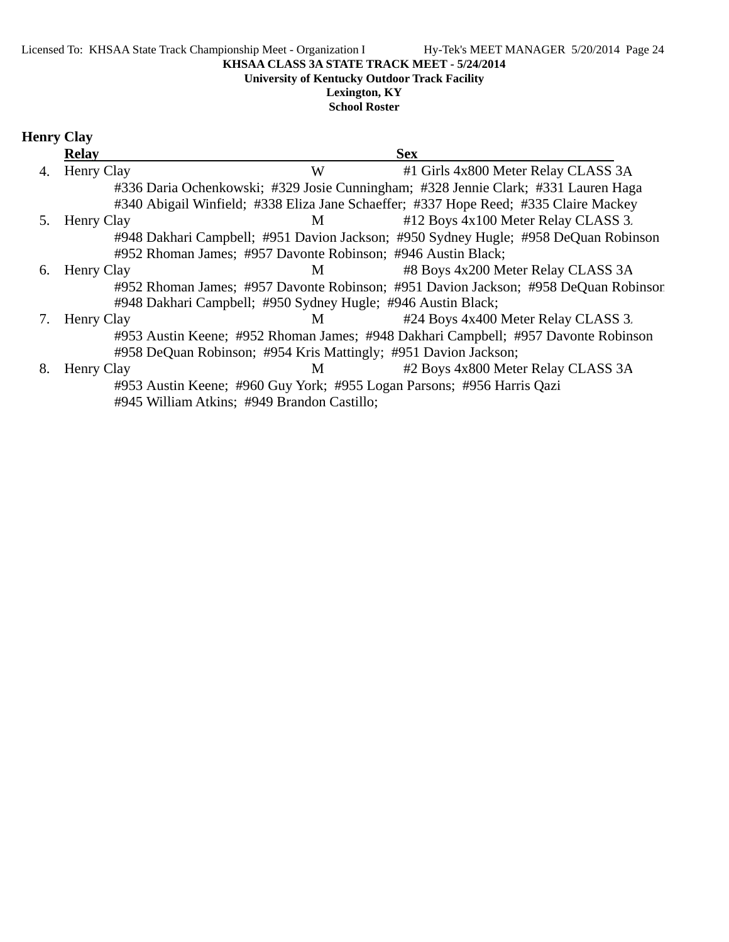**University of Kentucky Outdoor Track Facility**

#### **Lexington, KY School Roster**

# **Henry Clay**

|    | <b>Relay</b>      |                                                                 | <b>Sex</b>                                                                           |
|----|-------------------|-----------------------------------------------------------------|--------------------------------------------------------------------------------------|
| 4. | Henry Clay        | W                                                               | #1 Girls 4x800 Meter Relay CLASS 3A                                                  |
|    |                   |                                                                 | #336 Daria Ochenkowski; #329 Josie Cunningham; #328 Jennie Clark; #331 Lauren Haga   |
|    |                   |                                                                 | #340 Abigail Winfield; #338 Eliza Jane Schaeffer; #337 Hope Reed; #335 Claire Mackey |
| 5. | Henry Clay        | M <sub>1</sub>                                                  | #12 Boys 4x100 Meter Relay CLASS 3.                                                  |
|    |                   |                                                                 | #948 Dakhari Campbell; #951 Davion Jackson; #950 Sydney Hugle; #958 DeQuan Robinson  |
|    |                   | #952 Rhoman James; #957 Davonte Robinson; #946 Austin Black;    |                                                                                      |
| 6. | <b>Henry Clay</b> | M <sub>1</sub>                                                  | #8 Boys 4x200 Meter Relay CLASS 3A                                                   |
|    |                   |                                                                 | #952 Rhoman James; #957 Davonte Robinson; #951 Davion Jackson; #958 DeQuan Robinson  |
|    |                   | #948 Dakhari Campbell; #950 Sydney Hugle; #946 Austin Black;    |                                                                                      |
|    | Henry Clay        | M <sub>1</sub>                                                  | #24 Boys 4x400 Meter Relay CLASS 3.                                                  |
|    |                   |                                                                 | #953 Austin Keene; #952 Rhoman James; #948 Dakhari Campbell; #957 Davonte Robinson   |
|    |                   | #958 DeQuan Robinson; #954 Kris Mattingly; #951 Davion Jackson; |                                                                                      |
| 8. | Henry Clay        | M                                                               | #2 Boys 4x800 Meter Relay CLASS 3A                                                   |
|    |                   |                                                                 | #953 Austin Keene; #960 Guy York; #955 Logan Parsons; #956 Harris Qazi               |
|    |                   | #945 William Atkins; #949 Brandon Castillo;                     |                                                                                      |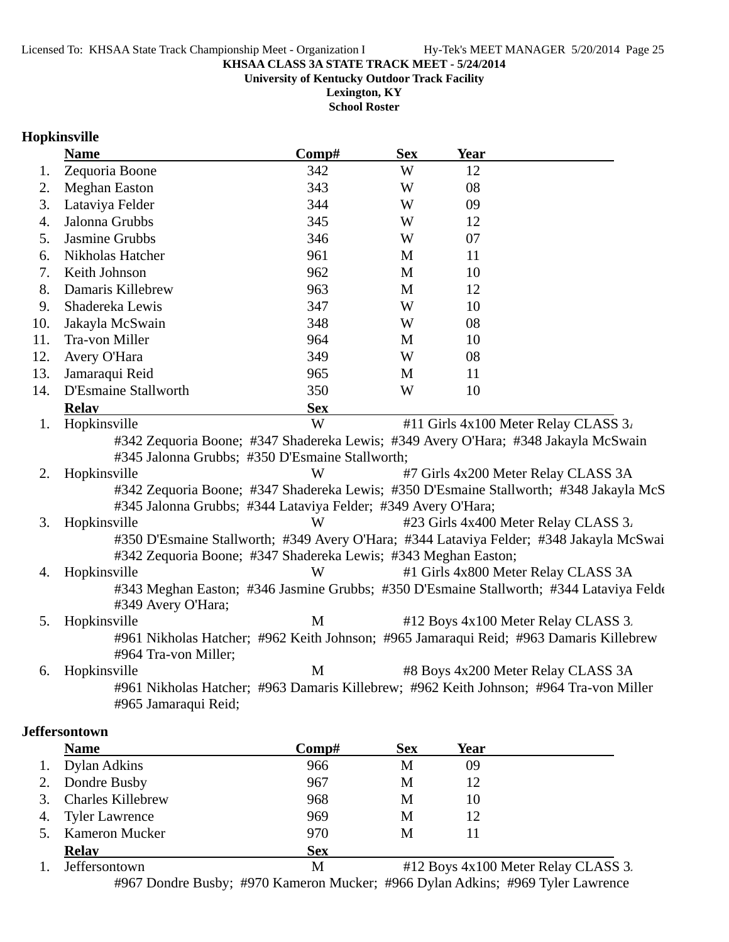**University of Kentucky Outdoor Track Facility**

**Lexington, KY School Roster**

# **Hopkinsville**

|     | <b>Name</b>                                                    | Comp#       | <b>Sex</b> | <b>Year</b> |                                                                                         |
|-----|----------------------------------------------------------------|-------------|------------|-------------|-----------------------------------------------------------------------------------------|
| 1.  | Zequoria Boone                                                 | 342         | W          | 12          |                                                                                         |
| 2.  | <b>Meghan Easton</b>                                           | 343         | W          | 08          |                                                                                         |
| 3.  | Lataviya Felder                                                | 344         | W          | 09          |                                                                                         |
| 4.  | Jalonna Grubbs                                                 | 345         | W          | 12          |                                                                                         |
| 5.  | <b>Jasmine Grubbs</b>                                          | 346         | W          | 07          |                                                                                         |
| 6.  | Nikholas Hatcher                                               | 961         | M          | 11          |                                                                                         |
| 7.  | Keith Johnson                                                  | 962         | M          | 10          |                                                                                         |
| 8.  | Damaris Killebrew                                              | 963         | M          | 12          |                                                                                         |
| 9.  | Shadereka Lewis                                                | 347         | W          | 10          |                                                                                         |
| 10. | Jakayla McSwain                                                | 348         | W          | 08          |                                                                                         |
| 11. | Tra-von Miller                                                 | 964         | M          | 10          |                                                                                         |
| 12. | Avery O'Hara                                                   | 349         | W          | 08          |                                                                                         |
| 13. | Jamaraqui Reid                                                 | 965         | M          | 11          |                                                                                         |
| 14. | D'Esmaine Stallworth                                           | 350         | W          | 10          |                                                                                         |
|     | <b>Relay</b>                                                   | <b>Sex</b>  |            |             |                                                                                         |
| 1.  | Hopkinsville                                                   | W           |            |             | #11 Girls 4x100 Meter Relay CLASS 3.                                                    |
|     |                                                                |             |            |             | #342 Zequoria Boone; #347 Shadereka Lewis; #349 Avery O'Hara; #348 Jakayla McSwain      |
|     | #345 Jalonna Grubbs; #350 D'Esmaine Stallworth;                |             |            |             |                                                                                         |
| 2.  | Hopkinsville                                                   | W           |            |             | #7 Girls 4x200 Meter Relay CLASS 3A                                                     |
|     |                                                                |             |            |             | #342 Zequoria Boone; #347 Shadereka Lewis; #350 D'Esmaine Stallworth; #348 Jakayla McS  |
|     | #345 Jalonna Grubbs; #344 Lataviya Felder; #349 Avery O'Hara;  |             |            |             |                                                                                         |
| 3.  | Hopkinsville                                                   | W           |            |             | #23 Girls 4x400 Meter Relay CLASS 3.                                                    |
|     |                                                                |             |            |             | #350 D'Esmaine Stallworth; #349 Avery O'Hara; #344 Lataviya Felder; #348 Jakayla McSwai |
|     | #342 Zequoria Boone; #347 Shadereka Lewis; #343 Meghan Easton; |             |            |             |                                                                                         |
| 4.  | Hopkinsville                                                   | W           |            |             | #1 Girls 4x800 Meter Relay CLASS 3A                                                     |
|     |                                                                |             |            |             | #343 Meghan Easton; #346 Jasmine Grubbs; #350 D'Esmaine Stallworth; #344 Lataviya Felde |
|     | #349 Avery O'Hara;                                             |             |            |             |                                                                                         |
| 5.  | Hopkinsville                                                   | $\mathbf M$ |            |             | #12 Boys 4x100 Meter Relay CLASS 3.                                                     |
|     |                                                                |             |            |             | #961 Nikholas Hatcher; #962 Keith Johnson; #965 Jamaraqui Reid; #963 Damaris Killebrew  |
|     | #964 Tra-von Miller;                                           |             |            |             |                                                                                         |
| 6.  | Hopkinsville                                                   | M           |            |             | #8 Boys 4x200 Meter Relay CLASS 3A                                                      |
|     |                                                                |             |            |             | #961 Nikholas Hatcher; #963 Damaris Killebrew; #962 Keith Johnson; #964 Tra-von Miller  |
|     | #965 Jamaraqui Reid;                                           |             |            |             |                                                                                         |

#### **Jeffersontown**

|                | <b>Name</b>              | $\bf Comp\#$ | <b>Sex</b>                   | Year                                                                                                                                                                                                                                                                                                                                                                                 |                               |
|----------------|--------------------------|--------------|------------------------------|--------------------------------------------------------------------------------------------------------------------------------------------------------------------------------------------------------------------------------------------------------------------------------------------------------------------------------------------------------------------------------------|-------------------------------|
| 1.             | Dylan Adkins             | 966          | М                            | 09                                                                                                                                                                                                                                                                                                                                                                                   |                               |
| 2.             | Dondre Busby             | 967          | M                            | 12                                                                                                                                                                                                                                                                                                                                                                                   |                               |
| 3.             | <b>Charles Killebrew</b> | 968          | M                            | 10                                                                                                                                                                                                                                                                                                                                                                                   |                               |
| 4.             | <b>Tyler Lawrence</b>    | 969          | M                            | 12                                                                                                                                                                                                                                                                                                                                                                                   |                               |
| 5.             | <b>Kameron Mucker</b>    | 970          | M                            |                                                                                                                                                                                                                                                                                                                                                                                      |                               |
|                | <b>Relay</b>             | <b>Sex</b>   |                              |                                                                                                                                                                                                                                                                                                                                                                                      |                               |
| $\blacksquare$ | $\mathbf{r}$ or          | $\mathbf{r}$ | $\mathbf{u}$ 10 $\mathbf{v}$ | $\overline{1}$ $\overline{1}$ $\overline{1}$ $\overline{1}$ $\overline{1}$ $\overline{1}$ $\overline{1}$ $\overline{1}$ $\overline{1}$ $\overline{1}$ $\overline{1}$ $\overline{1}$ $\overline{1}$ $\overline{1}$ $\overline{1}$ $\overline{1}$ $\overline{1}$ $\overline{1}$ $\overline{1}$ $\overline{1}$ $\overline{1}$ $\overline{1}$ $\overline{1}$ $\overline{1}$ $\overline{$ | $\overline{C}$ $\overline{C}$ |

1. Jeffersontown M #12 Boys 4x100 Meter Relay CLASS 3. #967 Dondre Busby; #970 Kameron Mucker; #966 Dylan Adkins; #969 Tyler Lawrence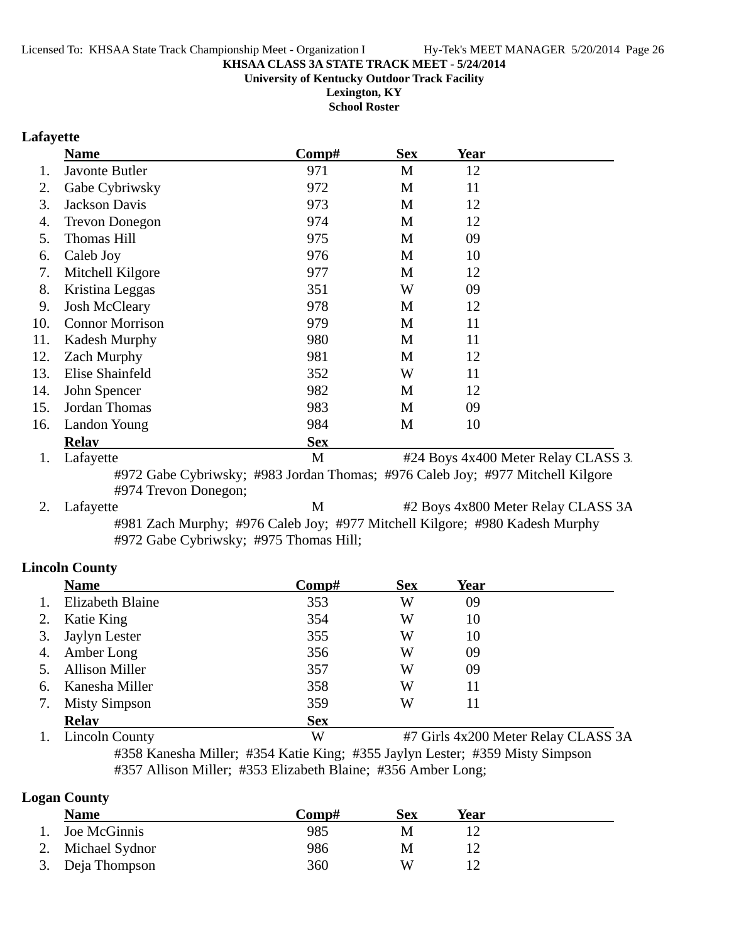**University of Kentucky Outdoor Track Facility**

**Lexington, KY School Roster**

# **Lafayette**

|     | <b>Name</b>            | Comp#      | <b>Sex</b> | <b>Year</b> |  |
|-----|------------------------|------------|------------|-------------|--|
|     | Javonte Butler         | 971        | M          | 12          |  |
| 2.  | Gabe Cybriwsky         | 972        | M          | 11          |  |
| 3.  | <b>Jackson Davis</b>   | 973        | M          | 12          |  |
| 4.  | <b>Trevon Donegon</b>  | 974        | M          | 12          |  |
| 5.  | <b>Thomas Hill</b>     | 975        | M          | 09          |  |
| 6.  | Caleb Joy              | 976        | M          | 10          |  |
| 7.  | Mitchell Kilgore       | 977        | M          | 12          |  |
| 8.  | Kristina Leggas        | 351        | W          | 09          |  |
| 9.  | <b>Josh McCleary</b>   | 978        | M          | 12          |  |
| 10. | <b>Connor Morrison</b> | 979        | M          | 11          |  |
| 11. | <b>Kadesh Murphy</b>   | 980        | M          | 11          |  |
| 12. | <b>Zach Murphy</b>     | 981        | M          | 12          |  |
| 13. | Elise Shainfeld        | 352        | W          | 11          |  |
| 14. | John Spencer           | 982        | M          | 12          |  |
| 15. | Jordan Thomas          | 983        | M          | 09          |  |
| 16. | Landon Young           | 984        | M          | 10          |  |
|     | <b>Relav</b>           | <b>Sex</b> |            |             |  |
|     |                        |            |            | .           |  |

1. Lafayette M<br>  $\text{M}$  #24 Boys 4x400 Meter Relay CLASS 3. #972 Gabe Cybriwsky; #983 Jordan Thomas; #976 Caleb Joy; #977 Mitchell Kilgore #974 Trevon Donegon;

2. Lafayette M  $\#2$  Boys 4x800 Meter Relay CLASS 3A #981 Zach Murphy; #976 Caleb Joy; #977 Mitchell Kilgore; #980 Kadesh Murphy #972 Gabe Cybriwsky; #975 Thomas Hill;

# **Lincoln County**

|                | <b>Name</b>           | Comp#      | <b>Sex</b> | Year |                                     |
|----------------|-----------------------|------------|------------|------|-------------------------------------|
| $\mathbf{1}$ . | Elizabeth Blaine      | 353        | W          | 09   |                                     |
|                | Katie King            | 354        | W          | 10   |                                     |
| 3.             | Jaylyn Lester         | 355        | W          | 10   |                                     |
| 4.             | Amber Long            | 356        | W          | 09   |                                     |
|                | <b>Allison Miller</b> | 357        | W          | 09   |                                     |
| 6.             | Kanesha Miller        | 358        | W          | 11   |                                     |
| 7.             | <b>Misty Simpson</b>  | 359        | W          | 11   |                                     |
|                | <b>Relay</b>          | <b>Sex</b> |            |      |                                     |
|                | <b>Lincoln County</b> | W          |            |      | #7 Girls 4x200 Meter Relay CLASS 3A |

#358 Kanesha Miller; #354 Katie King; #355 Jaylyn Lester; #359 Misty Simpson #357 Allison Miller; #353 Elizabeth Blaine; #356 Amber Long;

#### **Logan County**

| ີ<br><b>Name</b>   | Comp# | Sex | Year |
|--------------------|-------|-----|------|
| Joe McGinnis<br>1. | 985   | M   |      |
| 2. Michael Sydnor  | 986   | M   |      |
| 3. Deja Thompson   | 360   | W   |      |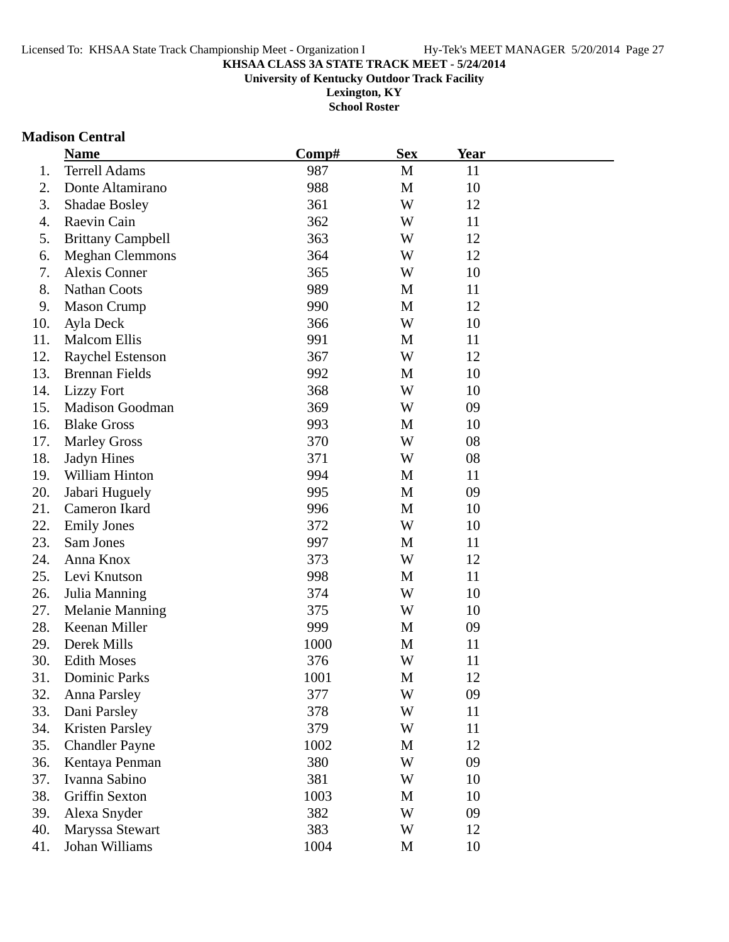**University of Kentucky Outdoor Track Facility**

**Lexington, KY School Roster**

# **Madison Central**

|     | <b>Name</b>              | Comp# | <b>Sex</b>  | Year |  |
|-----|--------------------------|-------|-------------|------|--|
| 1.  | <b>Terrell Adams</b>     | 987   | M           | 11   |  |
| 2.  | Donte Altamirano         | 988   | $\mathbf M$ | 10   |  |
| 3.  | <b>Shadae Bosley</b>     | 361   | W           | 12   |  |
| 4.  | Raevin Cain              | 362   | W           | 11   |  |
| 5.  | <b>Brittany Campbell</b> | 363   | W           | 12   |  |
| 6.  | <b>Meghan Clemmons</b>   | 364   | W           | 12   |  |
| 7.  | Alexis Conner            | 365   | W           | 10   |  |
| 8.  | <b>Nathan Coots</b>      | 989   | M           | 11   |  |
| 9.  | <b>Mason Crump</b>       | 990   | M           | 12   |  |
| 10. | Ayla Deck                | 366   | W           | 10   |  |
| 11. | <b>Malcom Ellis</b>      | 991   | M           | 11   |  |
| 12. | <b>Raychel Estenson</b>  | 367   | W           | 12   |  |
| 13. | <b>Brennan Fields</b>    | 992   | M           | 10   |  |
| 14. | <b>Lizzy Fort</b>        | 368   | W           | 10   |  |
| 15. | <b>Madison Goodman</b>   | 369   | W           | 09   |  |
| 16. | <b>Blake Gross</b>       | 993   | M           | 10   |  |
| 17. | <b>Marley Gross</b>      | 370   | W           | 08   |  |
| 18. | Jadyn Hines              | 371   | W           | 08   |  |
| 19. | William Hinton           | 994   | M           | 11   |  |
| 20. | Jabari Huguely           | 995   | M           | 09   |  |
| 21. | Cameron Ikard            | 996   | M           | 10   |  |
| 22. | <b>Emily Jones</b>       | 372   | W           | 10   |  |
| 23. | Sam Jones                | 997   | M           | 11   |  |
| 24. | Anna Knox                | 373   | W           | 12   |  |
| 25. | Levi Knutson             | 998   | M           | 11   |  |
| 26. | Julia Manning            | 374   | W           | 10   |  |
| 27. | <b>Melanie Manning</b>   | 375   | W           | 10   |  |
| 28. | Keenan Miller            | 999   | M           | 09   |  |
| 29. | Derek Mills              | 1000  | M           | 11   |  |
| 30. | <b>Edith Moses</b>       | 376   | W           | 11   |  |
| 31  | <b>Dominic Parks</b>     | 1001  | M           | 12   |  |
| 32. | <b>Anna Parsley</b>      | 377   | W           | 09   |  |
| 33. | Dani Parsley             | 378   | W           | 11   |  |
| 34. | <b>Kristen Parsley</b>   | 379   | W           | 11   |  |
| 35. | <b>Chandler Payne</b>    | 1002  | $\mathbf M$ | 12   |  |
| 36. | Kentaya Penman           | 380   | W           | 09   |  |
| 37. | Ivanna Sabino            | 381   | W           | 10   |  |
| 38. | Griffin Sexton           | 1003  | M           | 10   |  |
| 39. | Alexa Snyder             | 382   | W           | 09   |  |
| 40. | Maryssa Stewart          | 383   | W           | 12   |  |
| 41. | Johan Williams           | 1004  | M           | 10   |  |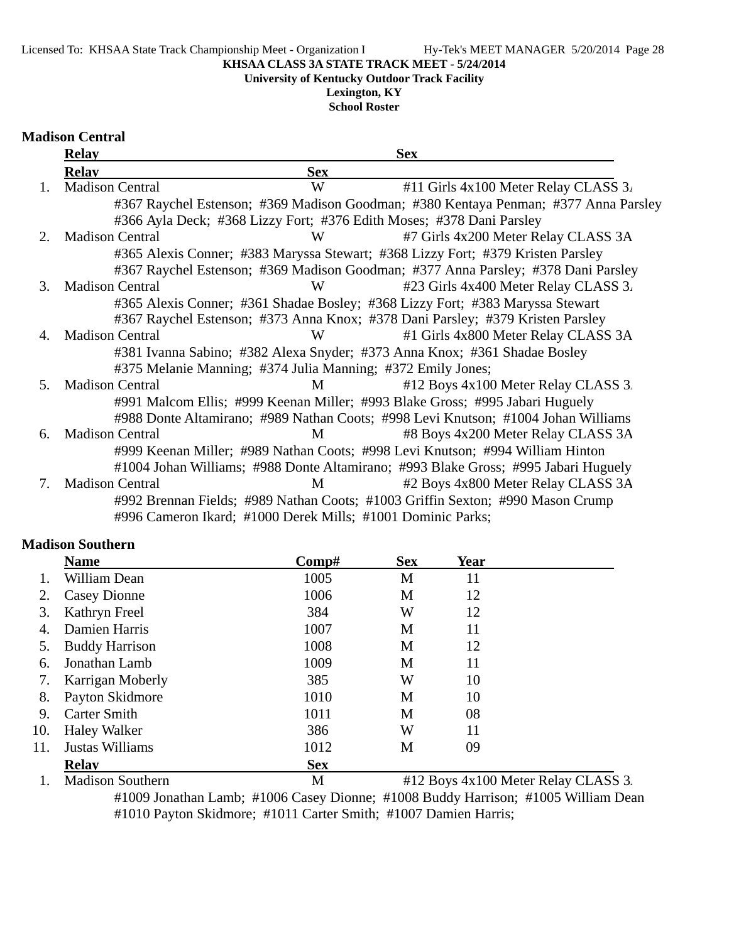#### Licensed To: KHSAA State Track Championship Meet - Organization I Hy-Tek's MEET MANAGER 5/20/2014 Page 28

#### **KHSAA CLASS 3A STATE TRACK MEET - 5/24/2014**

**University of Kentucky Outdoor Track Facility**

# **Lexington, KY**

**School Roster**

| <b>Madison Central</b> |  |
|------------------------|--|
|------------------------|--|

|               | <b>Relay</b>                                                |            | <b>Sex</b>                                                                          |
|---------------|-------------------------------------------------------------|------------|-------------------------------------------------------------------------------------|
|               | <b>Relav</b>                                                | <b>Sex</b> |                                                                                     |
| $\mathbf{1}$  | <b>Madison Central</b>                                      | W          | #11 Girls 4x100 Meter Relay CLASS 3.                                                |
|               |                                                             |            | #367 Raychel Estenson; #369 Madison Goodman; #380 Kentaya Penman; #377 Anna Parsley |
|               |                                                             |            | #366 Ayla Deck; #368 Lizzy Fort; #376 Edith Moses; #378 Dani Parsley                |
| $\mathcal{L}$ | <b>Madison Central</b>                                      | W          | #7 Girls 4x200 Meter Relay CLASS 3A                                                 |
|               |                                                             |            | #365 Alexis Conner; #383 Maryssa Stewart; #368 Lizzy Fort; #379 Kristen Parsley     |
|               |                                                             |            | #367 Raychel Estenson; #369 Madison Goodman; #377 Anna Parsley; #378 Dani Parsley   |
| 3.            | <b>Madison Central</b>                                      | W          | #23 Girls 4x400 Meter Relay CLASS 3.                                                |
|               |                                                             |            | #365 Alexis Conner; #361 Shadae Bosley; #368 Lizzy Fort; #383 Maryssa Stewart       |
|               |                                                             |            | #367 Raychel Estenson; #373 Anna Knox; #378 Dani Parsley; #379 Kristen Parsley      |
| 4.            | <b>Madison Central</b>                                      | W          | #1 Girls 4x800 Meter Relay CLASS 3A                                                 |
|               |                                                             |            | #381 Ivanna Sabino; #382 Alexa Snyder; #373 Anna Knox; #361 Shadae Bosley           |
|               | #375 Melanie Manning; #374 Julia Manning; #372 Emily Jones; |            |                                                                                     |
| 5.            | <b>Madison Central</b>                                      | M          | #12 Boys 4x100 Meter Relay CLASS 3.                                                 |
|               |                                                             |            | #991 Malcom Ellis; #999 Keenan Miller; #993 Blake Gross; #995 Jabari Huguely        |
|               |                                                             |            | #988 Donte Altamirano; #989 Nathan Coots; #998 Levi Knutson; #1004 Johan Williams   |
| 6.            | <b>Madison Central</b>                                      | M          | #8 Boys 4x200 Meter Relay CLASS 3A                                                  |
|               |                                                             |            | #999 Keenan Miller; #989 Nathan Coots; #998 Levi Knutson; #994 William Hinton       |
|               |                                                             |            | #1004 Johan Williams; #988 Donte Altamirano; #993 Blake Gross; #995 Jabari Huguely  |
| 7.            | <b>Madison Central</b>                                      | M          | #2 Boys 4x800 Meter Relay CLASS 3A                                                  |
|               |                                                             |            | #992 Brennan Fields; #989 Nathan Coots; #1003 Griffin Sexton; #990 Mason Crump      |
|               | #996 Cameron Ikard; #1000 Derek Mills; #1001 Dominic Parks; |            |                                                                                     |

#### **Madison Southern**

|     | <b>Name</b>             | $\bf Comp\#$ | <b>Sex</b> | Year |                                     |
|-----|-------------------------|--------------|------------|------|-------------------------------------|
|     | William Dean            | 1005         | M          | 11   |                                     |
| 2.  | <b>Casey Dionne</b>     | 1006         | M          | 12   |                                     |
| 3.  | Kathryn Freel           | 384          | W          | 12   |                                     |
| 4.  | Damien Harris           | 1007         | M          | 11   |                                     |
| 5.  | <b>Buddy Harrison</b>   | 1008         | M          | 12   |                                     |
| 6.  | Jonathan Lamb           | 1009         | M          | 11   |                                     |
| 7.  | Karrigan Moberly        | 385          | W          | 10   |                                     |
| 8.  | Payton Skidmore         | 1010         | M          | 10   |                                     |
| 9.  | <b>Carter Smith</b>     | 1011         | M          | 08   |                                     |
| 10. | <b>Haley Walker</b>     | 386          | W          | 11   |                                     |
| 11. | Justas Williams         | 1012         | M          | 09   |                                     |
|     | <b>Relav</b>            | <b>Sex</b>   |            |      |                                     |
|     | <b>Madison Southern</b> | M            |            |      | #12 Boys 4x100 Meter Relay CLASS 3. |

#1009 Jonathan Lamb; #1006 Casey Dionne; #1008 Buddy Harrison; #1005 William Dean #1010 Payton Skidmore; #1011 Carter Smith; #1007 Damien Harris;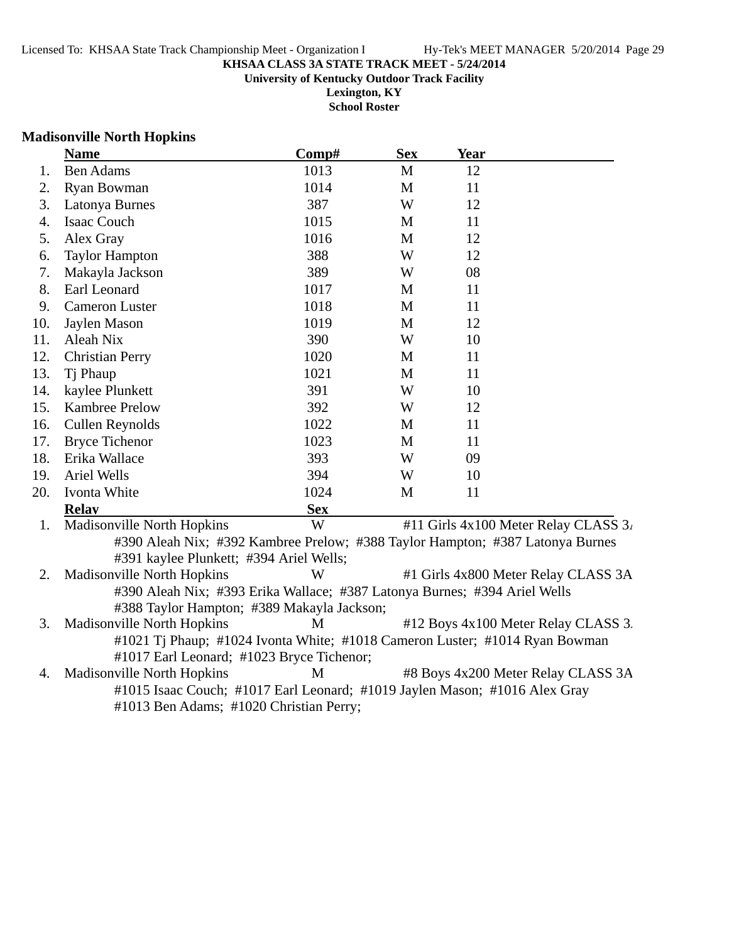#### **KHSAA CLASS 3A STATE TRACK MEET - 5/24/2014 University of Kentucky Outdoor Track Facility Lexington, KY**

**School Roster**

#### **Madisonville North Hopkins**

|     | <b>Name</b>                                                               | Comp#      | <b>Sex</b> | Year                                                                          |  |  |
|-----|---------------------------------------------------------------------------|------------|------------|-------------------------------------------------------------------------------|--|--|
| 1.  | <b>Ben Adams</b>                                                          | 1013       | M          | 12                                                                            |  |  |
| 2.  | Ryan Bowman                                                               | 1014       | M          | 11                                                                            |  |  |
| 3.  | Latonya Burnes                                                            | 387        | W          | 12                                                                            |  |  |
| 4.  | Isaac Couch                                                               | 1015       | M          | 11                                                                            |  |  |
| 5.  | Alex Gray                                                                 | 1016       | M          | 12                                                                            |  |  |
| 6.  | <b>Taylor Hampton</b>                                                     | 388        | W          | 12                                                                            |  |  |
| 7.  | Makayla Jackson                                                           | 389        | W          | 08                                                                            |  |  |
| 8.  | Earl Leonard                                                              | 1017       | M          | 11                                                                            |  |  |
| 9.  | <b>Cameron Luster</b>                                                     | 1018       | M          | 11                                                                            |  |  |
| 10. | Jaylen Mason                                                              | 1019       | M          | 12                                                                            |  |  |
| 11. | Aleah Nix                                                                 | 390        | W          | 10                                                                            |  |  |
| 12. | <b>Christian Perry</b>                                                    | 1020       | M          | 11                                                                            |  |  |
| 13. | Tj Phaup                                                                  | 1021       | M          | 11                                                                            |  |  |
| 14. | kaylee Plunkett                                                           | 391        | W          | 10                                                                            |  |  |
| 15. | Kambree Prelow                                                            | 392        | W          | 12                                                                            |  |  |
| 16. | Cullen Reynolds                                                           | 1022       | M          | 11                                                                            |  |  |
| 17. | <b>Bryce Tichenor</b>                                                     | 1023       | M          | 11                                                                            |  |  |
| 18. | Erika Wallace                                                             | 393        | W          | 09                                                                            |  |  |
| 19. | <b>Ariel Wells</b>                                                        | 394        | W          | 10                                                                            |  |  |
| 20. | Ivonta White                                                              | 1024       | M          | 11                                                                            |  |  |
|     | <b>Relay</b>                                                              | <b>Sex</b> |            |                                                                               |  |  |
| 1.  | <b>Madisonville North Hopkins</b>                                         | W          |            | #11 Girls 4x100 Meter Relay CLASS 3.                                          |  |  |
|     |                                                                           |            |            | #390 Aleah Nix; #392 Kambree Prelow; #388 Taylor Hampton; #387 Latonya Burnes |  |  |
|     | #391 kaylee Plunkett; #394 Ariel Wells;                                   |            |            |                                                                               |  |  |
| 2.  | Madisonville North Hopkins                                                | W          |            | #1 Girls 4x800 Meter Relay CLASS 3A                                           |  |  |
|     | #390 Aleah Nix; #393 Erika Wallace; #387 Latonya Burnes; #394 Ariel Wells |            |            |                                                                               |  |  |
|     | #388 Taylor Hampton; #389 Makayla Jackson;                                |            |            |                                                                               |  |  |

3. Madisonville North Hopkins M #12 Boys 4x100 Meter Relay CLASS 3. #1021 Tj Phaup; #1024 Ivonta White; #1018 Cameron Luster; #1014 Ryan Bowman #1017 Earl Leonard; #1023 Bryce Tichenor;

4. Madisonville North Hopkins M #8 Boys 4x200 Meter Relay CLASS 3A #1015 Isaac Couch; #1017 Earl Leonard; #1019 Jaylen Mason; #1016 Alex Gray #1013 Ben Adams; #1020 Christian Perry;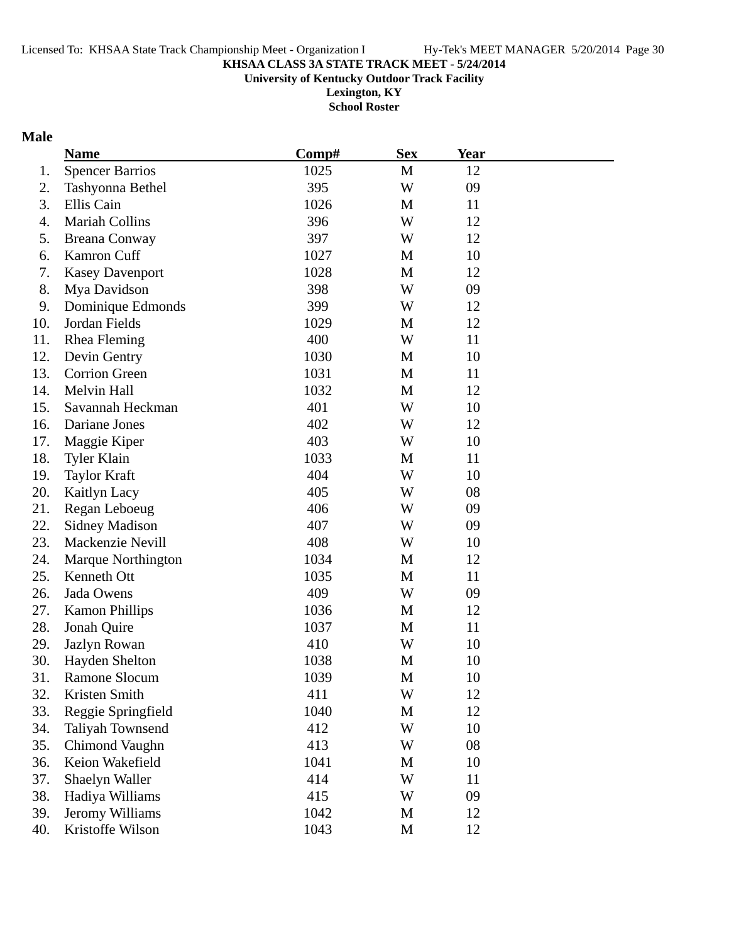**University of Kentucky Outdoor Track Facility**

**Lexington, KY School Roster**

#### **Male**

|     | <b>Name</b>               | $\bf Comp\#$ | <b>Sex</b>  | <b>Year</b> |  |
|-----|---------------------------|--------------|-------------|-------------|--|
| 1.  | <b>Spencer Barrios</b>    | 1025         | M           | 12          |  |
| 2.  | Tashyonna Bethel          | 395          | W           | 09          |  |
| 3.  | Ellis Cain                | 1026         | M           | 11          |  |
| 4.  | <b>Mariah Collins</b>     | 396          | W           | 12          |  |
| 5.  | <b>Breana Conway</b>      | 397          | W           | 12          |  |
| 6.  | Kamron Cuff               | 1027         | M           | 10          |  |
| 7.  | <b>Kasey Davenport</b>    | 1028         | M           | 12          |  |
| 8.  | Mya Davidson              | 398          | W           | 09          |  |
| 9.  | Dominique Edmonds         | 399          | W           | 12          |  |
| 10. | Jordan Fields             | 1029         | M           | 12          |  |
| 11. | <b>Rhea Fleming</b>       | 400          | W           | 11          |  |
| 12. | Devin Gentry              | 1030         | M           | 10          |  |
| 13. | <b>Corrion Green</b>      | 1031         | M           | 11          |  |
| 14. | Melvin Hall               | 1032         | M           | 12          |  |
| 15. | Savannah Heckman          | 401          | W           | 10          |  |
| 16. | Dariane Jones             | 402          | W           | 12          |  |
| 17. | Maggie Kiper              | 403          | W           | 10          |  |
| 18. | <b>Tyler Klain</b>        | 1033         | M           | 11          |  |
| 19. | <b>Taylor Kraft</b>       | 404          | W           | 10          |  |
| 20. | Kaitlyn Lacy              | 405          | W           | 08          |  |
| 21. | Regan Leboeug             | 406          | W           | 09          |  |
| 22. | <b>Sidney Madison</b>     | 407          | W           | 09          |  |
| 23. | Mackenzie Nevill          | 408          | W           | 10          |  |
| 24. | <b>Marque Northington</b> | 1034         | M           | 12          |  |
| 25. | Kenneth Ott               | 1035         | M           | 11          |  |
| 26. | Jada Owens                | 409          | W           | 09          |  |
| 27. | <b>Kamon Phillips</b>     | 1036         | M           | 12          |  |
| 28. | Jonah Quire               | 1037         | M           | 11          |  |
| 29. | Jazlyn Rowan              | 410          | W           | 10          |  |
| 30. | Hayden Shelton            | 1038         | $\mathbf M$ | 10          |  |
| 31. | <b>Ramone Slocum</b>      | 1039         | M           | 10          |  |
| 32. | Kristen Smith             | 411          | W           | 12          |  |
| 33. | Reggie Springfield        | 1040         | M           | 12          |  |
| 34. | Taliyah Townsend          | 412          | W           | 10          |  |
| 35. | Chimond Vaughn            | 413          | W           | 08          |  |
| 36. | Keion Wakefield           | 1041         | M           | 10          |  |
| 37. | Shaelyn Waller            | 414          | W           | 11          |  |
| 38. | Hadiya Williams           | 415          | W           | 09          |  |
| 39. | Jeromy Williams           | 1042         | M           | 12          |  |
| 40. | Kristoffe Wilson          | 1043         | M           | 12          |  |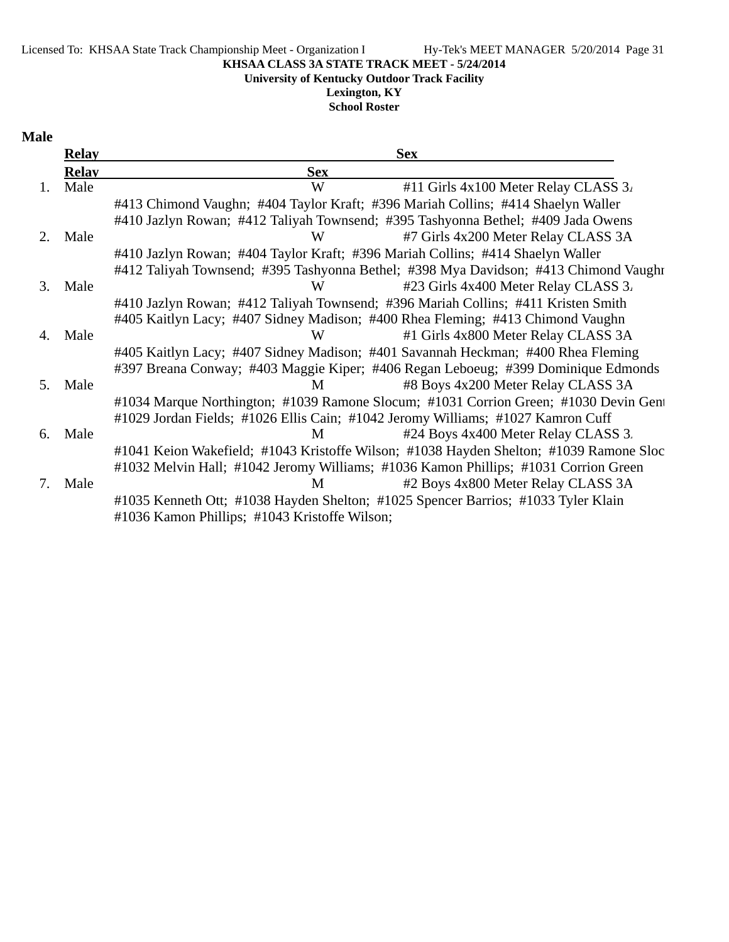#### Licensed To: KHSAA State Track Championship Meet - Organization I Hy-Tek's MEET MANAGER 5/20/2014 Page 31

**KHSAA CLASS 3A STATE TRACK MEET - 5/24/2014**

#### **University of Kentucky Outdoor Track Facility**

**Lexington, KY**

**School Roster**

## **Male**

|    | <b>Relay</b> | <b>Sex</b>                                                                             |
|----|--------------|----------------------------------------------------------------------------------------|
|    | <b>Relay</b> | <b>Sex</b>                                                                             |
| 1. | Male         | W<br>#11 Girls 4x100 Meter Relay CLASS 3.                                              |
|    |              | #413 Chimond Vaughn; #404 Taylor Kraft; #396 Mariah Collins; #414 Shaelyn Waller       |
|    |              | #410 Jazlyn Rowan; #412 Taliyah Townsend; #395 Tashyonna Bethel; #409 Jada Owens       |
| 2  | Male         | #7 Girls 4x200 Meter Relay CLASS 3A<br>W                                               |
|    |              | #410 Jazlyn Rowan; #404 Taylor Kraft; #396 Mariah Collins; #414 Shaelyn Waller         |
|    |              | #412 Taliyah Townsend; #395 Tashyonna Bethel; #398 Mya Davidson; #413 Chimond Vaughr   |
| 3. | Male         | #23 Girls 4x400 Meter Relay CLASS 3.<br>W                                              |
|    |              | #410 Jazlyn Rowan; #412 Taliyah Townsend; #396 Mariah Collins; #411 Kristen Smith      |
|    |              | #405 Kaitlyn Lacy; #407 Sidney Madison; #400 Rhea Fleming; #413 Chimond Vaughn         |
| 4. | Male         | #1 Girls 4x800 Meter Relay CLASS 3A<br>W                                               |
|    |              | #405 Kaitlyn Lacy; #407 Sidney Madison; #401 Savannah Heckman; #400 Rhea Fleming       |
|    |              | #397 Breana Conway; #403 Maggie Kiper; #406 Regan Leboeug; #399 Dominique Edmonds      |
| 5. | Male         | #8 Boys 4x200 Meter Relay CLASS 3A<br>M                                                |
|    |              | #1034 Marque Northington; #1039 Ramone Slocum; #1031 Corrion Green; #1030 Devin Gent   |
|    |              | #1029 Jordan Fields; #1026 Ellis Cain; #1042 Jeromy Williams; #1027 Kamron Cuff        |
| 6. | Male         | #24 Boys 4x400 Meter Relay CLASS 3.<br>M                                               |
|    |              | #1041 Keion Wakefield; #1043 Kristoffe Wilson; #1038 Hayden Shelton; #1039 Ramone Sloc |
|    |              | #1032 Melvin Hall; #1042 Jeromy Williams; #1036 Kamon Phillips; #1031 Corrion Green    |
| 7. | Male         | #2 Boys 4x800 Meter Relay CLASS 3A<br>M                                                |
|    |              | #1035 Kenneth Ott; #1038 Hayden Shelton; #1025 Spencer Barrios; #1033 Tyler Klain      |
|    |              | #1036 Kamon Phillips; #1043 Kristoffe Wilson;                                          |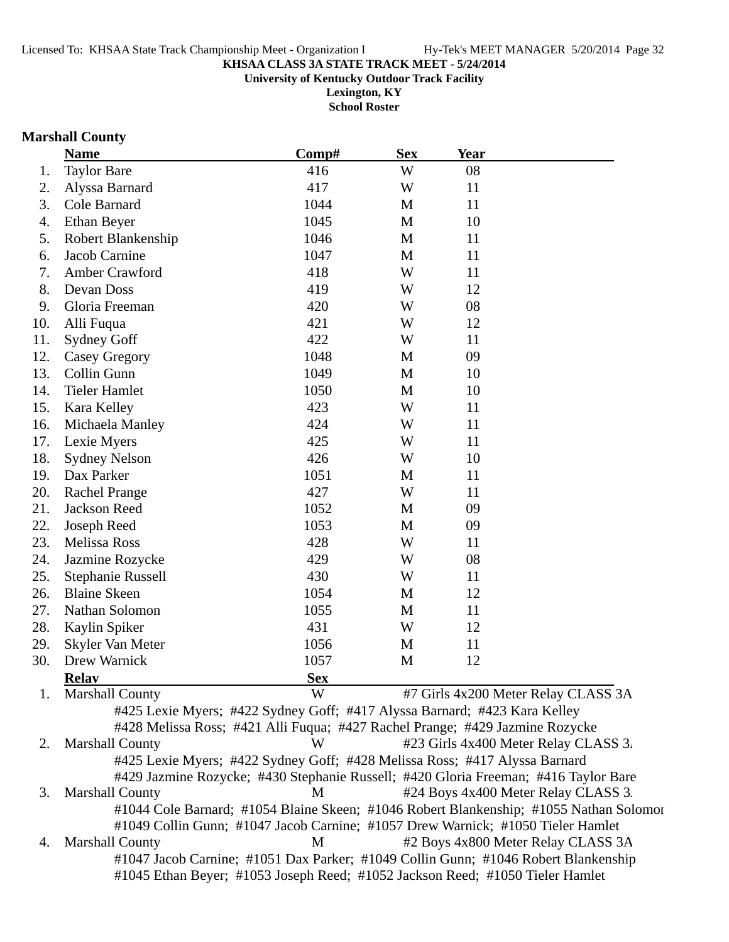**University of Kentucky Outdoor Track Facility**

**Lexington, KY School Roster**

#### **Marshall County**

|     | <b>Name</b>            | Comp#                                                                               | <b>Sex</b>  | <b>Year</b> |                                      |
|-----|------------------------|-------------------------------------------------------------------------------------|-------------|-------------|--------------------------------------|
| 1.  | <b>Taylor Bare</b>     | 416                                                                                 | W           | 08          |                                      |
| 2.  | Alyssa Barnard         | 417                                                                                 | W           | 11          |                                      |
| 3.  | Cole Barnard           | 1044                                                                                | M           | 11          |                                      |
| 4.  | Ethan Beyer            | 1045                                                                                | M           | 10          |                                      |
| 5.  | Robert Blankenship     | 1046                                                                                | M           | 11          |                                      |
| 6.  | Jacob Carnine          | 1047                                                                                | M           | 11          |                                      |
| 7.  | Amber Crawford         | 418                                                                                 | W           | 11          |                                      |
| 8.  | Devan Doss             | 419                                                                                 | W           | 12          |                                      |
| 9.  | Gloria Freeman         | 420                                                                                 | W           | 08          |                                      |
| 10. | Alli Fuqua             | 421                                                                                 | W           | 12          |                                      |
| 11. | <b>Sydney Goff</b>     | 422                                                                                 | W           | 11          |                                      |
| 12. | <b>Casey Gregory</b>   | 1048                                                                                | M           | 09          |                                      |
| 13. | Collin Gunn            | 1049                                                                                | $\mathbf M$ | 10          |                                      |
| 14. | <b>Tieler Hamlet</b>   | 1050                                                                                | M           | 10          |                                      |
| 15. | Kara Kelley            | 423                                                                                 | W           | 11          |                                      |
| 16. | Michaela Manley        | 424                                                                                 | W           | 11          |                                      |
| 17. | Lexie Myers            | 425                                                                                 | W           | 11          |                                      |
| 18. | <b>Sydney Nelson</b>   | 426                                                                                 | W           | 10          |                                      |
| 19. | Dax Parker             | 1051                                                                                | M           | 11          |                                      |
| 20. | <b>Rachel Prange</b>   | 427                                                                                 | W           | 11          |                                      |
| 21. | Jackson Reed           | 1052                                                                                | M           | 09          |                                      |
| 22. | Joseph Reed            | 1053                                                                                | M           | 09          |                                      |
| 23. | Melissa Ross           | 428                                                                                 | W           | 11          |                                      |
| 24. | Jazmine Rozycke        | 429                                                                                 | W           | 08          |                                      |
| 25. | Stephanie Russell      | 430                                                                                 | W           | 11          |                                      |
| 26. | <b>Blaine Skeen</b>    | 1054                                                                                | M           | 12          |                                      |
| 27. | Nathan Solomon         | 1055                                                                                | M           | 11          |                                      |
| 28. | Kaylin Spiker          | 431                                                                                 | W           | 12          |                                      |
| 29. | Skyler Van Meter       | 1056                                                                                | M           | 11          |                                      |
| 30. | Drew Warnick           | 1057                                                                                | M           | 12          |                                      |
|     | <b>Relay</b>           | <b>Sex</b>                                                                          |             |             |                                      |
| 1.  | <b>Marshall County</b> | W                                                                                   |             |             | #7 Girls 4x200 Meter Relay CLASS 3A  |
|     |                        | #425 Lexie Myers; #422 Sydney Goff; #417 Alyssa Barnard; #423 Kara Kelley           |             |             |                                      |
|     |                        | #428 Melissa Ross; #421 Alli Fuqua; #427 Rachel Prange; #429 Jazmine Rozycke        |             |             |                                      |
| 2.  | <b>Marshall County</b> | W                                                                                   |             |             | #23 Girls 4x400 Meter Relay CLASS 3. |
|     |                        | #425 Lexie Myers; #422 Sydney Goff; #428 Melissa Ross; #417 Alyssa Barnard          |             |             |                                      |
|     |                        | #429 Jazmine Rozycke; #430 Stephanie Russell; #420 Gloria Freeman; #416 Taylor Bare |             |             |                                      |

3. Marshall County M #24 Boys 4x400 Meter Relay CLASS 3. #1044 Cole Barnard; #1054 Blaine Skeen; #1046 Robert Blankenship; #1055 Nathan Solomon #1049 Collin Gunn; #1047 Jacob Carnine; #1057 Drew Warnick; #1050 Tieler Hamlet 4. Marshall County M #2 Boys 4x800 Meter Relay CLASS 3A #1047 Jacob Carnine; #1051 Dax Parker; #1049 Collin Gunn; #1046 Robert Blankenship

#1045 Ethan Beyer; #1053 Joseph Reed; #1052 Jackson Reed; #1050 Tieler Hamlet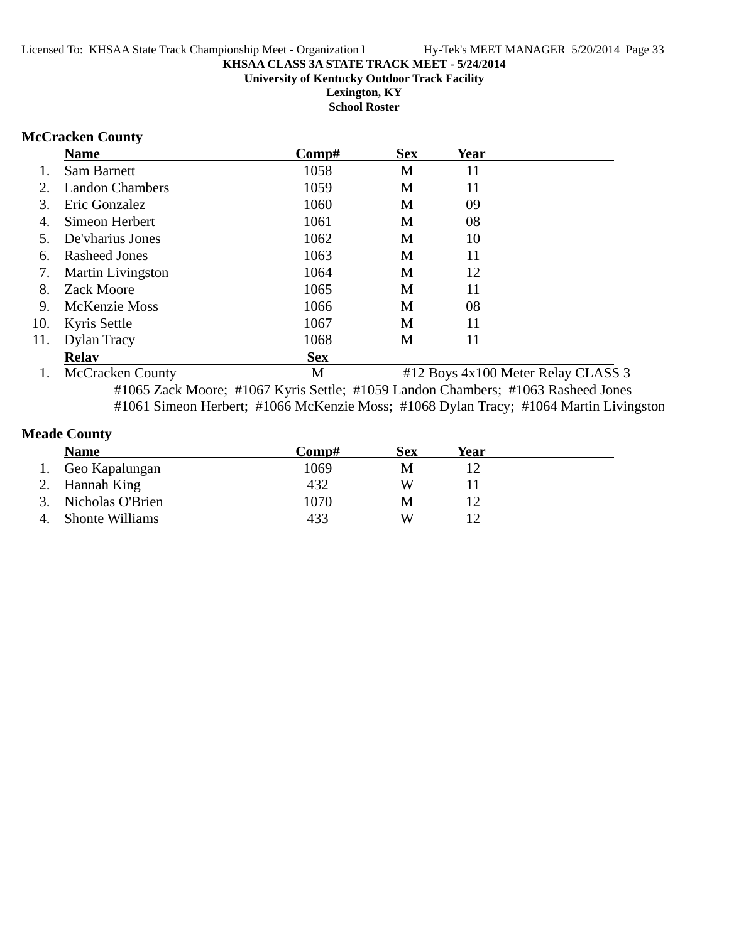#### **KHSAA CLASS 3A STATE TRACK MEET - 5/24/2014 University of Kentucky Outdoor Track Facility Lexington, KY**

**School Roster**

# **McCracken County**

|     | <b>Name</b>              | $\bf Comp\#$ | <b>Sex</b> | Year                                |  |
|-----|--------------------------|--------------|------------|-------------------------------------|--|
|     | <b>Sam Barnett</b>       | 1058         | M          | 11                                  |  |
| 2.  | <b>Landon Chambers</b>   | 1059         | M          | 11                                  |  |
| 3.  | Eric Gonzalez            | 1060         | М          | 09                                  |  |
| 4.  | Simeon Herbert           | 1061         | M          | 08                                  |  |
|     | De'vharius Jones         | 1062         | M          | 10                                  |  |
| 6.  | Rasheed Jones            | 1063         | М          | 11                                  |  |
| 7.  | <b>Martin Livingston</b> | 1064         | M          | 12                                  |  |
| 8.  | <b>Zack Moore</b>        | 1065         | M          | 11                                  |  |
| 9.  | McKenzie Moss            | 1066         | M          | 08                                  |  |
| 10. | Kyris Settle             | 1067         | М          | 11                                  |  |
| 11. | Dylan Tracy              | 1068         | М          | 11                                  |  |
|     | <b>Relay</b>             | <b>Sex</b>   |            |                                     |  |
| 1.  | <b>McCracken County</b>  | М            |            | #12 Boys 4x100 Meter Relay CLASS 3. |  |

#1065 Zack Moore; #1067 Kyris Settle; #1059 Landon Chambers; #1063 Rasheed Jones #1061 Simeon Herbert; #1066 McKenzie Moss; #1068 Dylan Tracy; #1064 Martin Livingston

# **Meade County**

|    | <b>Name</b>            | Comp# | Sex | Year |
|----|------------------------|-------|-----|------|
|    | 1. Geo Kapalungan      | 1069  | M   |      |
|    | 2. Hannah King         | 432   | W   |      |
|    | 3. Nicholas O'Brien    | 1070  | M   |      |
| 4. | <b>Shonte Williams</b> | 433   | W   |      |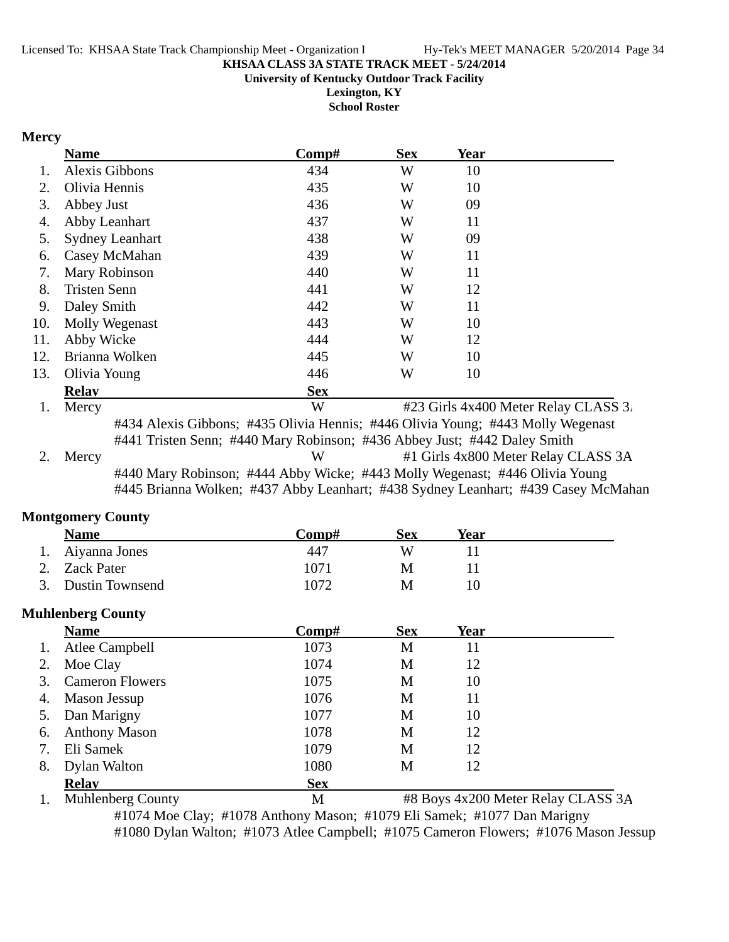**University of Kentucky Outdoor Track Facility**

**Lexington, KY**

**School Roster**

#### **Mercy**

| <b>Name</b>               |                        | Comp#      | <b>Sex</b> | Year |                                      |
|---------------------------|------------------------|------------|------------|------|--------------------------------------|
|                           | <b>Alexis Gibbons</b>  | 434        | W          | 10   |                                      |
| 2.                        | Olivia Hennis          | 435        | W          | 10   |                                      |
| Abbey Just<br>3.          |                        | 436        | W          | 09   |                                      |
| 4.                        | Abby Leanhart          | 437        | W          | 11   |                                      |
| 5.                        | <b>Sydney Leanhart</b> | 438        | W          | 09   |                                      |
| 6.                        | Casey McMahan          | 439        | W          | 11   |                                      |
| 7.                        | Mary Robinson          | 440        | W          | 11   |                                      |
| <b>Tristen Senn</b><br>8. |                        | 441        | W          | 12   |                                      |
| Daley Smith<br>9.         |                        | 442        | W          | 11   |                                      |
| 10.                       | Molly Wegenast         | 443        | W          | 10   |                                      |
| 11.<br>Abby Wicke         |                        | 444        | W          | 12   |                                      |
| 12.                       | Brianna Wolken         | 445        | W          | 10   |                                      |
| 13.<br>Olivia Young       |                        | 446        | W          | 10   |                                      |
| <b>Relav</b>              |                        | <b>Sex</b> |            |      |                                      |
| Mercy                     |                        | W          |            |      | #23 Girls 4x400 Meter Relay CLASS 3. |

#434 Alexis Gibbons; #435 Olivia Hennis; #446 Olivia Young; #443 Molly Wegenast #441 Tristen Senn; #440 Mary Robinson; #436 Abbey Just; #442 Daley Smith 2. Mercy W #1 Girls 4x800 Meter Relay CLASS 3A #440 Mary Robinson; #444 Abby Wicke; #443 Molly Wegenast; #446 Olivia Young #445 Brianna Wolken; #437 Abby Leanhart; #438 Sydney Leanhart; #439 Casey McMahan

#### **Montgomery County**

| <b>Name</b>            | $\bf Comp\#$ | Sex | <b>Year</b> |
|------------------------|--------------|-----|-------------|
| 1. Aiyanna Jones       | 447          | W   |             |
| 2. Zack Pater          | 1071         | М   |             |
| <b>Dustin Townsend</b> | 1072         | M   | 10          |

#### **Muhlenberg County**

| <b>Name</b>                  | $\bf Comp\#$ | <b>Sex</b> | Year |  |
|------------------------------|--------------|------------|------|--|
| <b>Atlee Campbell</b><br>1.  | 1073         | M          | 11   |  |
| Moe Clay<br>2.               | 1074         | M          | 12   |  |
| <b>Cameron Flowers</b><br>3. | 1075         | M          | 10   |  |
| Mason Jessup<br>4.           | 1076         | M          | 11   |  |
| Dan Marigny<br>5.            | 1077         | M          | 10   |  |
| <b>Anthony Mason</b><br>6.   | 1078         | M          | 12   |  |
| Eli Samek                    | 1079         | M          | 12   |  |
| Dylan Walton<br>8.           | 1080         | М          | 12   |  |
| <b>Relay</b>                 | <b>Sex</b>   |            |      |  |

1. Muhlenberg County M #8 Boys 4x200 Meter Relay CLASS 3A #1074 Moe Clay; #1078 Anthony Mason; #1079 Eli Samek; #1077 Dan Marigny #1080 Dylan Walton; #1073 Atlee Campbell; #1075 Cameron Flowers; #1076 Mason Jessup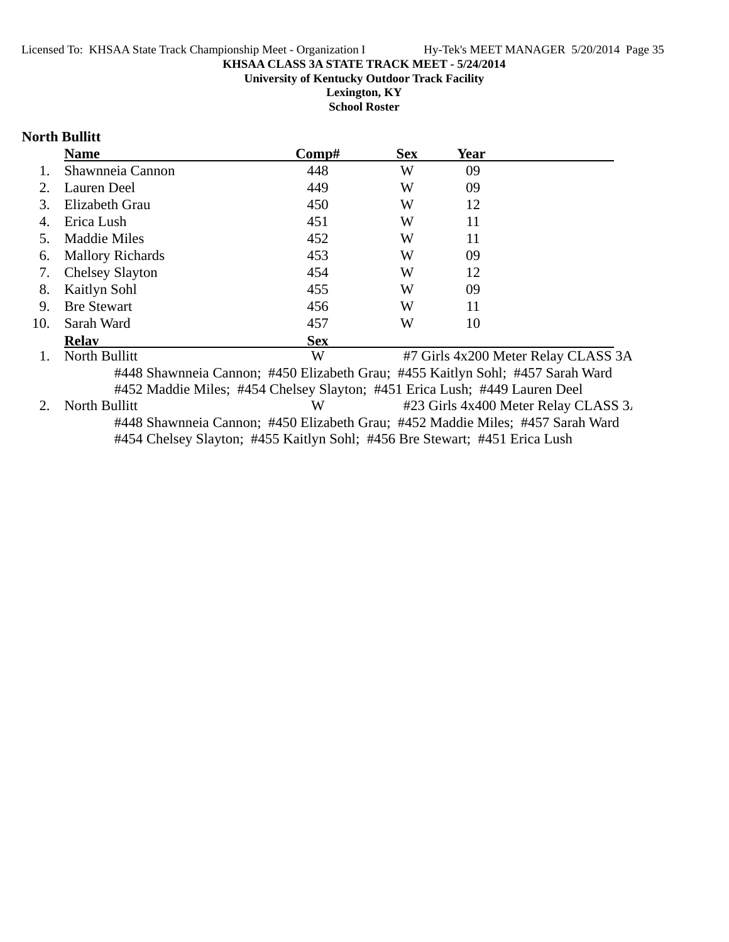**University of Kentucky Outdoor Track Facility**

**Lexington, KY School Roster**

# **North Bullitt**

|     | <b>Name</b>                                                                                                                                                  | $\bf Comp\#$ | <b>Sex</b> | Year |                                      |
|-----|--------------------------------------------------------------------------------------------------------------------------------------------------------------|--------------|------------|------|--------------------------------------|
|     | Shawnneia Cannon                                                                                                                                             | 448          | W          | 09   |                                      |
| 2.  | Lauren Deel                                                                                                                                                  | 449          | W          | 09   |                                      |
| 3.  | Elizabeth Grau                                                                                                                                               | 450          | W          | 12   |                                      |
|     | Erica Lush                                                                                                                                                   | 451          | W          | 11   |                                      |
| 5.  | Maddie Miles                                                                                                                                                 | 452          | W          | 11   |                                      |
| 6.  | <b>Mallory Richards</b>                                                                                                                                      | 453          | W          | 09   |                                      |
| 7.  | <b>Chelsey Slayton</b>                                                                                                                                       | 454          | W          | 12   |                                      |
| 8.  | Kaitlyn Sohl                                                                                                                                                 | 455          | W          | 09   |                                      |
| 9.  | <b>Bre Stewart</b>                                                                                                                                           | 456          | W          | 11   |                                      |
| 10. | Sarah Ward                                                                                                                                                   | 457          | W          | 10   |                                      |
|     | <b>Relav</b>                                                                                                                                                 | <b>Sex</b>   |            |      |                                      |
|     | North Bullitt                                                                                                                                                | W            |            |      | #7 Girls 4x200 Meter Relay CLASS 3A  |
|     | #448 Shawnneia Cannon; #450 Elizabeth Grau; #455 Kaitlyn Sohl; #457 Sarah Ward<br>#452 Maddie Miles; #454 Chelsey Slayton; #451 Erica Lush; #449 Lauren Deel |              |            |      |                                      |
|     | North Bullitt                                                                                                                                                | W            |            |      | #23 Girls 4x400 Meter Relay CLASS 3. |

#448 Shawnneia Cannon; #450 Elizabeth Grau; #452 Maddie Miles; #457 Sarah Ward #454 Chelsey Slayton; #455 Kaitlyn Sohl; #456 Bre Stewart; #451 Erica Lush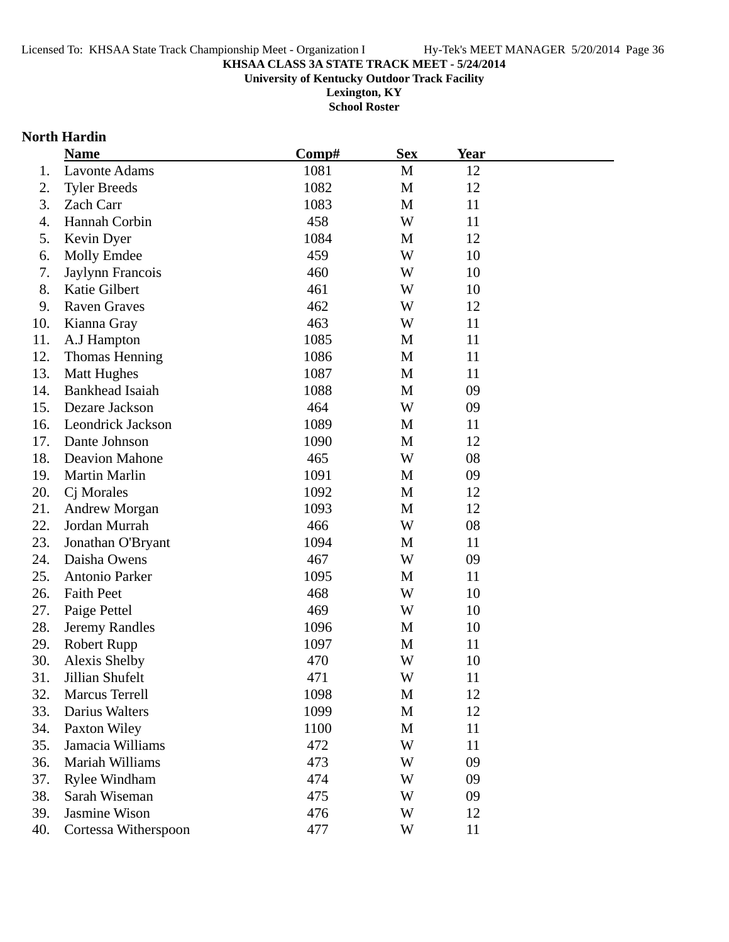**University of Kentucky Outdoor Track Facility**

**Lexington, KY School Roster**

# **North Hardin**

|     | <b>Name</b>              | Comp# | <b>Sex</b> | Year |  |
|-----|--------------------------|-------|------------|------|--|
| 1.  | <b>Lavonte Adams</b>     | 1081  | M          | 12   |  |
| 2.  | <b>Tyler Breeds</b>      | 1082  | M          | 12   |  |
| 3.  | Zach Carr                | 1083  | M          | 11   |  |
| 4.  | Hannah Corbin            | 458   | W          | 11   |  |
| 5.  | Kevin Dyer               | 1084  | M          | 12   |  |
| 6.  | <b>Molly Emdee</b>       | 459   | W          | 10   |  |
| 7.  | Jaylynn Francois         | 460   | W          | 10   |  |
| 8.  | Katie Gilbert            | 461   | W          | 10   |  |
| 9.  | <b>Raven Graves</b>      | 462   | W          | 12   |  |
| 10. | Kianna Gray              | 463   | W          | 11   |  |
| 11. | A.J Hampton              | 1085  | M          | 11   |  |
| 12. | <b>Thomas Henning</b>    | 1086  | M          | 11   |  |
| 13. | <b>Matt Hughes</b>       | 1087  | M          | 11   |  |
| 14. | Bankhead Isaiah          | 1088  | M          | 09   |  |
| 15. | Dezare Jackson           | 464   | W          | 09   |  |
| 16. | <b>Leondrick Jackson</b> | 1089  | M          | 11   |  |
| 17. | Dante Johnson            | 1090  | M          | 12   |  |
| 18. | Deavion Mahone           | 465   | W          | 08   |  |
| 19. | Martin Marlin            | 1091  | M          | 09   |  |
| 20. | Cj Morales               | 1092  | M          | 12   |  |
| 21. | Andrew Morgan            | 1093  | M          | 12   |  |
| 22. | Jordan Murrah            | 466   | W          | 08   |  |
| 23. | Jonathan O'Bryant        | 1094  | M          | 11   |  |
| 24. | Daisha Owens             | 467   | W          | 09   |  |
| 25. | <b>Antonio Parker</b>    | 1095  | M          | 11   |  |
| 26. | <b>Faith Peet</b>        | 468   | W          | 10   |  |
| 27. | Paige Pettel             | 469   | W          | 10   |  |
| 28. | <b>Jeremy Randles</b>    | 1096  | M          | 10   |  |
| 29. | <b>Robert Rupp</b>       | 1097  | M          | 11   |  |
| 30. | <b>Alexis Shelby</b>     | 470   | W          | 10   |  |
| 31. | Jillian Shufelt          | 471   | W          | 11   |  |
| 32. | <b>Marcus Terrell</b>    | 1098  | M          | 12   |  |
| 33. | Darius Walters           | 1099  | M          | 12   |  |
| 34. | Paxton Wiley             | 1100  | M          | 11   |  |
| 35. | Jamacia Williams         | 472   | W          | 11   |  |
| 36. | Mariah Williams          | 473   | W          | 09   |  |
| 37. | <b>Rylee Windham</b>     | 474   | W          | 09   |  |
| 38. | Sarah Wiseman            | 475   | W          | 09   |  |
| 39. | Jasmine Wison            | 476   | W          | 12   |  |
| 40. | Cortessa Witherspoon     | 477   | W          | 11   |  |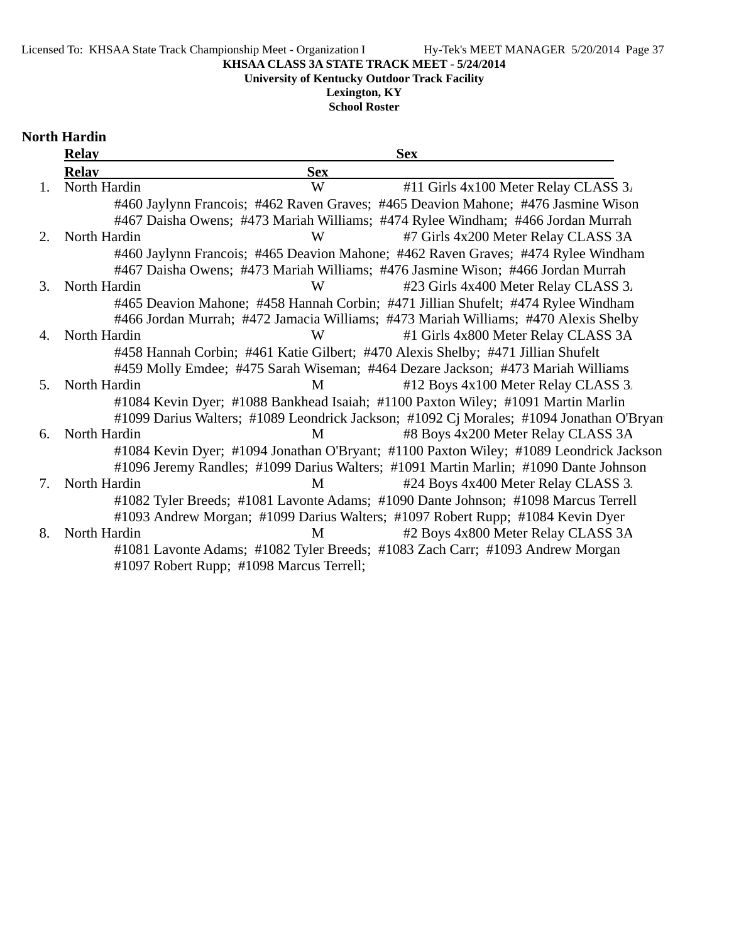#### Licensed To: KHSAA State Track Championship Meet - Organization I Hy-Tek's MEET MANAGER 5/20/2014 Page 37

**KHSAA CLASS 3A STATE TRACK MEET - 5/24/2014**

**University of Kentucky Outdoor Track Facility**

**Lexington, KY**

**School Roster**

|                                  | <b>Relay</b> | <b>Sex</b>                                                                              |
|----------------------------------|--------------|-----------------------------------------------------------------------------------------|
|                                  | <b>Relav</b> | <b>Sex</b>                                                                              |
| 1.                               | North Hardin | W<br>#11 Girls 4x100 Meter Relay CLASS 3.                                               |
|                                  |              | #460 Jaylynn Francois; #462 Raven Graves; #465 Deavion Mahone; #476 Jasmine Wison       |
|                                  |              | #467 Daisha Owens; #473 Mariah Williams; #474 Rylee Windham; #466 Jordan Murrah         |
| 2.                               | North Hardin | W<br>#7 Girls 4x200 Meter Relay CLASS 3A                                                |
|                                  |              | #460 Jaylynn Francois; #465 Deavion Mahone; #462 Raven Graves; #474 Rylee Windham       |
|                                  |              | #467 Daisha Owens; #473 Mariah Williams; #476 Jasmine Wison; #466 Jordan Murrah         |
| 3.                               | North Hardin | W<br>#23 Girls 4x400 Meter Relay CLASS 3.                                               |
|                                  |              | #465 Deavion Mahone; #458 Hannah Corbin; #471 Jillian Shufelt; #474 Rylee Windham       |
|                                  |              | #466 Jordan Murrah; #472 Jamacia Williams; #473 Mariah Williams; #470 Alexis Shelby     |
| 4.                               | North Hardin | #1 Girls 4x800 Meter Relay CLASS 3A<br>W                                                |
|                                  |              | #458 Hannah Corbin; #461 Katie Gilbert; #470 Alexis Shelby; #471 Jillian Shufelt        |
|                                  |              | #459 Molly Emdee; #475 Sarah Wiseman; #464 Dezare Jackson; #473 Mariah Williams         |
| 5 <sub>1</sub>                   | North Hardin | #12 Boys 4x100 Meter Relay CLASS 3.<br>M                                                |
|                                  |              | #1084 Kevin Dyer; #1088 Bankhead Isaiah; #1100 Paxton Wiley; #1091 Martin Marlin        |
|                                  |              | #1099 Darius Walters; #1089 Leondrick Jackson; #1092 Cj Morales; #1094 Jonathan O'Bryan |
| 6.                               | North Hardin | #8 Boys 4x200 Meter Relay CLASS 3A<br>M                                                 |
|                                  |              | #1084 Kevin Dyer; #1094 Jonathan O'Bryant; #1100 Paxton Wiley; #1089 Leondrick Jackson  |
|                                  |              | #1096 Jeremy Randles; #1099 Darius Walters; #1091 Martin Marlin; #1090 Dante Johnson    |
| $7_{\scriptscriptstyle{\ddots}}$ | North Hardin | #24 Boys 4x400 Meter Relay CLASS 3.<br>M                                                |
|                                  |              | #1082 Tyler Breeds; #1081 Lavonte Adams; #1090 Dante Johnson; #1098 Marcus Terrell      |
|                                  |              | #1093 Andrew Morgan; #1099 Darius Walters; #1097 Robert Rupp; #1084 Kevin Dyer          |
| 8.                               | North Hardin | #2 Boys 4x800 Meter Relay CLASS 3A<br>M                                                 |
|                                  |              | #1081 Lavonte Adams; #1082 Tyler Breeds; #1083 Zach Carr; #1093 Andrew Morgan           |
|                                  |              | #1097 Robert Rupp; #1098 Marcus Terrell;                                                |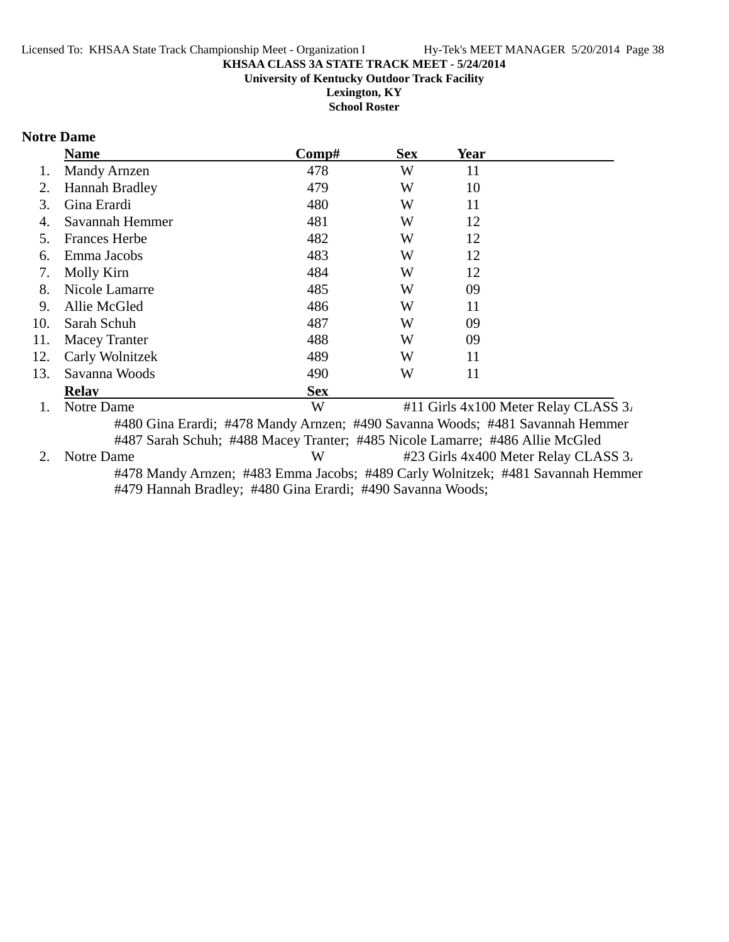**University of Kentucky Outdoor Track Facility**

**Lexington, KY School Roster**

# **Notre Dame**

|     | <b>Name</b>           | Comp#      | <b>Sex</b> | <b>Year</b> |                                      |
|-----|-----------------------|------------|------------|-------------|--------------------------------------|
|     | <b>Mandy Arnzen</b>   | 478        | W          | 11          |                                      |
| 2.  | <b>Hannah Bradley</b> | 479        | W          | 10          |                                      |
| 3.  | Gina Erardi           | 480        | W          | 11          |                                      |
| 4.  | Savannah Hemmer       | 481        | W          | 12          |                                      |
| 5.  | <b>Frances Herbe</b>  | 482        | W          | 12          |                                      |
| 6.  | Emma Jacobs           | 483        | W          | 12          |                                      |
| 7.  | Molly Kirn            | 484        | W          | 12          |                                      |
| 8.  | Nicole Lamarre        | 485        | W          | 09          |                                      |
| 9.  | Allie McGled          | 486        | W          | 11          |                                      |
| 10. | Sarah Schuh           | 487        | W          | 09          |                                      |
| 11. | <b>Macey Tranter</b>  | 488        | W          | 09          |                                      |
| 12. | Carly Wolnitzek       | 489        | W          | 11          |                                      |
| 13. | Savanna Woods         | 490        | W          | 11          |                                      |
|     | <b>Relav</b>          | <b>Sex</b> |            |             |                                      |
|     | Notre Dame            | W          |            |             | #11 Girls 4x100 Meter Relay CLASS 3. |
|     |                       |            |            |             |                                      |

#480 Gina Erardi; #478 Mandy Arnzen; #490 Savanna Woods; #481 Savannah Hemmer #487 Sarah Schuh; #488 Macey Tranter; #485 Nicole Lamarre; #486 Allie McGled 2. Notre Dame W #23 Girls 4x400 Meter Relay CLASS 3. #478 Mandy Arnzen; #483 Emma Jacobs; #489 Carly Wolnitzek; #481 Savannah Hemmer #479 Hannah Bradley; #480 Gina Erardi; #490 Savanna Woods;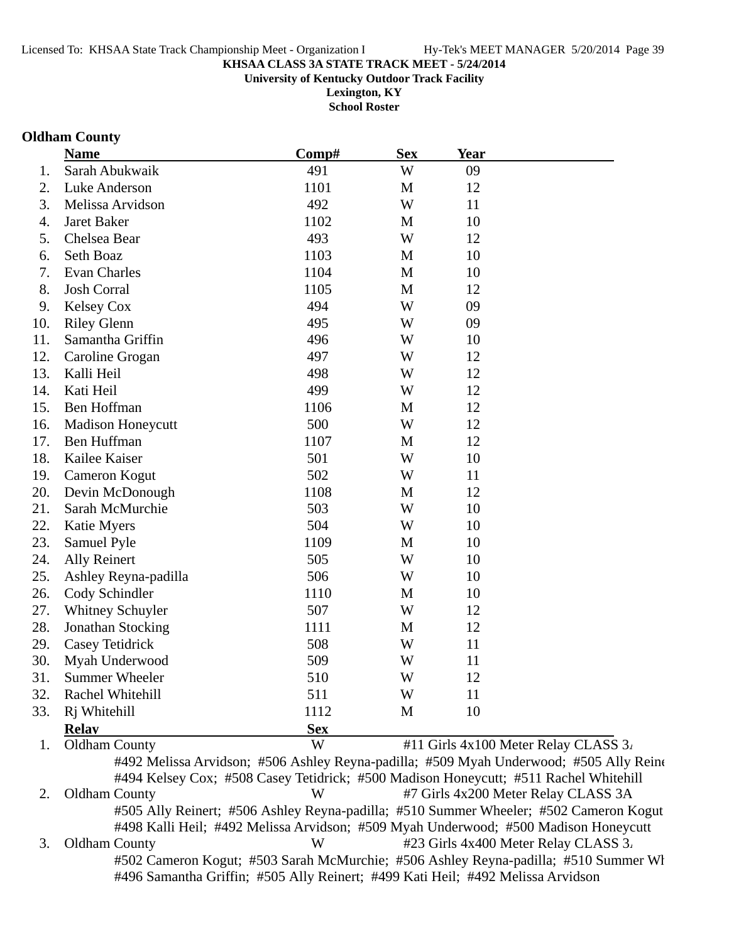**University of Kentucky Outdoor Track Facility**

**Lexington, KY School Roster**

#### **Oldham County**

|     | <b>Name</b>              | Comp#      | <b>Sex</b>   | Year                                 |
|-----|--------------------------|------------|--------------|--------------------------------------|
| 1.  | Sarah Abukwaik           | 491        | W            | 09                                   |
| 2.  | Luke Anderson            | 1101       | $\mathbf{M}$ | 12                                   |
| 3.  | Melissa Arvidson         | 492        | W            | 11                                   |
| 4.  | Jaret Baker              | 1102       | M            | 10                                   |
| 5.  | Chelsea Bear             | 493        | W            | 12                                   |
| 6.  | Seth Boaz                | 1103       | M            | 10                                   |
| 7.  | <b>Evan Charles</b>      | 1104       | M            | 10                                   |
| 8.  | <b>Josh Corral</b>       | 1105       | M            | 12                                   |
| 9.  | Kelsey Cox               | 494        | W            | 09                                   |
| 10. | <b>Riley Glenn</b>       | 495        | W            | 09                                   |
| 11. | Samantha Griffin         | 496        | W            | 10                                   |
| 12. | Caroline Grogan          | 497        | W            | 12                                   |
| 13. | Kalli Heil               | 498        | W            | 12                                   |
| 14. | Kati Heil                | 499        | W            | 12                                   |
| 15. | Ben Hoffman              | 1106       | $\mathbf{M}$ | 12                                   |
| 16. | <b>Madison Honeycutt</b> | 500        | W            | 12                                   |
| 17. | Ben Huffman              | 1107       | M            | 12                                   |
| 18. | Kailee Kaiser            | 501        | W            | 10                                   |
| 19. | Cameron Kogut            | 502        | W            | 11                                   |
| 20. | Devin McDonough          | 1108       | M            | 12                                   |
| 21. | Sarah McMurchie          | 503        | W            | 10                                   |
| 22. | Katie Myers              | 504        | W            | 10                                   |
| 23. | Samuel Pyle              | 1109       | M            | 10                                   |
| 24. | <b>Ally Reinert</b>      | 505        | W            | 10                                   |
| 25. | Ashley Reyna-padilla     | 506        | W            | 10                                   |
| 26. | Cody Schindler           | 1110       | M            | 10                                   |
| 27. | Whitney Schuyler         | 507        | W            | 12                                   |
| 28. | Jonathan Stocking        | 1111       | M            | 12                                   |
| 29. | Casey Tetidrick          | 508        | W            | 11                                   |
| 30. | Myah Underwood           | 509        | W            | 11                                   |
| 31. | <b>Summer Wheeler</b>    | 510        | W            | 12                                   |
| 32. | Rachel Whitehill         | 511        | W            | 11                                   |
| 33. | Rj Whitehill             | 1112       | M            | 10                                   |
|     | <b>Relay</b>             | <b>Sex</b> |              |                                      |
| 1.  | <b>Oldham County</b>     | W          |              | #11 Girls 4x100 Meter Relay CLASS 3. |

#492 Melissa Arvidson; #506 Ashley Reyna-padilla; #509 Myah Underwood; #505 Ally Reine #494 Kelsey Cox; #508 Casey Tetidrick; #500 Madison Honeycutt; #511 Rachel Whitehill 2. Oldham County W #7 Girls 4x200 Meter Relay CLASS 3A #505 Ally Reinert; #506 Ashley Reyna-padilla; #510 Summer Wheeler; #502 Cameron Kogut #498 Kalli Heil; #492 Melissa Arvidson; #509 Myah Underwood; #500 Madison Honeycutt 3. Oldham County W #23 Girls 4x400 Meter Relay CLASS 3. #502 Cameron Kogut; #503 Sarah McMurchie; #506 Ashley Reyna-padilla; #510 Summer Wh #496 Samantha Griffin; #505 Ally Reinert; #499 Kati Heil; #492 Melissa Arvidson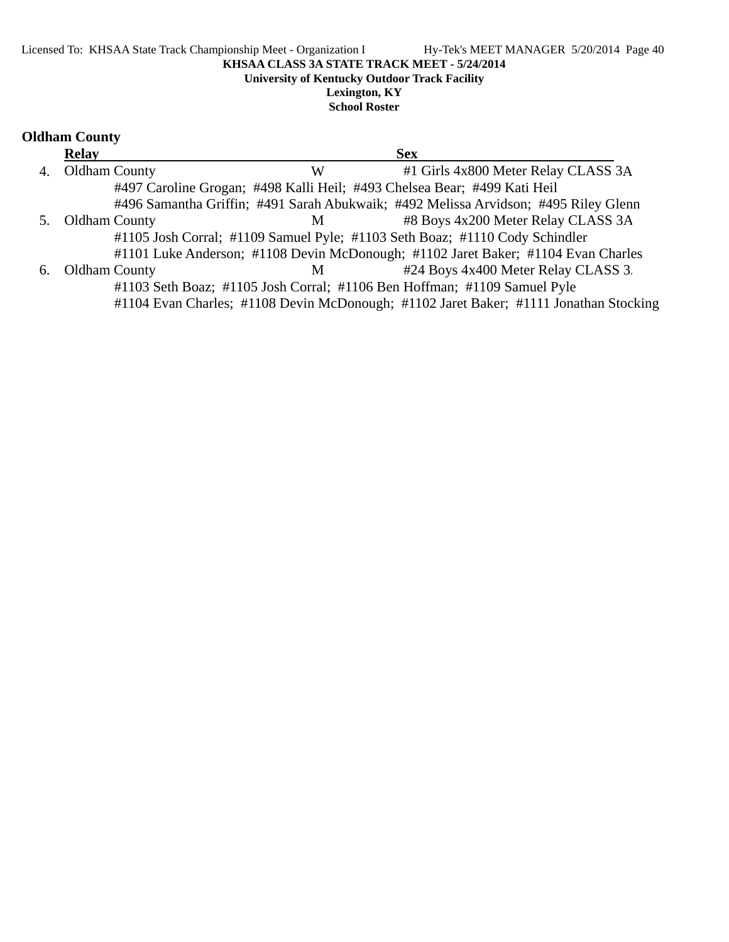#### **Lexington, KY School Roster**

# **Oldham County**

|    | <b>Relay</b>         |   | <b>Sex</b>                                                                            |
|----|----------------------|---|---------------------------------------------------------------------------------------|
| 4. | <b>Oldham County</b> | W | #1 Girls 4x800 Meter Relay CLASS 3A                                                   |
|    |                      |   | #497 Caroline Grogan; #498 Kalli Heil; #493 Chelsea Bear; #499 Kati Heil              |
|    |                      |   | #496 Samantha Griffin; #491 Sarah Abukwaik; #492 Melissa Arvidson; #495 Riley Glenn   |
| 5. | Oldham County        | M | #8 Boys 4x200 Meter Relay CLASS 3A                                                    |
|    |                      |   | #1105 Josh Corral; #1109 Samuel Pyle; #1103 Seth Boaz; #1110 Cody Schindler           |
|    |                      |   | #1101 Luke Anderson; #1108 Devin McDonough; #1102 Jaret Baker; #1104 Evan Charles     |
| 6. | <b>Oldham County</b> | M | #24 Boys 4x400 Meter Relay CLASS 3.                                                   |
|    |                      |   | #1103 Seth Boaz; #1105 Josh Corral; #1106 Ben Hoffman; #1109 Samuel Pyle              |
|    |                      |   | #1104 Evan Charles; #1108 Devin McDonough; #1102 Jaret Baker; #1111 Jonathan Stocking |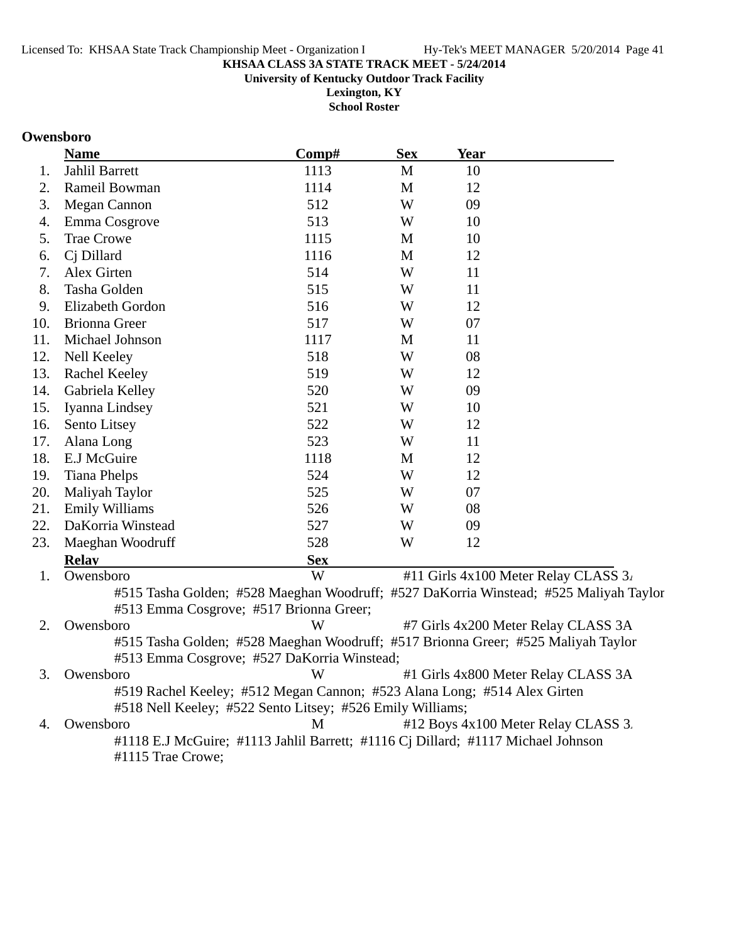**University of Kentucky Outdoor Track Facility**

**Lexington, KY School Roster**

#### **Owensboro**

|     | <b>Name</b>                                                                       | Comp#      | <b>Sex</b>   | <b>Year</b> |                                                                                       |
|-----|-----------------------------------------------------------------------------------|------------|--------------|-------------|---------------------------------------------------------------------------------------|
| 1.  | Jahlil Barrett                                                                    | 1113       | $\mathbf{M}$ | 10          |                                                                                       |
| 2.  | Rameil Bowman                                                                     | 1114       | M            | 12          |                                                                                       |
| 3.  | <b>Megan Cannon</b>                                                               | 512        | W            | 09          |                                                                                       |
| 4.  | Emma Cosgrove                                                                     | 513        | W            | 10          |                                                                                       |
| 5.  | <b>Trae Crowe</b>                                                                 | 1115       | M            | 10          |                                                                                       |
| 6.  | Cj Dillard                                                                        | 1116       | M            | 12          |                                                                                       |
| 7.  | Alex Girten                                                                       | 514        | W            | 11          |                                                                                       |
| 8.  | Tasha Golden                                                                      | 515        | W            | 11          |                                                                                       |
| 9.  | Elizabeth Gordon                                                                  | 516        | W            | 12          |                                                                                       |
| 10. | <b>Brionna Greer</b>                                                              | 517        | W            | 07          |                                                                                       |
| 11. | Michael Johnson                                                                   | 1117       | M            | 11          |                                                                                       |
| 12. | Nell Keeley                                                                       | 518        | W            | 08          |                                                                                       |
| 13. | Rachel Keeley                                                                     | 519        | W            | 12          |                                                                                       |
| 14. | Gabriela Kelley                                                                   | 520        | W            | 09          |                                                                                       |
| 15. | Iyanna Lindsey                                                                    | 521        | W            | 10          |                                                                                       |
| 16. | Sento Litsey                                                                      | 522        | W            | 12          |                                                                                       |
| 17. | Alana Long                                                                        | 523        | W            | 11          |                                                                                       |
| 18. | E.J McGuire                                                                       | 1118       | M            | 12          |                                                                                       |
| 19. | <b>Tiana Phelps</b>                                                               | 524        | W            | 12          |                                                                                       |
| 20. | Maliyah Taylor                                                                    | 525        | W            | 07          |                                                                                       |
| 21. | <b>Emily Williams</b>                                                             | 526        | W            | 08          |                                                                                       |
| 22. | DaKorria Winstead                                                                 | 527        | W            | 09          |                                                                                       |
| 23. | Maeghan Woodruff                                                                  | 528        | W            | 12          |                                                                                       |
|     | <b>Relay</b>                                                                      | <b>Sex</b> |              |             |                                                                                       |
| 1.  | Owensboro                                                                         | W          |              |             | #11 Girls 4x100 Meter Relay CLASS 3.                                                  |
|     |                                                                                   |            |              |             | #515 Tasha Golden; #528 Maeghan Woodruff; #527 DaKorria Winstead; #525 Maliyah Taylor |
|     | #513 Emma Cosgrove; #517 Brionna Greer;                                           |            |              |             |                                                                                       |
| 2.  | Owensboro                                                                         | W          |              |             | #7 Girls 4x200 Meter Relay CLASS 3A                                                   |
|     | #515 Tasha Golden; #528 Maeghan Woodruff; #517 Brionna Greer; #525 Maliyah Taylor |            |              |             |                                                                                       |
|     | #513 Emma Cosgrove; #527 DaKorria Winstead;                                       |            |              |             |                                                                                       |
| 3.  | Owensboro                                                                         | W          |              |             | #1 Girls 4x800 Meter Relay CLASS 3A                                                   |
|     | #519 Rachel Keeley; #512 Megan Cannon; #523 Alana Long; #514 Alex Girten          |            |              |             |                                                                                       |
|     | #518 Nell Keeley; #522 Sento Litsey; #526 Emily Williams;                         |            |              |             |                                                                                       |
| 4.  | Owensboro                                                                         | M          |              |             | #12 Boys 4x100 Meter Relay CLASS 3.                                                   |
|     | #1118 E.J McGuire; #1113 Jahlil Barrett; #1116 Cj Dillard; #1117 Michael Johnson  |            |              |             |                                                                                       |

#1115 Trae Crowe;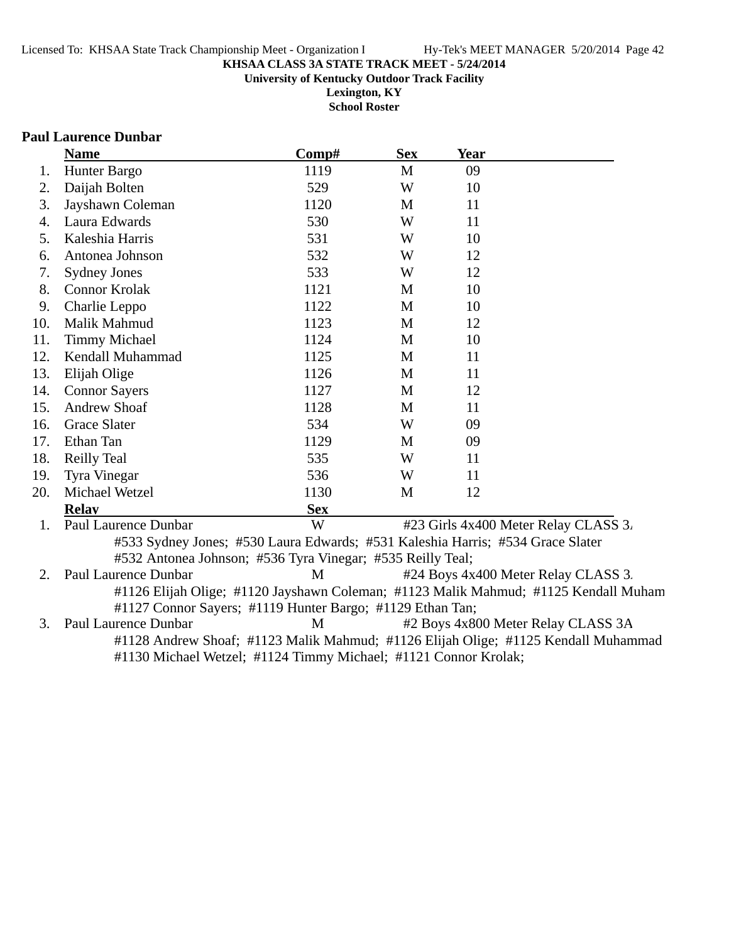#### **KHSAA CLASS 3A STATE TRACK MEET - 5/24/2014 University of Kentucky Outdoor Track Facility**

**Lexington, KY School Roster**

#### **Paul Laurence Dunbar**

|     | <b>Name</b>                                                                    | Comp#      | <b>Sex</b> | <b>Year</b> |                                                                                     |
|-----|--------------------------------------------------------------------------------|------------|------------|-------------|-------------------------------------------------------------------------------------|
| 1.  | Hunter Bargo                                                                   | 1119       | M          | 09          |                                                                                     |
| 2.  | Daijah Bolten                                                                  | 529        | W          | 10          |                                                                                     |
| 3.  | Jayshawn Coleman                                                               | 1120       | M          | 11          |                                                                                     |
| 4.  | Laura Edwards                                                                  | 530        | W          | 11          |                                                                                     |
| 5.  | Kaleshia Harris                                                                | 531        | W          | 10          |                                                                                     |
| 6.  | Antonea Johnson                                                                | 532        | W          | 12          |                                                                                     |
| 7.  | <b>Sydney Jones</b>                                                            | 533        | W          | 12          |                                                                                     |
| 8.  | <b>Connor Krolak</b>                                                           | 1121       | M          | 10          |                                                                                     |
| 9.  | Charlie Leppo                                                                  | 1122       | M          | 10          |                                                                                     |
| 10. | Malik Mahmud                                                                   | 1123       | M          | 12          |                                                                                     |
| 11. | <b>Timmy Michael</b>                                                           | 1124       | M          | 10          |                                                                                     |
| 12. | Kendall Muhammad                                                               | 1125       | M          | 11          |                                                                                     |
| 13. | Elijah Olige                                                                   | 1126       | M          | 11          |                                                                                     |
| 14. | <b>Connor Sayers</b>                                                           | 1127       | M          | 12          |                                                                                     |
| 15. | <b>Andrew Shoaf</b>                                                            | 1128       | M          | 11          |                                                                                     |
| 16. | <b>Grace Slater</b>                                                            | 534        | W          | 09          |                                                                                     |
| 17. | Ethan Tan                                                                      | 1129       | M          | 09          |                                                                                     |
| 18. | <b>Reilly Teal</b>                                                             | 535        | W          | 11          |                                                                                     |
| 19. | Tyra Vinegar                                                                   | 536        | W          | 11          |                                                                                     |
| 20. | Michael Wetzel                                                                 | 1130       | M          | 12          |                                                                                     |
|     | <b>Relay</b>                                                                   | <b>Sex</b> |            |             |                                                                                     |
| 1.  | Paul Laurence Dunbar                                                           | W          |            |             | #23 Girls 4x400 Meter Relay CLASS 3.                                                |
|     | #533 Sydney Jones; #530 Laura Edwards; #531 Kaleshia Harris; #534 Grace Slater |            |            |             |                                                                                     |
|     | #532 Antonea Johnson; #536 Tyra Vinegar; #535 Reilly Teal;                     |            |            |             |                                                                                     |
| 2.  | Paul Laurence Dunbar                                                           | M          |            |             | #24 Boys 4x400 Meter Relay CLASS 3.                                                 |
|     |                                                                                |            |            |             | #1126 Elijah Olige; #1120 Jayshawn Coleman; #1123 Malik Mahmud; #1125 Kendall Muham |
|     | #1127 Connor Sayers; #1119 Hunter Bargo; #1129 Ethan Tan;                      |            |            |             |                                                                                     |
| 3.  | Paul Laurence Dunbar                                                           | M          |            |             | #2 Boys 4x800 Meter Relay CLASS 3A                                                  |

#1128 Andrew Shoaf; #1123 Malik Mahmud; #1126 Elijah Olige; #1125 Kendall Muhammad #1130 Michael Wetzel; #1124 Timmy Michael; #1121 Connor Krolak;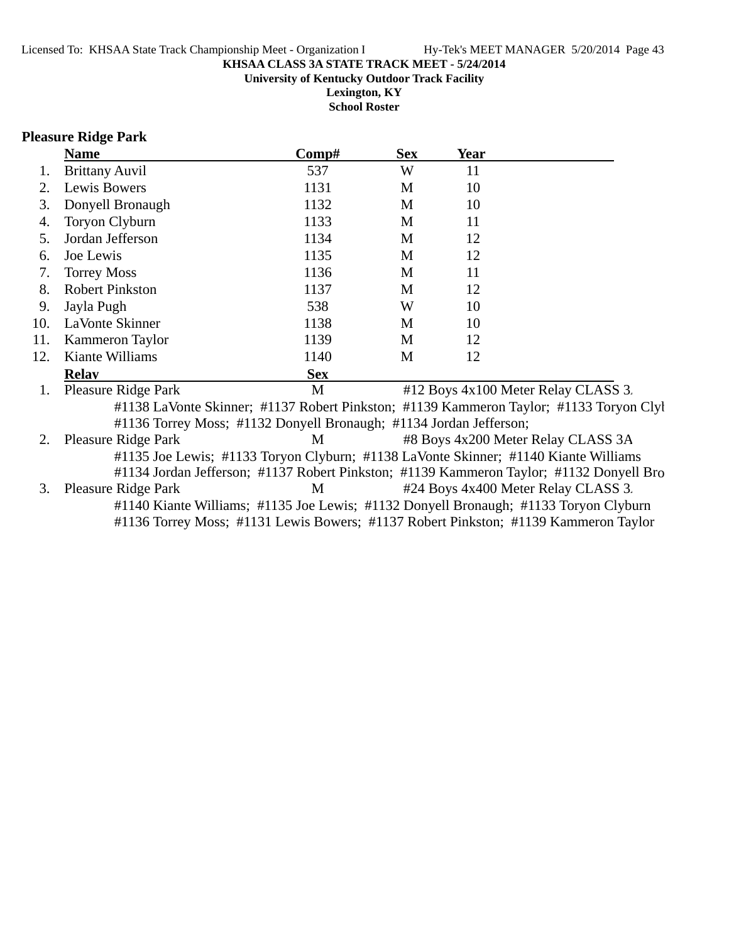**University of Kentucky Outdoor Track Facility**

**Lexington, KY School Roster**

#### **Pleasure Ridge Park**

|     | <b>Name</b>            | Comp#      | <b>Sex</b> | <b>Year</b> |  |
|-----|------------------------|------------|------------|-------------|--|
|     | <b>Brittany Auvil</b>  | 537        | W          | 11          |  |
| 2.  | Lewis Bowers           | 1131       | M          | 10          |  |
| 3.  | Donyell Bronaugh       | 1132       | M          | 10          |  |
| 4.  | Toryon Clyburn         | 1133       | M          | 11          |  |
| 5.  | Jordan Jefferson       | 1134       | M          | 12          |  |
| 6.  | Joe Lewis              | 1135       | M          | 12          |  |
| 7.  | <b>Torrey Moss</b>     | 1136       | M          | 11          |  |
| 8.  | <b>Robert Pinkston</b> | 1137       | M          | 12          |  |
| 9.  | Jayla Pugh             | 538        | W          | 10          |  |
| 10. | LaVonte Skinner        | 1138       | M          | 10          |  |
| 11. | <b>Kammeron Taylor</b> | 1139       | M          | 12          |  |
| 12. | Kiante Williams        | 1140       | М          | 12          |  |
|     | <b>Relay</b>           | <b>Sex</b> |            |             |  |
|     |                        |            |            |             |  |

1. Pleasure Ridge Park M #12 Boys 4x100 Meter Relay CLASS 3. #1138 LaVonte Skinner; #1137 Robert Pinkston; #1139 Kammeron Taylor; #1133 Toryon Clyb #1136 Torrey Moss; #1132 Donyell Bronaugh; #1134 Jordan Jefferson;

2. Pleasure Ridge Park M #8 Boys 4x200 Meter Relay CLASS 3A #1135 Joe Lewis; #1133 Toryon Clyburn; #1138 LaVonte Skinner; #1140 Kiante Williams

#1134 Jordan Jefferson; #1137 Robert Pinkston; #1139 Kammeron Taylor; #1132 Donyell Bro 3. Pleasure Ridge Park M #24 Boys 4x400 Meter Relay CLASS 3.

#1140 Kiante Williams; #1135 Joe Lewis; #1132 Donyell Bronaugh; #1133 Toryon Clyburn #1136 Torrey Moss; #1131 Lewis Bowers; #1137 Robert Pinkston; #1139 Kammeron Taylor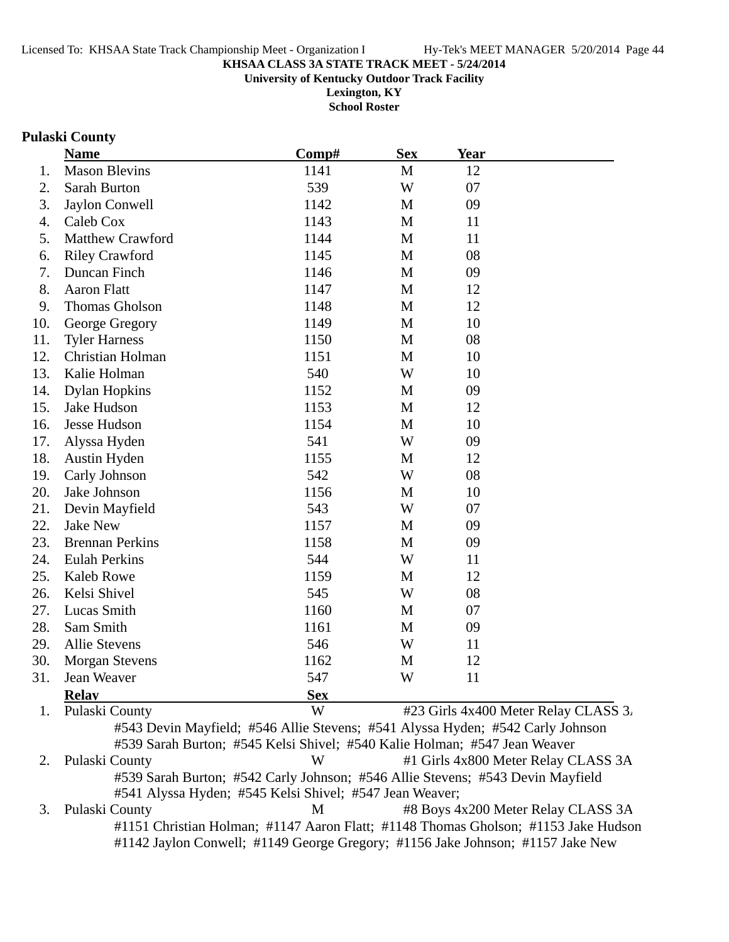**University of Kentucky Outdoor Track Facility**

**Lexington, KY School Roster**

#### **Pulaski County**

|     | <b>Name</b>            | Comp#      | <b>Sex</b>   | <b>Year</b> |  |
|-----|------------------------|------------|--------------|-------------|--|
| 1.  | <b>Mason Blevins</b>   | 1141       | $\mathbf{M}$ | 12          |  |
| 2.  | Sarah Burton           | 539        | W            | 07          |  |
| 3.  | Jaylon Conwell         | 1142       | M            | 09          |  |
| 4.  | Caleb Cox              | 1143       | M            | 11          |  |
| 5.  | Matthew Crawford       | 1144       | M            | 11          |  |
| 6.  | <b>Riley Crawford</b>  | 1145       | M            | 08          |  |
| 7.  | Duncan Finch           | 1146       | $\mathbf{M}$ | 09          |  |
| 8.  | <b>Aaron Flatt</b>     | 1147       | M            | 12          |  |
| 9.  | Thomas Gholson         | 1148       | M            | 12          |  |
| 10. | George Gregory         | 1149       | M            | 10          |  |
| 11. | <b>Tyler Harness</b>   | 1150       | M            | 08          |  |
| 12. | Christian Holman       | 1151       | M            | 10          |  |
| 13. | Kalie Holman           | 540        | W            | 10          |  |
| 14. | <b>Dylan Hopkins</b>   | 1152       | $\mathbf{M}$ | 09          |  |
| 15. | Jake Hudson            | 1153       | M            | 12          |  |
| 16. | Jesse Hudson           | 1154       | M            | 10          |  |
| 17. | Alyssa Hyden           | 541        | W            | 09          |  |
| 18. | Austin Hyden           | 1155       | M            | 12          |  |
| 19. | Carly Johnson          | 542        | W            | 08          |  |
| 20. | Jake Johnson           | 1156       | M            | 10          |  |
| 21. | Devin Mayfield         | 543        | W            | 07          |  |
| 22. | <b>Jake New</b>        | 1157       | M            | 09          |  |
| 23. | <b>Brennan Perkins</b> | 1158       | M            | 09          |  |
| 24. | <b>Eulah Perkins</b>   | 544        | W            | 11          |  |
| 25. | <b>Kaleb Rowe</b>      | 1159       | M            | 12          |  |
| 26. | Kelsi Shivel           | 545        | W            | 08          |  |
| 27. | Lucas Smith            | 1160       | M            | 07          |  |
| 28. | Sam Smith              | 1161       | M            | 09          |  |
| 29. | <b>Allie Stevens</b>   | 546        | W            | 11          |  |
| 30. | <b>Morgan Stevens</b>  | 1162       | M            | 12          |  |
| 31. | Jean Weaver            | 547        | W            | 11          |  |
|     | <b>Relay</b>           | <b>Sex</b> |              |             |  |

1. Pulaski County W #23 Girls 4x400 Meter Relay CLASS 3. #543 Devin Mayfield; #546 Allie Stevens; #541 Alyssa Hyden; #542 Carly Johnson #539 Sarah Burton; #545 Kelsi Shivel; #540 Kalie Holman; #547 Jean Weaver 2. Pulaski County W #1 Girls 4x800 Meter Relay CLASS 3A #539 Sarah Burton; #542 Carly Johnson; #546 Allie Stevens; #543 Devin Mayfield #541 Alyssa Hyden; #545 Kelsi Shivel; #547 Jean Weaver;

3. Pulaski County M #8 Boys 4x200 Meter Relay CLASS 3A #1151 Christian Holman; #1147 Aaron Flatt; #1148 Thomas Gholson; #1153 Jake Hudson #1142 Jaylon Conwell; #1149 George Gregory; #1156 Jake Johnson; #1157 Jake New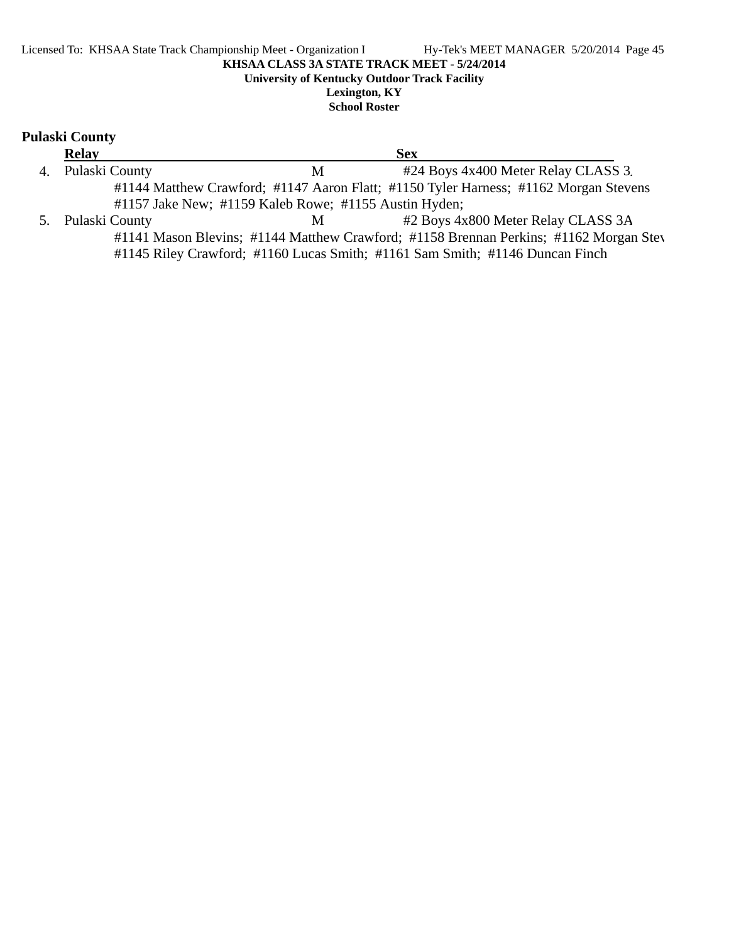# **Pulaski County**

| <b>Relay</b>                                          |   | <b>Sex</b>                                                                            |  |
|-------------------------------------------------------|---|---------------------------------------------------------------------------------------|--|
| 4. Pulaski County                                     | M | #24 Boys 4x400 Meter Relay CLASS 3.                                                   |  |
|                                                       |   | #1144 Matthew Crawford; #1147 Aaron Flatt; #1150 Tyler Harness; #1162 Morgan Stevens  |  |
| #1157 Jake New; #1159 Kaleb Rowe; #1155 Austin Hyden; |   |                                                                                       |  |
| 5. Pulaski County                                     | M | #2 Boys 4x800 Meter Relay CLASS 3A                                                    |  |
|                                                       |   | #1141 Mason Blevins; #1144 Matthew Crawford; #1158 Brennan Perkins; #1162 Morgan Stev |  |
|                                                       |   | #1145 Riley Crawford; #1160 Lucas Smith; #1161 Sam Smith; #1146 Duncan Finch          |  |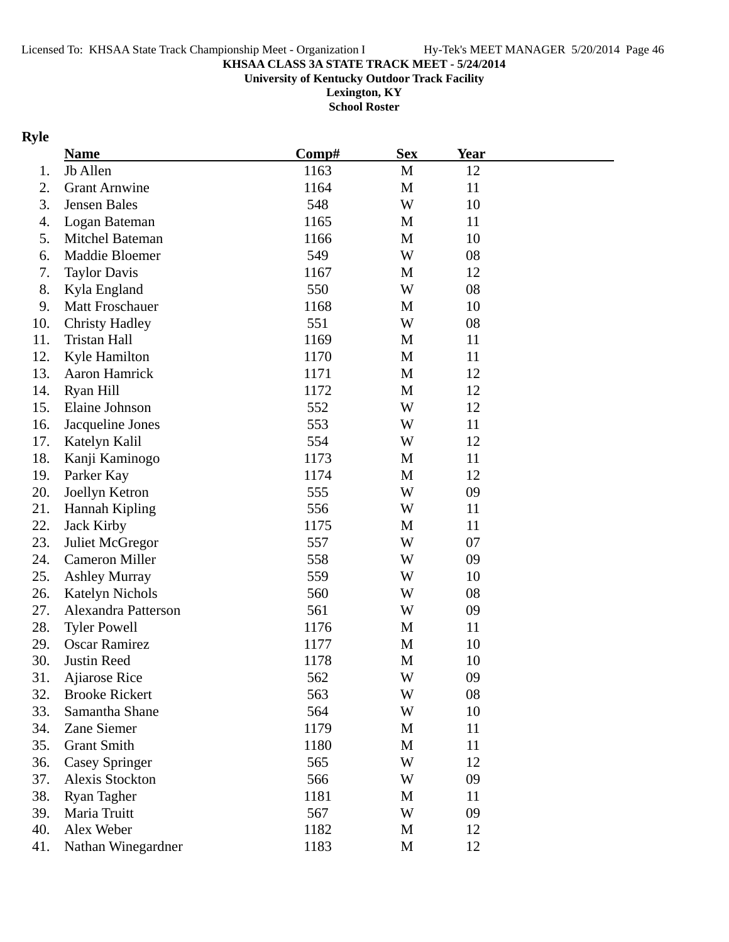#### **KHSAA CLASS 3A STATE TRACK MEET - 5/24/2014 University of Kentucky Outdoor Track Facility**

**Lexington, KY School Roster**

# **Ryle**

|     | <b>Name</b>            | Comp# | <b>Sex</b> | <b>Year</b> |  |
|-----|------------------------|-------|------------|-------------|--|
| 1.  | Jb Allen               | 1163  | M          | 12          |  |
| 2.  | <b>Grant Arnwine</b>   | 1164  | M          | 11          |  |
| 3.  | Jensen Bales           | 548   | W          | 10          |  |
| 4.  | Logan Bateman          | 1165  | M          | 11          |  |
| 5.  | Mitchel Bateman        | 1166  | M          | 10          |  |
| 6.  | Maddie Bloemer         | 549   | W          | 08          |  |
| 7.  | <b>Taylor Davis</b>    | 1167  | M          | 12          |  |
| 8.  | Kyla England           | 550   | W          | 08          |  |
| 9.  | <b>Matt Froschauer</b> | 1168  | M          | 10          |  |
| 10. | <b>Christy Hadley</b>  | 551   | W          | 08          |  |
| 11. | <b>Tristan Hall</b>    | 1169  | M          | 11          |  |
| 12. | Kyle Hamilton          | 1170  | M          | 11          |  |
| 13. | Aaron Hamrick          | 1171  | M          | 12          |  |
| 14. | Ryan Hill              | 1172  | M          | 12          |  |
| 15. | Elaine Johnson         | 552   | W          | 12          |  |
| 16. | Jacqueline Jones       | 553   | W          | 11          |  |
| 17. | Katelyn Kalil          | 554   | W          | 12          |  |
| 18. | Kanji Kaminogo         | 1173  | M          | 11          |  |
| 19. | Parker Kay             | 1174  | M          | 12          |  |
| 20. | Joellyn Ketron         | 555   | W          | 09          |  |
| 21. | Hannah Kipling         | 556   | W          | 11          |  |
| 22. | <b>Jack Kirby</b>      | 1175  | M          | 11          |  |
| 23. | Juliet McGregor        | 557   | W          | 07          |  |
| 24. | <b>Cameron Miller</b>  | 558   | W          | 09          |  |
| 25. | <b>Ashley Murray</b>   | 559   | W          | 10          |  |
| 26. | <b>Katelyn Nichols</b> | 560   | W          | 08          |  |
| 27. | Alexandra Patterson    | 561   | W          | 09          |  |
| 28. | <b>Tyler Powell</b>    | 1176  | M          | 11          |  |
| 29. | <b>Oscar Ramirez</b>   | 1177  | M          | 10          |  |
| 30. | Justin Reed            | 1178  | M          | 10          |  |
| 31. | <b>Ajiarose Rice</b>   | 562   | W          | 09          |  |
| 32. | <b>Brooke Rickert</b>  | 563   | W          | 08          |  |
| 33. | Samantha Shane         | 564   | W          | 10          |  |
| 34. | Zane Siemer            | 1179  | M          | 11          |  |
| 35. | <b>Grant Smith</b>     | 1180  | M          | 11          |  |
| 36. | <b>Casey Springer</b>  | 565   | W          | 12          |  |
| 37. | Alexis Stockton        | 566   | W          | 09          |  |
| 38. | <b>Ryan Tagher</b>     | 1181  | M          | 11          |  |
| 39. | Maria Truitt           | 567   | W          | 09          |  |
| 40. | Alex Weber             | 1182  | M          | 12          |  |
| 41. | Nathan Winegardner     | 1183  | M          | 12          |  |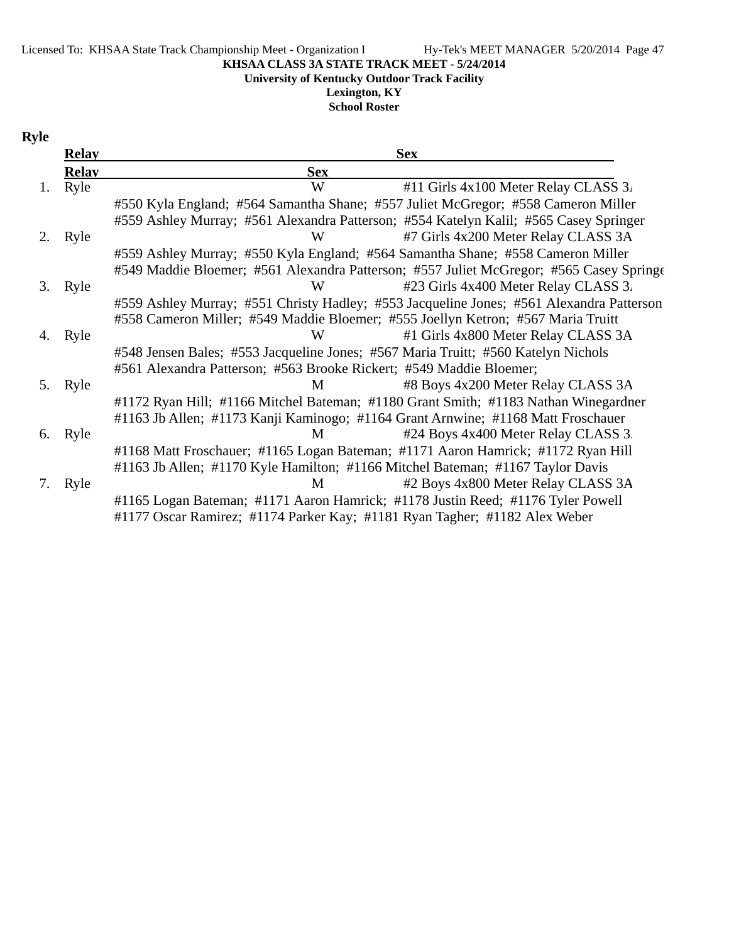#### Licensed To: KHSAA State Track Championship Meet - Organization I Hy-Tek's MEET MANAGER 5/20/2014 Page 47

#### **KHSAA CLASS 3A STATE TRACK MEET - 5/24/2014**

**University of Kentucky Outdoor Track Facility**

# **Lexington, KY**

**School Roster**

# **Ryle**

|    | <b>Relay</b> | <b>Sex</b>                                                                               |  |  |  |
|----|--------------|------------------------------------------------------------------------------------------|--|--|--|
|    | <b>Relay</b> | <b>Sex</b>                                                                               |  |  |  |
| 1. | Ryle         | W<br>#11 Girls 4x100 Meter Relay CLASS 3.                                                |  |  |  |
|    |              | #550 Kyla England; #564 Samantha Shane; #557 Juliet McGregor; #558 Cameron Miller        |  |  |  |
|    |              | #559 Ashley Murray; #561 Alexandra Patterson; #554 Katelyn Kalil; #565 Casey Springer    |  |  |  |
| 2. | Ryle         | #7 Girls 4x200 Meter Relay CLASS 3A<br>W                                                 |  |  |  |
|    |              | #559 Ashley Murray; #550 Kyla England; #564 Samantha Shane; #558 Cameron Miller          |  |  |  |
|    |              | #549 Maddie Bloemer; #561 Alexandra Patterson; #557 Juliet McGregor; #565 Casey Springe  |  |  |  |
| 3. | Ryle         | #23 Girls 4x400 Meter Relay CLASS 3.<br>W                                                |  |  |  |
|    |              | #559 Ashley Murray; #551 Christy Hadley; #553 Jacqueline Jones; #561 Alexandra Patterson |  |  |  |
|    |              | #558 Cameron Miller; #549 Maddie Bloemer; #555 Joellyn Ketron; #567 Maria Truitt         |  |  |  |
| 4. | Ryle         | #1 Girls 4x800 Meter Relay CLASS 3A<br>W                                                 |  |  |  |
|    |              | #548 Jensen Bales; #553 Jacqueline Jones; #567 Maria Truitt; #560 Katelyn Nichols        |  |  |  |
|    |              | #561 Alexandra Patterson; #563 Brooke Rickert; #549 Maddie Bloemer;                      |  |  |  |
| 5. | Ryle         | M<br>#8 Boys 4x200 Meter Relay CLASS 3A                                                  |  |  |  |
|    |              | #1172 Ryan Hill; #1166 Mitchel Bateman; #1180 Grant Smith; #1183 Nathan Winegardner      |  |  |  |
|    |              | #1163 Jb Allen; #1173 Kanji Kaminogo; #1164 Grant Arnwine; #1168 Matt Froschauer         |  |  |  |
| 6. | Ryle         | #24 Boys 4x400 Meter Relay CLASS 3.<br>M                                                 |  |  |  |
|    |              | #1168 Matt Froschauer; #1165 Logan Bateman; #1171 Aaron Hamrick; #1172 Ryan Hill         |  |  |  |
|    |              | #1163 Jb Allen; #1170 Kyle Hamilton; #1166 Mitchel Bateman; #1167 Taylor Davis           |  |  |  |
| 7. | Ryle         | M<br>#2 Boys 4x800 Meter Relay CLASS 3A                                                  |  |  |  |
|    |              | #1165 Logan Bateman; #1171 Aaron Hamrick; #1178 Justin Reed; #1176 Tyler Powell          |  |  |  |
|    |              | #1177 Oscar Ramirez; #1174 Parker Kay; #1181 Ryan Tagher; #1182 Alex Weber               |  |  |  |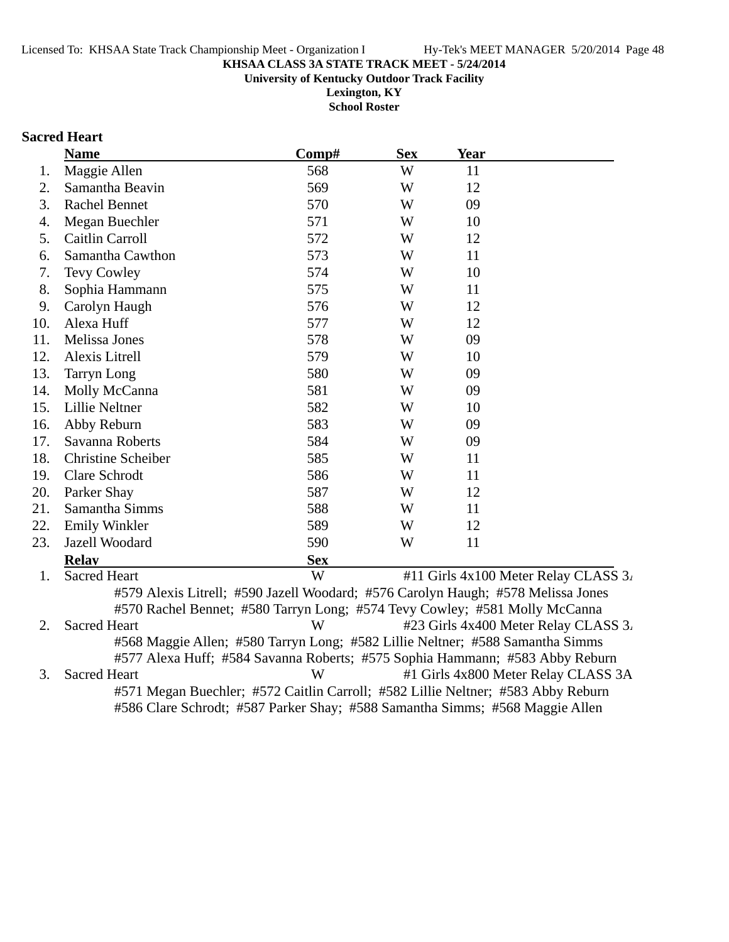**University of Kentucky Outdoor Track Facility**

**Lexington, KY School Roster**

#### **Sacred Heart**

|     | <b>Name</b>               | Comp#                                                                            | <b>Sex</b> | <b>Year</b>                              |  |
|-----|---------------------------|----------------------------------------------------------------------------------|------------|------------------------------------------|--|
| 1.  | Maggie Allen              | 568                                                                              | W          | 11                                       |  |
| 2.  | Samantha Beavin           | 569                                                                              | W          | 12                                       |  |
| 3.  | <b>Rachel Bennet</b>      | 570                                                                              | W          | 09                                       |  |
| 4.  | Megan Buechler            | 571                                                                              | W          | 10                                       |  |
| 5.  | Caitlin Carroll           | 572                                                                              | W          | 12                                       |  |
| 6.  | Samantha Cawthon          | 573                                                                              | W          | 11                                       |  |
| 7.  | Tevy Cowley               | 574                                                                              | W          | 10                                       |  |
| 8.  | Sophia Hammann            | 575                                                                              | W          | 11                                       |  |
| 9.  | Carolyn Haugh             | 576                                                                              | W          | 12                                       |  |
| 10. | Alexa Huff                | 577                                                                              | W          | 12                                       |  |
| 11. | Melissa Jones             | 578                                                                              | W          | 09                                       |  |
| 12. | Alexis Litrell            | 579                                                                              | W          | 10                                       |  |
| 13. | Tarryn Long               | 580                                                                              | W          | 09                                       |  |
| 14. | Molly McCanna             | 581                                                                              | W          | 09                                       |  |
| 15. | Lillie Neltner            | 582                                                                              | W          | 10                                       |  |
| 16. | Abby Reburn               | 583                                                                              | W          | 09                                       |  |
| 17. | Savanna Roberts           | 584                                                                              | W          | 09                                       |  |
| 18. | <b>Christine Scheiber</b> | 585                                                                              | W          | 11                                       |  |
| 19. | Clare Schrodt             | 586                                                                              | W          | 11                                       |  |
| 20. | Parker Shay               | 587                                                                              | W          | 12                                       |  |
| 21. | Samantha Simms            | 588                                                                              | W          | 11                                       |  |
| 22. | <b>Emily Winkler</b>      | 589                                                                              | W          | 12                                       |  |
| 23. | Jazell Woodard            | 590                                                                              | W          | 11                                       |  |
|     | <b>Relav</b>              | <b>Sex</b>                                                                       |            |                                          |  |
| 1.  | <b>Sacred Heart</b>       | W                                                                                |            | #11 Girls $4x100$ Meter Relay CLASS $3i$ |  |
|     |                           | #579 Alexis Litrell; #590 Jazell Woodard; #576 Carolyn Haugh; #578 Melissa Jones |            |                                          |  |
|     |                           | #570 Rachel Bennet; #580 Tarryn Long; #574 Tevy Cowley; #581 Molly McCanna       |            |                                          |  |
| 2.  | Sacred Heart              | W                                                                                |            | #23 Girls 4x400 Meter Relay CLASS 3.     |  |

2. Sacred Heart W #23 Girls 4x400 Meter Relay CLASS 3. #568 Maggie Allen; #580 Tarryn Long; #582 Lillie Neltner; #588 Samantha Simms #577 Alexa Huff; #584 Savanna Roberts; #575 Sophia Hammann; #583 Abby Reburn 3. Sacred Heart W #1 Girls 4x800 Meter Relay CLASS 3A #571 Megan Buechler; #572 Caitlin Carroll; #582 Lillie Neltner; #583 Abby Reburn #586 Clare Schrodt; #587 Parker Shay; #588 Samantha Simms; #568 Maggie Allen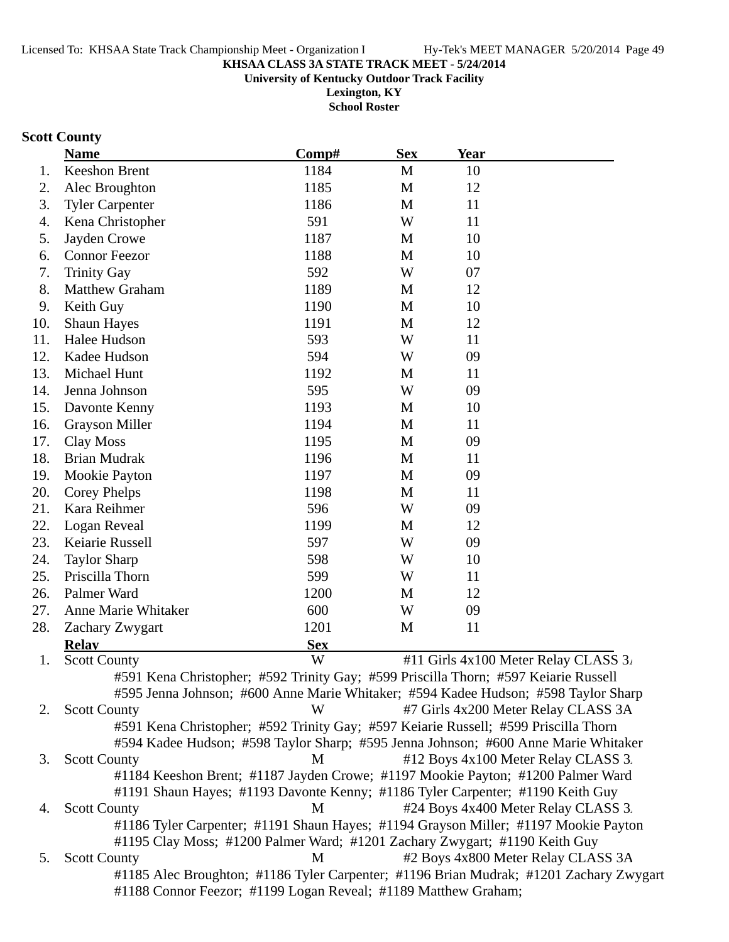**University of Kentucky Outdoor Track Facility**

**Lexington, KY School Roster**

# **Scott County**

|     | <b>Name</b>                                                                            | Comp#      | <b>Sex</b> | <b>Year</b>                          |  |
|-----|----------------------------------------------------------------------------------------|------------|------------|--------------------------------------|--|
| 1.  | Keeshon Brent                                                                          | 1184       | M          | 10                                   |  |
| 2.  | Alec Broughton                                                                         | 1185       | M          | 12                                   |  |
| 3.  | <b>Tyler Carpenter</b>                                                                 | 1186       | M          | 11                                   |  |
| 4.  | Kena Christopher                                                                       | 591        | W          | 11                                   |  |
| 5.  | Jayden Crowe                                                                           | 1187       | M          | 10                                   |  |
| 6.  | <b>Connor Feezor</b>                                                                   | 1188       | M          | 10                                   |  |
| 7.  | <b>Trinity Gay</b>                                                                     | 592        | W          | 07                                   |  |
| 8.  | <b>Matthew Graham</b>                                                                  | 1189       | M          | 12                                   |  |
| 9.  | Keith Guy                                                                              | 1190       | M          | 10                                   |  |
| 10. | <b>Shaun Hayes</b>                                                                     | 1191       | M          | 12                                   |  |
| 11. | Halee Hudson                                                                           | 593        | W          | 11                                   |  |
| 12. | Kadee Hudson                                                                           | 594        | W          | 09                                   |  |
| 13. | Michael Hunt                                                                           | 1192       | M          | 11                                   |  |
| 14. | Jenna Johnson                                                                          | 595        | W          | 09                                   |  |
| 15. | Davonte Kenny                                                                          | 1193       | M          | 10                                   |  |
| 16. | <b>Grayson Miller</b>                                                                  | 1194       | M          | 11                                   |  |
| 17. | Clay Moss                                                                              | 1195       | M          | 09                                   |  |
| 18. | <b>Brian Mudrak</b>                                                                    | 1196       | M          | 11                                   |  |
| 19. | Mookie Payton                                                                          | 1197       | M          | 09                                   |  |
| 20. | <b>Corey Phelps</b>                                                                    | 1198       | M          | 11                                   |  |
| 21. | Kara Reihmer                                                                           | 596        | W          | 09                                   |  |
| 22. | Logan Reveal                                                                           | 1199       | M          | 12                                   |  |
| 23. | Keiarie Russell                                                                        | 597        | W          | 09                                   |  |
| 24. | <b>Taylor Sharp</b>                                                                    | 598        | W          | 10                                   |  |
| 25. | Priscilla Thorn                                                                        | 599        | W          | 11                                   |  |
| 26. | Palmer Ward                                                                            | 1200       | M          | 12                                   |  |
| 27. | Anne Marie Whitaker                                                                    | 600        | W          | 09                                   |  |
| 28. | Zachary Zwygart                                                                        | 1201       | M          | 11                                   |  |
|     | <b>Relav</b>                                                                           | <b>Sex</b> |            |                                      |  |
| 1.  | <b>Scott County</b>                                                                    | W          |            | #11 Girls 4x100 Meter Relay CLASS 3. |  |
|     | #591 Kena Christopher; #592 Trinity Gay; #599 Priscilla Thorn; #597 Keiarie Russell    |            |            |                                      |  |
|     | #595 Jenna Johnson; #600 Anne Marie Whitaker; #594 Kadee Hudson; #598 Taylor Sharp     |            |            |                                      |  |
| 2.  | <b>Scott County</b>                                                                    | W          |            | #7 Girls 4x200 Meter Relay CLASS 3A  |  |
|     | #591 Kena Christopher; #592 Trinity Gay; #597 Keiarie Russell; #599 Priscilla Thorn    |            |            |                                      |  |
|     | #594 Kadee Hudson; #598 Taylor Sharp; #595 Jenna Johnson; #600 Anne Marie Whitaker     |            |            |                                      |  |
| 3.  | <b>Scott County</b>                                                                    | M          |            | #12 Boys 4x100 Meter Relay CLASS 3.  |  |
|     | #1184 Keeshon Brent; #1187 Jayden Crowe; #1197 Mookie Payton; #1200 Palmer Ward        |            |            |                                      |  |
|     | #1191 Shaun Hayes; #1193 Davonte Kenny; #1186 Tyler Carpenter; #1190 Keith Guy         |            |            |                                      |  |
| 4.  | <b>Scott County</b>                                                                    | M          |            | #24 Boys 4x400 Meter Relay CLASS 3.  |  |
|     | #1186 Tyler Carpenter; #1191 Shaun Hayes; #1194 Grayson Miller; #1197 Mookie Payton    |            |            |                                      |  |
|     | #1195 Clay Moss; #1200 Palmer Ward; #1201 Zachary Zwygart; #1190 Keith Guy             |            |            |                                      |  |
| 5.  | <b>Scott County</b>                                                                    | M          |            | #2 Boys 4x800 Meter Relay CLASS 3A   |  |
|     | #1185 Alec Broughton; #1186 Tyler Carpenter; #1196 Brian Mudrak; #1201 Zachary Zwygart |            |            |                                      |  |
|     | #1188 Connor Feezor; #1199 Logan Reveal; #1189 Matthew Graham;                         |            |            |                                      |  |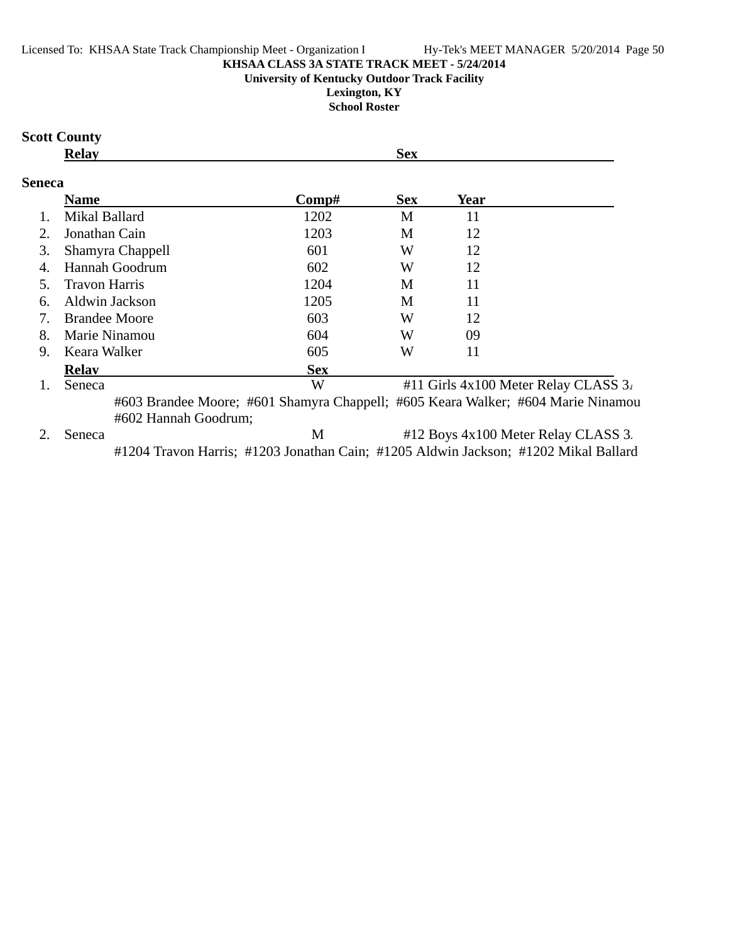#### Licensed To: KHSAA State Track Championship Meet - Organization I Hy-Tek's MEET MANAGER 5/20/2014 Page 50

#### **KHSAA CLASS 3A STATE TRACK MEET - 5/24/2014**

#### **University of Kentucky Outdoor Track Facility**

**Lexington, KY School Roster**

#### **Scott County**

| $\lambda$<br>K.<br>. |
|----------------------|
|----------------------|

### **Seneca**

|    | <b>Name</b>          | Comp#      | <b>Sex</b> | Year                                                                             |  |
|----|----------------------|------------|------------|----------------------------------------------------------------------------------|--|
|    | Mikal Ballard        | 1202       | M          | 11                                                                               |  |
| 2. | Jonathan Cain        | 1203       | M          | 12                                                                               |  |
| 3. | Shamyra Chappell     | 601        | W          | 12                                                                               |  |
| 4. | Hannah Goodrum       | 602        | W          | 12                                                                               |  |
| 5. | Travon Harris        | 1204       | M          | 11                                                                               |  |
| 6. | Aldwin Jackson       | 1205       | M          | 11                                                                               |  |
| 7. | <b>Brandee Moore</b> | 603        | W          | 12                                                                               |  |
| 8. | Marie Ninamou        | 604        | W          | 09                                                                               |  |
| 9. | Keara Walker         | 605        | W          | 11                                                                               |  |
|    | <b>Relay</b>         | <b>Sex</b> |            |                                                                                  |  |
|    | Seneca               | W          |            | #11 Girls $4x100$ Meter Relay CLASS $3x$                                         |  |
|    | #602 Hannah Goodrum; |            |            | #603 Brandee Moore; #601 Shamyra Chappell; #605 Keara Walker; #604 Marie Ninamou |  |
|    | Seneca               | M          |            | #12 Boys 4x100 Meter Relay CLASS 3.                                              |  |

#1204 Travon Harris; #1203 Jonathan Cain; #1205 Aldwin Jackson; #1202 Mikal Ballard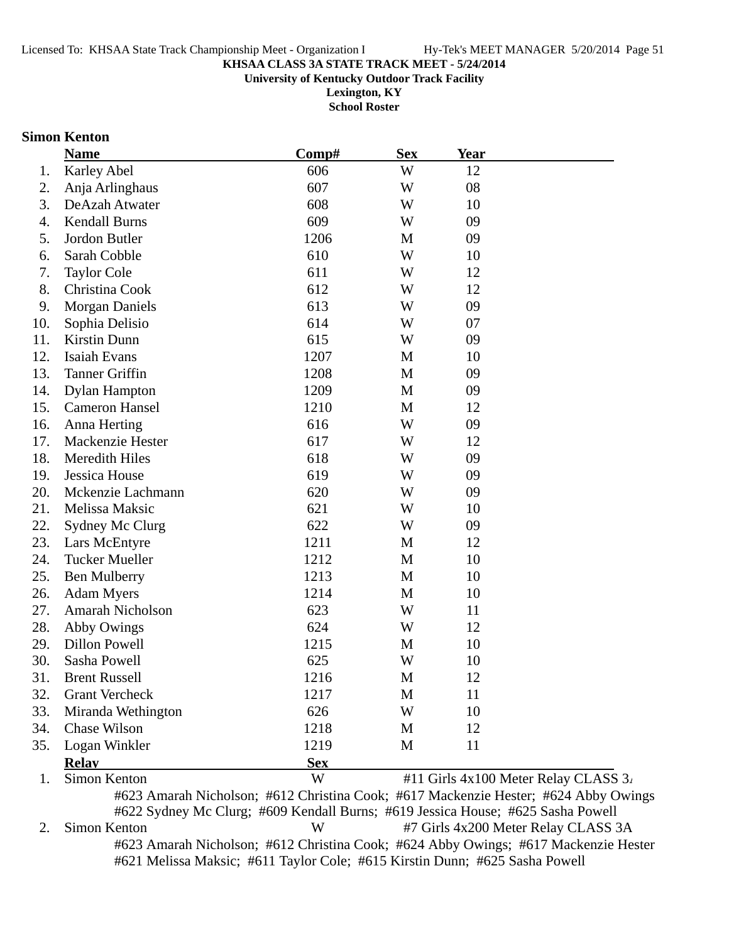**University of Kentucky Outdoor Track Facility**

**Lexington, KY School Roster**

#### **Simon Kenton**

|     | <b>Name</b>             | Comp#      | <b>Sex</b>   | <b>Year</b>                          |
|-----|-------------------------|------------|--------------|--------------------------------------|
| 1.  | <b>Karley Abel</b>      | 606        | W            | 12                                   |
| 2.  | Anja Arlinghaus         | 607        | W            | 08                                   |
| 3.  | DeAzah Atwater          | 608        | W            | 10                                   |
| 4.  | <b>Kendall Burns</b>    | 609        | W            | 09                                   |
| 5.  | Jordon Butler           | 1206       | M            | 09                                   |
| 6.  | Sarah Cobble            | 610        | W            | 10                                   |
| 7.  | <b>Taylor Cole</b>      | 611        | W            | 12                                   |
| 8.  | Christina Cook          | 612        | W            | 12                                   |
| 9.  | <b>Morgan Daniels</b>   | 613        | W            | 09                                   |
| 10. | Sophia Delisio          | 614        | W            | 07                                   |
| 11. | Kirstin Dunn            | 615        | W            | 09                                   |
| 12. | Isaiah Evans            | 1207       | M            | 10                                   |
| 13. | <b>Tanner Griffin</b>   | 1208       | M            | 09                                   |
| 14. | <b>Dylan Hampton</b>    | 1209       | M            | 09                                   |
| 15. | <b>Cameron Hansel</b>   | 1210       | M            | 12                                   |
| 16. | Anna Herting            | 616        | W            | 09                                   |
| 17. | Mackenzie Hester        | 617        | W            | 12                                   |
| 18. | Meredith Hiles          | 618        | W            | 09                                   |
| 19. | Jessica House           | 619        | W            | 09                                   |
| 20. | Mckenzie Lachmann       | 620        | W            | 09                                   |
| 21. | Melissa Maksic          | 621        | W            | 10                                   |
| 22. | Sydney Mc Clurg         | 622        | W            | 09                                   |
| 23. | Lars McEntyre           | 1211       | M            | 12                                   |
| 24. | <b>Tucker Mueller</b>   | 1212       | M            | 10                                   |
| 25. | <b>Ben Mulberry</b>     | 1213       | $\mathbf{M}$ | 10                                   |
| 26. | <b>Adam Myers</b>       | 1214       | M            | 10                                   |
| 27. | <b>Amarah Nicholson</b> | 623        | W            | 11                                   |
| 28. | Abby Owings             | 624        | W            | 12                                   |
| 29. | <b>Dillon Powell</b>    | 1215       | M            | 10                                   |
| 30. | Sasha Powell            | 625        | W            | 10                                   |
| 31. | <b>Brent Russell</b>    | 1216       | M            | 12                                   |
| 32. | <b>Grant Vercheck</b>   | 1217       | M            | 11                                   |
| 33. | Miranda Wethington      | 626        | W            | 10                                   |
| 34. | Chase Wilson            | 1218       | M            | 12                                   |
| 35. | Logan Winkler           | 1219       | M            | 11                                   |
|     | <b>Relay</b>            | <b>Sex</b> |              |                                      |
| 1.  | Simon Kenton            | W          |              | #11 Girls 4x100 Meter Relay CLASS 3. |

#623 Amarah Nicholson; #612 Christina Cook; #617 Mackenzie Hester; #624 Abby Owings #622 Sydney Mc Clurg; #609 Kendall Burns; #619 Jessica House; #625 Sasha Powell 2. Simon Kenton W #7 Girls 4x200 Meter Relay CLASS 3A #623 Amarah Nicholson; #612 Christina Cook; #624 Abby Owings; #617 Mackenzie Hester #621 Melissa Maksic; #611 Taylor Cole; #615 Kirstin Dunn; #625 Sasha Powell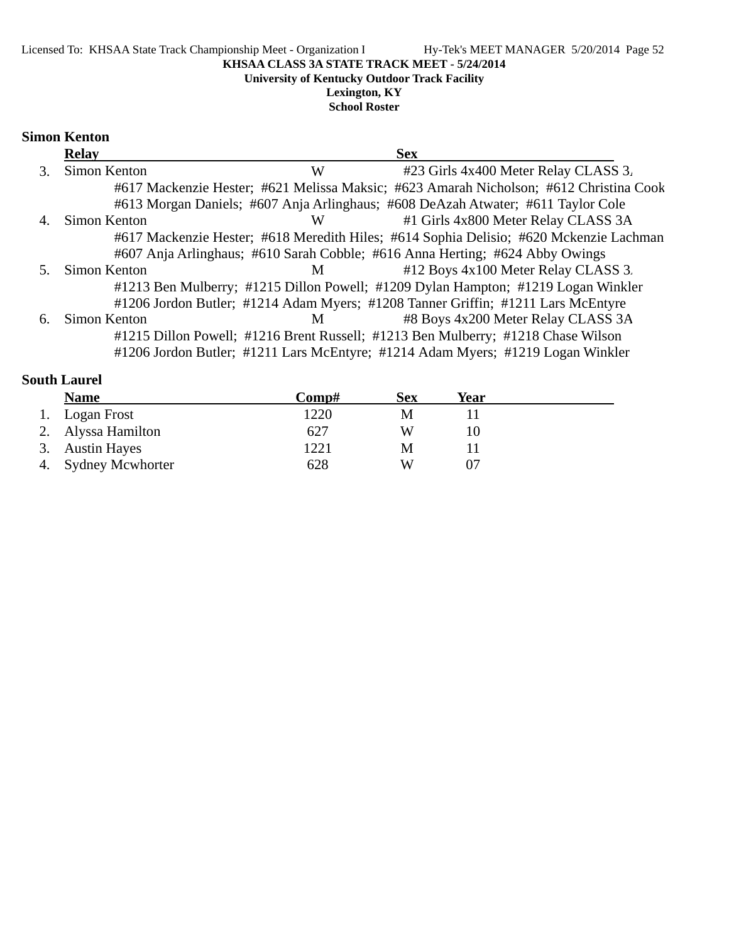**University of Kentucky Outdoor Track Facility**

**Lexington, KY School Roster**

#### **Simon Kenton**

|    | <b>Relay</b> |   | <b>Sex</b>                                                                             |  |
|----|--------------|---|----------------------------------------------------------------------------------------|--|
| 3. | Simon Kenton | W | #23 Girls 4x400 Meter Relay CLASS 3.                                                   |  |
|    |              |   | #617 Mackenzie Hester; #621 Melissa Maksic; #623 Amarah Nicholson; #612 Christina Cook |  |
|    |              |   | #613 Morgan Daniels; #607 Anja Arlinghaus; #608 DeAzah Atwater; #611 Taylor Cole       |  |
|    | Simon Kenton | W | #1 Girls 4x800 Meter Relay CLASS 3A                                                    |  |
|    |              |   | #617 Mackenzie Hester; #618 Meredith Hiles; #614 Sophia Delisio; #620 Mckenzie Lachman |  |
|    |              |   | #607 Anja Arlinghaus; #610 Sarah Cobble; #616 Anna Herting; #624 Abby Owings           |  |
|    | Simon Kenton | M | #12 Boys 4x100 Meter Relay CLASS 3.                                                    |  |
|    |              |   | #1213 Ben Mulberry; #1215 Dillon Powell; #1209 Dylan Hampton; #1219 Logan Winkler      |  |
|    |              |   | #1206 Jordon Butler; #1214 Adam Myers; #1208 Tanner Griffin; #1211 Lars McEntyre       |  |
| 6. | Simon Kenton | M | #8 Boys 4x200 Meter Relay CLASS 3A                                                     |  |
|    |              |   | #1215 Dillon Powell; #1216 Brent Russell; #1213 Ben Mulberry; #1218 Chase Wilson       |  |
|    |              |   | #1206 Jordon Butler; #1211 Lars McEntyre; #1214 Adam Myers; #1219 Logan Winkler        |  |

# **South Laurel**

| <b>Name</b>         | Comp# | Sex | <b>Year</b> |  |
|---------------------|-------|-----|-------------|--|
| 1. Logan Frost      | 1220  | M   |             |  |
| 2. Alyssa Hamilton  | 627   | W   |             |  |
| 3. Austin Hayes     | 1221  | M   |             |  |
| 4. Sydney Mcwhorter | 628   | W   |             |  |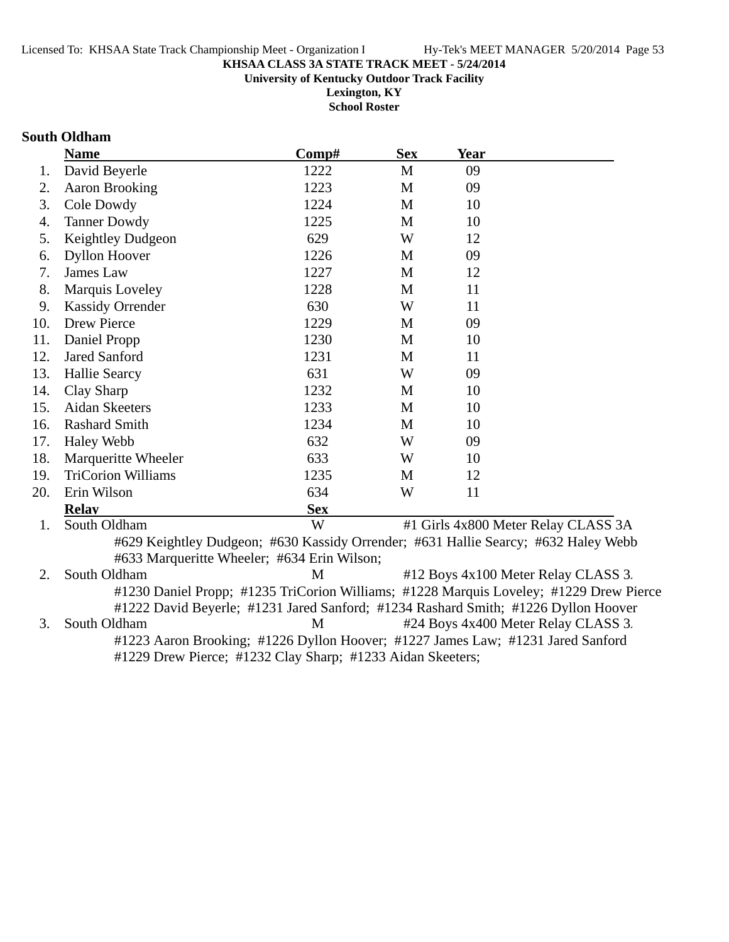**University of Kentucky Outdoor Track Facility**

**Lexington, KY School Roster**

#### **South Oldham**

|     | <b>Name</b>                                                                        | Comp#      | <b>Sex</b> | <b>Year</b> |                                                                                        |
|-----|------------------------------------------------------------------------------------|------------|------------|-------------|----------------------------------------------------------------------------------------|
| 1.  | David Beyerle                                                                      | 1222       | M          | 09          |                                                                                        |
| 2.  | <b>Aaron Brooking</b>                                                              | 1223       | M          | 09          |                                                                                        |
| 3.  | Cole Dowdy                                                                         | 1224       | M          | 10          |                                                                                        |
| 4.  | <b>Tanner Dowdy</b>                                                                | 1225       | M          | 10          |                                                                                        |
| 5.  | Keightley Dudgeon                                                                  | 629        | W          | 12          |                                                                                        |
| 6.  | <b>Dyllon Hoover</b>                                                               | 1226       | M          | 09          |                                                                                        |
| 7.  | James Law                                                                          | 1227       | M          | 12          |                                                                                        |
| 8.  | Marquis Loveley                                                                    | 1228       | M          | 11          |                                                                                        |
| 9.  | <b>Kassidy Orrender</b>                                                            | 630        | W          | 11          |                                                                                        |
| 10. | <b>Drew Pierce</b>                                                                 | 1229       | M          | 09          |                                                                                        |
| 11. | Daniel Propp                                                                       | 1230       | M          | 10          |                                                                                        |
| 12. | <b>Jared Sanford</b>                                                               | 1231       | M          | 11          |                                                                                        |
| 13. | <b>Hallie Searcy</b>                                                               | 631        | W          | 09          |                                                                                        |
| 14. | Clay Sharp                                                                         | 1232       | M          | 10          |                                                                                        |
| 15. | <b>Aidan Skeeters</b>                                                              | 1233       | M          | 10          |                                                                                        |
| 16. | <b>Rashard Smith</b>                                                               | 1234       | M          | 10          |                                                                                        |
| 17. | <b>Haley Webb</b>                                                                  | 632        | W          | 09          |                                                                                        |
| 18. | Marqueritte Wheeler                                                                | 633        | W          | 10          |                                                                                        |
| 19. | <b>TriCorion Williams</b>                                                          | 1235       | M          | 12          |                                                                                        |
| 20. | Erin Wilson                                                                        | 634        | W          | 11          |                                                                                        |
|     | <b>Relay</b>                                                                       | <b>Sex</b> |            |             |                                                                                        |
| 1.  | South Oldham                                                                       | W          |            |             | #1 Girls 4x800 Meter Relay CLASS 3A                                                    |
|     | #629 Keightley Dudgeon; #630 Kassidy Orrender; #631 Hallie Searcy; #632 Haley Webb |            |            |             |                                                                                        |
|     | #633 Marqueritte Wheeler; #634 Erin Wilson;                                        |            |            |             |                                                                                        |
| 2.  | South Oldham                                                                       | M          |            |             | #12 Boys 4x100 Meter Relay CLASS 3.                                                    |
|     |                                                                                    |            |            |             | #1230 Daniel Propp; #1235 TriCorion Williams; #1228 Marquis Loveley; #1229 Drew Pierce |
|     | #1222 David Beyerle; #1231 Jared Sanford; #1234 Rashard Smith; #1226 Dyllon Hoover |            |            |             |                                                                                        |
| 3.  | South Oldham                                                                       | M          |            |             | #24 Boys 4x400 Meter Relay CLASS 3.                                                    |

#1223 Aaron Brooking; #1226 Dyllon Hoover; #1227 James Law; #1231 Jared Sanford #1229 Drew Pierce; #1232 Clay Sharp; #1233 Aidan Skeeters;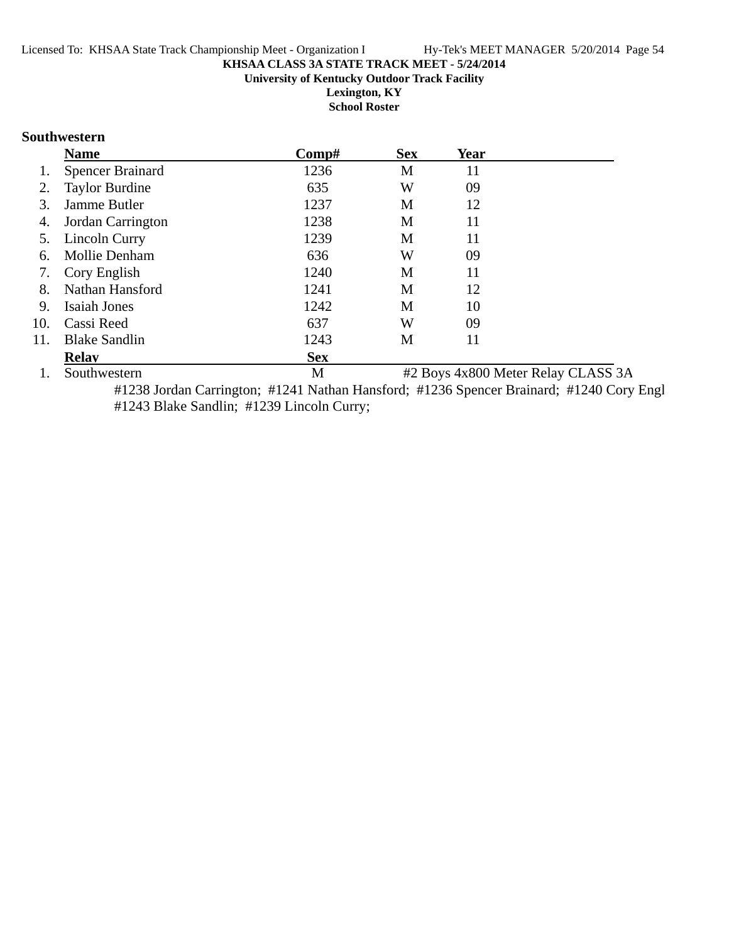#### **KHSAA CLASS 3A STATE TRACK MEET - 5/24/2014 University of Kentucky Outdoor Track Facility**

**Lexington, KY School Roster**

#### **Southwestern**

|     | <b>Name</b>             | Comp#      | <b>Sex</b> | <b>Year</b> |                                    |
|-----|-------------------------|------------|------------|-------------|------------------------------------|
|     | <b>Spencer Brainard</b> | 1236       | M          | 11          |                                    |
| 2.  | <b>Taylor Burdine</b>   | 635        | W          | 09          |                                    |
| 3.  | Jamme Butler            | 1237       | М          | 12          |                                    |
| 4.  | Jordan Carrington       | 1238       | M          | 11          |                                    |
| 5.  | Lincoln Curry           | 1239       | M          | 11          |                                    |
| 6.  | Mollie Denham           | 636        | W          | 09          |                                    |
| 7.  | Cory English            | 1240       | M          | 11          |                                    |
| 8.  | Nathan Hansford         | 1241       | M          | 12          |                                    |
| 9.  | Isaiah Jones            | 1242       | M          | 10          |                                    |
| 10. | Cassi Reed              | 637        | W          | 09          |                                    |
| 11. | <b>Blake Sandlin</b>    | 1243       | M          | 11          |                                    |
|     | <b>Relay</b>            | <b>Sex</b> |            |             |                                    |
|     | Southwestern            | M          |            |             | #2 Boys 4x800 Meter Relay CLASS 3A |

#1238 Jordan Carrington; #1241 Nathan Hansford; #1236 Spencer Brainard; #1240 Cory Engl #1243 Blake Sandlin; #1239 Lincoln Curry;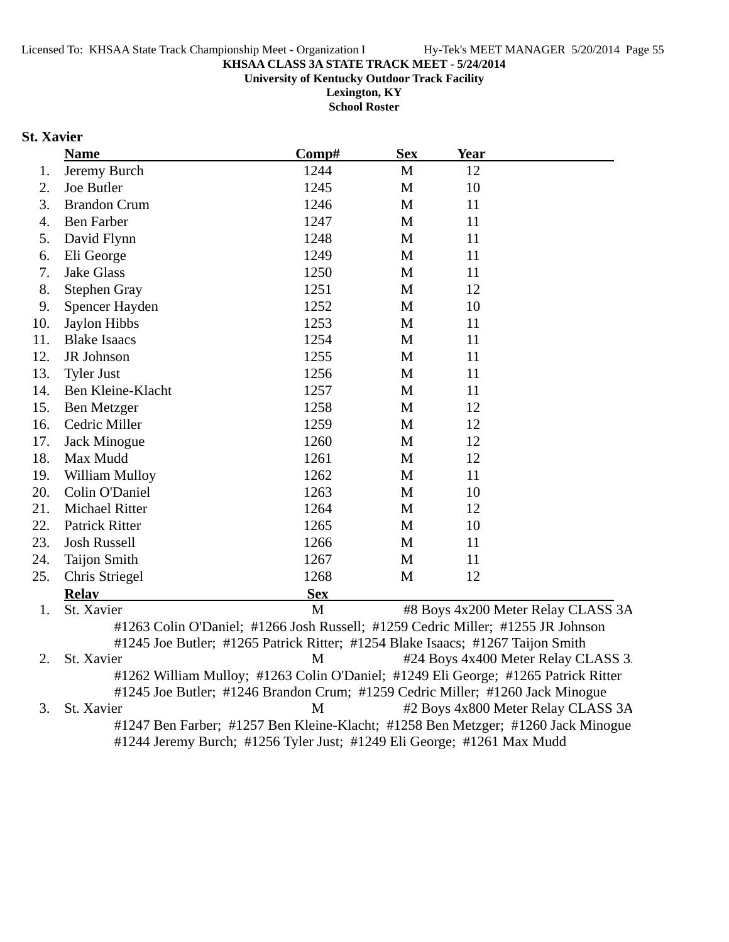**University of Kentucky Outdoor Track Facility**

**Lexington, KY School Roster**

# **St. Xavier**

|     | <b>Name</b>           | Comp#      | <b>Sex</b>   | <b>Year</b>                                                                                                                                                         |
|-----|-----------------------|------------|--------------|---------------------------------------------------------------------------------------------------------------------------------------------------------------------|
| 1.  | Jeremy Burch          | 1244       | $\mathbf M$  | 12                                                                                                                                                                  |
| 2.  | Joe Butler            | 1245       | M            | 10                                                                                                                                                                  |
| 3.  | <b>Brandon Crum</b>   | 1246       | M            | 11                                                                                                                                                                  |
| 4.  | <b>Ben Farber</b>     | 1247       | M            | 11                                                                                                                                                                  |
| 5.  | David Flynn           | 1248       | M            | 11                                                                                                                                                                  |
| 6.  | Eli George            | 1249       | M            | 11                                                                                                                                                                  |
| 7.  | <b>Jake Glass</b>     | 1250       | M            | 11                                                                                                                                                                  |
| 8.  | <b>Stephen Gray</b>   | 1251       | M            | 12                                                                                                                                                                  |
| 9.  | Spencer Hayden        | 1252       | M            | 10                                                                                                                                                                  |
| 10. | Jaylon Hibbs          | 1253       | M            | 11                                                                                                                                                                  |
| 11. | <b>Blake Isaacs</b>   | 1254       | M            | 11                                                                                                                                                                  |
| 12. | JR Johnson            | 1255       | M            | 11                                                                                                                                                                  |
| 13. | <b>Tyler Just</b>     | 1256       | $\mathbf{M}$ | 11                                                                                                                                                                  |
| 14. | Ben Kleine-Klacht     | 1257       | M            | 11                                                                                                                                                                  |
| 15. | Ben Metzger           | 1258       | M            | 12                                                                                                                                                                  |
| 16. | Cedric Miller         | 1259       | M            | 12                                                                                                                                                                  |
| 17. | Jack Minogue          | 1260       | M            | 12                                                                                                                                                                  |
| 18. | Max Mudd              | 1261       | M            | 12                                                                                                                                                                  |
| 19. | William Mulloy        | 1262       | M            | 11                                                                                                                                                                  |
| 20. | Colin O'Daniel        | 1263       | $\mathbf{M}$ | 10                                                                                                                                                                  |
| 21. | <b>Michael Ritter</b> | 1264       | M            | 12                                                                                                                                                                  |
| 22. | <b>Patrick Ritter</b> | 1265       | M            | 10                                                                                                                                                                  |
| 23. | <b>Josh Russell</b>   | 1266       | M            | 11                                                                                                                                                                  |
| 24. | <b>Taijon Smith</b>   | 1267       | M            | 11                                                                                                                                                                  |
| 25. | Chris Striegel        | 1268       | M            | 12                                                                                                                                                                  |
|     | <b>Relav</b>          | <b>Sex</b> |              |                                                                                                                                                                     |
| 1.  | St. Xavier            | M          |              | #8 Boys 4x200 Meter Relay CLASS 3A                                                                                                                                  |
|     |                       |            |              | #1263 Colin O'Daniel; #1266 Josh Russell; #1259 Cedric Miller; #1255 JR Johnson                                                                                     |
|     |                       |            |              | #1245 Joe Butler; #1265 Patrick Ritter; #1254 Blake Isaacs; #1267 Taijon Smith                                                                                      |
| 2.  | St. Xavier            | M          |              | #24 Boys 4x400 Meter Relay CLASS 3.                                                                                                                                 |
|     |                       |            |              | #1262 William Mulloy; #1263 Colin O'Daniel; #1249 Eli George; #1265 Patrick Ritter<br>#1245 Joe Butler; #1246 Brandon Crum; #1259 Cedric Miller; #1260 Jack Minogue |

3. St. Xavier M #2 Boys 4x800 Meter Relay CLASS 3A #1247 Ben Farber; #1257 Ben Kleine-Klacht; #1258 Ben Metzger; #1260 Jack Minogue #1244 Jeremy Burch; #1256 Tyler Just; #1249 Eli George; #1261 Max Mudd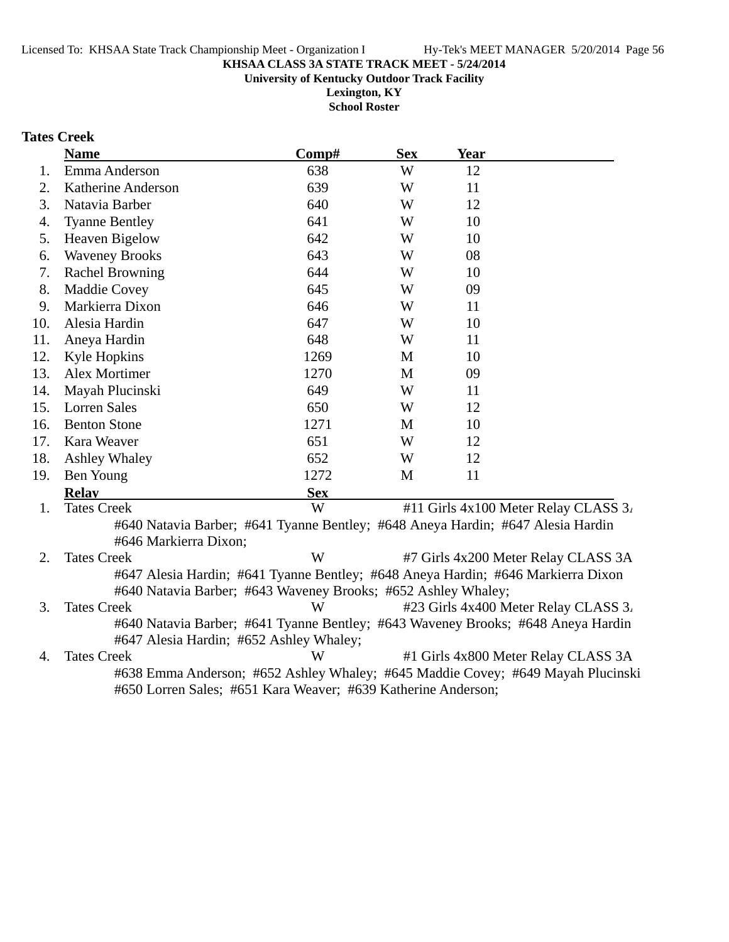**University of Kentucky Outdoor Track Facility**

**Lexington, KY School Roster**

# **Tates Creek**

|     | <b>Name</b>            | Comp#                                                                           | <b>Sex</b> | <b>Year</b> |                                      |
|-----|------------------------|---------------------------------------------------------------------------------|------------|-------------|--------------------------------------|
| 1.  | Emma Anderson          | 638                                                                             | W          | 12          |                                      |
| 2.  | Katherine Anderson     | 639                                                                             | W          | 11          |                                      |
| 3.  | Natavia Barber         | 640                                                                             | W          | 12          |                                      |
| 4.  | <b>Tyanne Bentley</b>  | 641                                                                             | W          | 10          |                                      |
| 5.  | <b>Heaven Bigelow</b>  | 642                                                                             | W          | 10          |                                      |
| 6.  | <b>Waveney Brooks</b>  | 643                                                                             | W          | 08          |                                      |
| 7.  | <b>Rachel Browning</b> | 644                                                                             | W          | 10          |                                      |
| 8.  | <b>Maddie Covey</b>    | 645                                                                             | W          | 09          |                                      |
| 9.  | Markierra Dixon        | 646                                                                             | W          | 11          |                                      |
| 10. | Alesia Hardin          | 647                                                                             | W          | 10          |                                      |
| 11. | Aneya Hardin           | 648                                                                             | W          | 11          |                                      |
| 12. | Kyle Hopkins           | 1269                                                                            | M          | 10          |                                      |
| 13. | Alex Mortimer          | 1270                                                                            | M          | 09          |                                      |
| 14. | Mayah Plucinski        | 649                                                                             | W          | 11          |                                      |
| 15. | Lorren Sales           | 650                                                                             | W          | 12          |                                      |
| 16. | <b>Benton Stone</b>    | 1271                                                                            | M          | 10          |                                      |
| 17. | Kara Weaver            | 651                                                                             | W          | 12          |                                      |
| 18. | Ashley Whaley          | 652                                                                             | W          | 12          |                                      |
| 19. | Ben Young              | 1272                                                                            | M          | 11          |                                      |
|     | <b>Relay</b>           | <b>Sex</b>                                                                      |            |             |                                      |
| 1.  | <b>Tates Creek</b>     | W                                                                               |            |             | #11 Girls 4x100 Meter Relay CLASS 3. |
|     |                        | #640 Natavia Barber; #641 Tyanne Bentley; #648 Aneya Hardin; #647 Alesia Hardin |            |             |                                      |

#646 Markierra Dixon; 2. Tates Creek W #7 Girls 4x200 Meter Relay CLASS 3A #647 Alesia Hardin; #641 Tyanne Bentley; #648 Aneya Hardin; #646 Markierra Dixon #640 Natavia Barber; #643 Waveney Brooks; #652 Ashley Whaley;

3. Tates Creek W #23 Girls 4x400 Meter Relay CLASS 3. #640 Natavia Barber; #641 Tyanne Bentley; #643 Waveney Brooks; #648 Aneya Hardin #647 Alesia Hardin; #652 Ashley Whaley;

4. Tates Creek W #1 Girls 4x800 Meter Relay CLASS 3A #638 Emma Anderson; #652 Ashley Whaley; #645 Maddie Covey; #649 Mayah Plucinski #650 Lorren Sales; #651 Kara Weaver; #639 Katherine Anderson;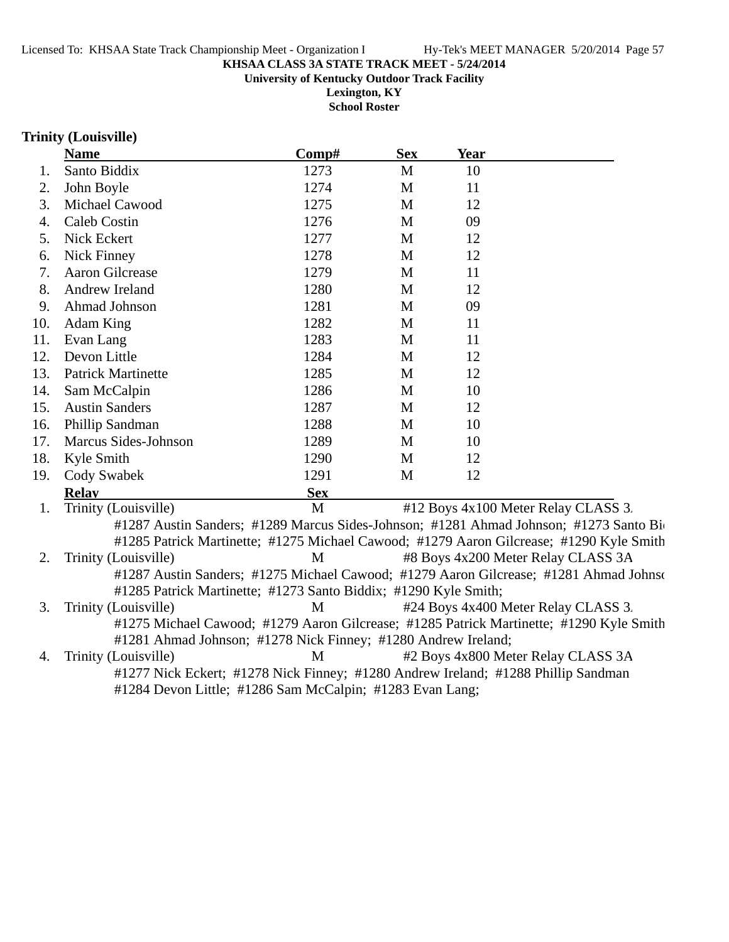#### **KHSAA CLASS 3A STATE TRACK MEET - 5/24/2014 University of Kentucky Outdoor Track Facility**

**Lexington, KY**

**School Roster**

#### **Trinity (Louisville)**

|           | <b>Name</b>                                                     | Comp#                                                                                                                                                                     | <b>Sex</b>   | Year |                                                                                         |
|-----------|-----------------------------------------------------------------|---------------------------------------------------------------------------------------------------------------------------------------------------------------------------|--------------|------|-----------------------------------------------------------------------------------------|
| 1.        | Santo Biddix                                                    | 1273                                                                                                                                                                      | M            | 10   |                                                                                         |
| 2.        | John Boyle                                                      | 1274                                                                                                                                                                      | M            | 11   |                                                                                         |
| 3.        | Michael Cawood                                                  | 1275                                                                                                                                                                      | M            | 12   |                                                                                         |
| 4.        | Caleb Costin                                                    | 1276                                                                                                                                                                      | M            | 09   |                                                                                         |
| 5.        | Nick Eckert                                                     | 1277                                                                                                                                                                      | M            | 12   |                                                                                         |
| 6.        | <b>Nick Finney</b>                                              | 1278                                                                                                                                                                      | M            | 12   |                                                                                         |
| 7.        | <b>Aaron Gilcrease</b>                                          | 1279                                                                                                                                                                      | M            | 11   |                                                                                         |
| 8.        | Andrew Ireland                                                  | 1280                                                                                                                                                                      | $\mathbf{M}$ | 12   |                                                                                         |
| 9.        | Ahmad Johnson                                                   | 1281                                                                                                                                                                      | M            | 09   |                                                                                         |
| 10.       | Adam King                                                       | 1282                                                                                                                                                                      | $\mathbf{M}$ | 11   |                                                                                         |
| 11.       | Evan Lang                                                       | 1283                                                                                                                                                                      | M            | 11   |                                                                                         |
| 12.       | Devon Little                                                    | 1284                                                                                                                                                                      | M            | 12   |                                                                                         |
| 13.       | <b>Patrick Martinette</b>                                       | 1285                                                                                                                                                                      | M            | 12   |                                                                                         |
| 14.       | Sam McCalpin                                                    | 1286                                                                                                                                                                      | M            | 10   |                                                                                         |
| 15.       | <b>Austin Sanders</b>                                           | 1287                                                                                                                                                                      | M            | 12   |                                                                                         |
| 16.       | Phillip Sandman                                                 | 1288                                                                                                                                                                      | M            | 10   |                                                                                         |
| 17.       | Marcus Sides-Johnson                                            | 1289                                                                                                                                                                      | M            | 10   |                                                                                         |
| 18.       | Kyle Smith                                                      | 1290                                                                                                                                                                      | M            | 12   |                                                                                         |
| 19.       | Cody Swabek                                                     | 1291                                                                                                                                                                      | M            | 12   |                                                                                         |
|           | <b>Relay</b>                                                    | <b>Sex</b>                                                                                                                                                                |              |      |                                                                                         |
| 1.        | Trinity (Louisville)                                            | M                                                                                                                                                                         |              |      | #12 Boys 4x100 Meter Relay CLASS 3.                                                     |
|           |                                                                 |                                                                                                                                                                           |              |      | #1287 Austin Sanders; #1289 Marcus Sides-Johnson; #1281 Ahmad Johnson; #1273 Santo Bio  |
|           |                                                                 |                                                                                                                                                                           |              |      | #1285 Patrick Martinette; #1275 Michael Cawood; #1279 Aaron Gilcrease; #1290 Kyle Smith |
| 2.        | Trinity (Louisville)                                            | M                                                                                                                                                                         |              |      | #8 Boys 4x200 Meter Relay CLASS 3A                                                      |
|           |                                                                 |                                                                                                                                                                           |              |      | #1287 Austin Sanders; #1275 Michael Cawood; #1279 Aaron Gilcrease; #1281 Ahmad Johnson  |
|           | #1285 Patrick Martinette; #1273 Santo Biddix; #1290 Kyle Smith; |                                                                                                                                                                           |              |      |                                                                                         |
| 3.        | Trinity (Louisville)                                            | M                                                                                                                                                                         |              |      | #24 Boys 4x400 Meter Relay CLASS 3.                                                     |
|           |                                                                 |                                                                                                                                                                           |              |      | #1275 Michael Cawood; #1279 Aaron Gilcrease; #1285 Patrick Martinette; #1290 Kyle Smith |
|           | #1281 Ahmad Johnson; #1278 Nick Finney; #1280 Andrew Ireland;   |                                                                                                                                                                           |              |      |                                                                                         |
| $\Lambda$ | $T_{\text{minity}}$ (Louisville)                                | $M = #2 \text{ P}_{\text{OVE}} / 4 \times 800 \text{ M} \text{at} \text{m} \text{ P}_{\text{O}} \text{I} \text{at} \text{C} \text{I} \text{A} \text{C} \text{C} \text{A}$ |              |      |                                                                                         |

4. Trinity (Louisville) #2 Boys 4x800 Meter Relay CLASS 3 M A #1277 Nick Eckert; #1278 Nick Finney; #1280 Andrew Ireland; #1288 Phillip Sandman #1284 Devon Little; #1286 Sam McCalpin; #1283 Evan Lang;